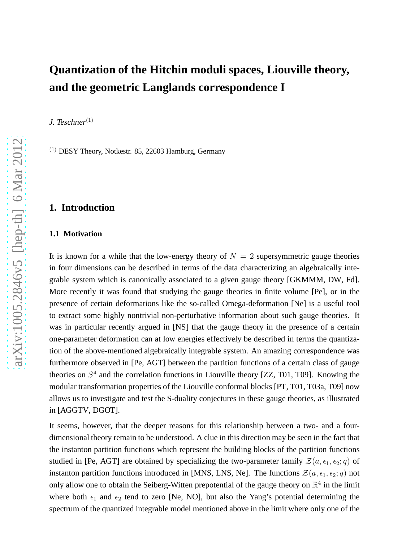# **Quantization of the Hitchin moduli spaces, Liouville theory, and the geometric Langlands correspondence I**

*J. Teschner*(1)

 $(1)$  DESY Theory, Notkestr. 85, 22603 Hamburg, Germany

# **1. Introduction**

### **1.1 Motivation**

It is known for a while that the low-energy theory of  $N = 2$  supersymmetric gauge theories in four dimensions can be described in terms of the data characterizing an algebraically integrable system which is canonically associated to a given gauge theory [GKMMM, DW, Fd]. More recently it was found that studying the gauge theories in finite volume [Pe], or in the presence of certain deformations like the so-called Omega-deformation [Ne] is a useful tool to extract some highly nontrivial non-perturbative information about such gauge theories. It was in particular recently argued in [NS] that the gauge theory in the presence of a certain one-parameter deformation can at low energies effectively be described in terms the quantization of the above-mentioned algebraically integrable system. An amazing correspondence was furthermore observed in [Pe, AGT] between the partition functions of a certain class of gauge theories on  $S<sup>4</sup>$  and the correlation functions in Liouville theory [ZZ, T01, T09]. Knowing the modular transformation properties of the Liouville conformal blocks [PT, T01, T03a, T09] now allows us to investigate and test the S-duality conjectures in these gauge theories, as illustrated in [AGGTV, DGOT].

It seems, however, that the deeper reasons for this relationship between a two- and a fourdimensional theory remain to be understood. A clue in this direction may be seen in the fact that the instanton partition functions which represent the building blocks of the partition functions studied in [Pe, AGT] are obtained by specializing the two-parameter family  $\mathcal{Z}(a, \epsilon_1, \epsilon_2; q)$  of instanton partition functions introduced in [MNS, LNS, Ne]. The functions  $\mathcal{Z}(a, \epsilon_1, \epsilon_2; q)$  not only allow one to obtain the Seiberg-Witten prepotential of the gauge theory on  $\mathbb{R}^4$  in the limit where both  $\epsilon_1$  and  $\epsilon_2$  tend to zero [Ne, NO], but also the Yang's potential determining the spectrum of the quantized integrable model mentioned above in the limit where only one of the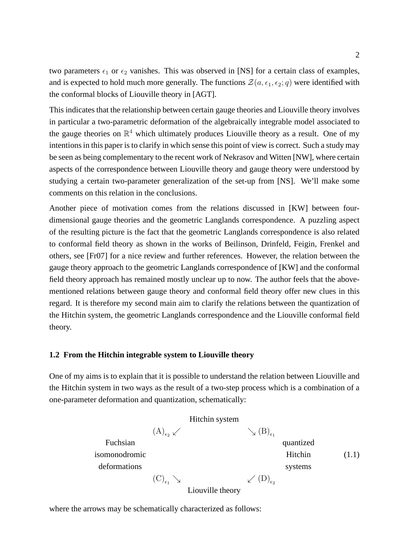two parameters  $\epsilon_1$  or  $\epsilon_2$  vanishes. This was observed in [NS] for a certain class of examples, and is expected to hold much more generally. The functions  $\mathcal{Z}(a, \epsilon_1, \epsilon_2; q)$  were identified with the conformal blocks of Liouville theory in [AGT].

This indicates that the relationship between certain gauge theories and Liouville theory involves in particular a two-parametric deformation of the algebraically integrable model associated to the gauge theories on  $\mathbb{R}^4$  which ultimately produces Liouville theory as a result. One of my intentions in this paper is to clarify in which sense this point of view is correct. Such a study may be seen as being complementary to the recent work of Nekrasov and Witten [NW], where certain aspects of the correspondence between Liouville theory and gauge theory were understood by studying a certain two-parameter generalization of the set-up from [NS]. We'll make some comments on this relation in the conclusions.

Another piece of motivation comes from the relations discussed in [KW] between fourdimensional gauge theories and the geometric Langlands correspondence. A puzzling aspect of the resulting picture is the fact that the geometric Langlands correspondence is also related to conformal field theory as shown in the works of Beilinson, Drinfeld, Feigin, Frenkel and others, see [Fr07] for a nice review and further references. However, the relation between the gauge theory approach to the geometric Langlands correspondence of [KW] and the conformal field theory approach has remained mostly unclear up to now. The author feels that the abovementioned relations between gauge theory and conformal field theory offer new clues in this regard. It is therefore my second main aim to clarify the relations between the quantization of the Hitchin system, the geometric Langlands correspondence and the Liouville conformal field theory.

# **1.2 From the Hitchin integrable system to Liouville theory**

One of my aims is to explain that it is possible to understand the relation between Liouville and the Hitchin system in two ways as the result of a two-step process which is a combination of a one-parameter deformation and quantization, schematically:

| Hitchin system              |                             |                             |
|-----------------------------|-----------------------------|-----------------------------|
| $(A)_{\epsilon_2} \swarrow$ | $\searrow (B)_{\epsilon_1}$ |                             |
| isomonodromic               | Hitchin                     |                             |
| deformations                | $(C)_{\epsilon_1} \searrow$ | $\swarrow (D)_{\epsilon_2}$ |
| Liouville theory            | Liouville theory            |                             |

where the arrows may be schematically characterized as follows: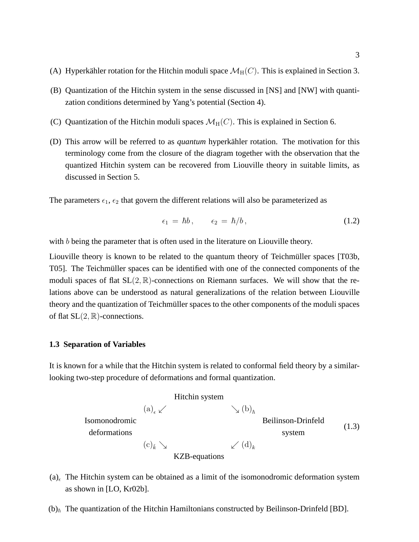- (A) Hyperkähler rotation for the Hitchin moduli space  $\mathcal{M}_{H}(C)$ . This is explained in Section 3.
- (B) Quantization of the Hitchin system in the sense discussed in [NS] and [NW] with quantization conditions determined by Yang's potential (Section 4).
- (C) Quantization of the Hitchin moduli spaces  $\mathcal{M}_{H}(C)$ . This is explained in Section 6.
- (D) This arrow will be referred to as *quantum* hyperkähler rotation. The motivation for this terminology come from the closure of the diagram together with the observation that the quantized Hitchin system can be recovered from Liouville theory in suitable limits, as discussed in Section 5.

The parameters  $\epsilon_1$ ,  $\epsilon_2$  that govern the different relations will also be parameterized as

$$
\epsilon_1 = \hbar b, \qquad \epsilon_2 = \hbar/b, \tag{1.2}
$$

with b being the parameter that is often used in the literature on Liouville theory.

Liouville theory is known to be related to the quantum theory of Teichmüller spaces [T03b, T05]. The Teichmüller spaces can be identified with one of the connected components of the moduli spaces of flat  $SL(2, \mathbb{R})$ -connections on Riemann surfaces. We will show that the relations above can be understood as natural generalizations of the relation between Liouville theory and the quantization of Teichmüller spaces to the other components of the moduli spaces of flat  $SL(2, \mathbb{R})$ -connections.

### **1.3 Separation of Variables**

It is known for a while that the Hitchin system is related to conformal field theory by a similarlooking two-step procedure of deformations and formal quantization.



- (a)<sub> $\epsilon$ </sub> The Hitchin system can be obtained as a limit of the isomonodromic deformation system as shown in [LO, Kr02b].
- $(b)_{\hbar}$  The quantization of the Hitchin Hamiltonians constructed by Beilinson-Drinfeld [BD].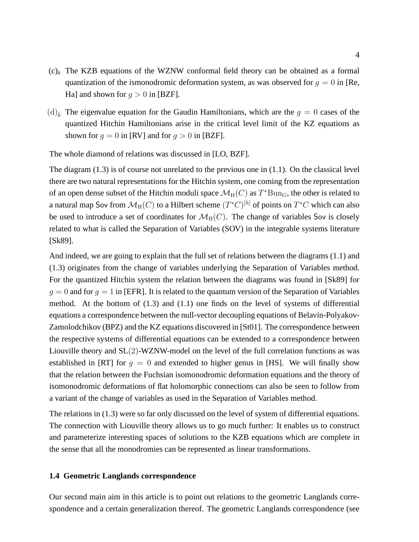- $(c)_k$ . The KZB equations of the WZNW conformal field theory can be obtained as a formal quantization of the ismonodromic deformation system, as was observed for  $q = 0$  in [Re, Ha] and shown for  $q > 0$  in [BZF].
- $(d)_{\tilde{k}}$  The eigenvalue equation for the Gaudin Hamiltonians, which are the  $g = 0$  cases of the quantized Hitchin Hamiltonians arise in the critical level limit of the KZ equations as shown for  $q = 0$  in [RV] and for  $q > 0$  in [BZF].

The whole diamond of relations was discussed in [LO, BZF].

The diagram (1.3) is of course not unrelated to the previous one in (1.1). On the classical level there are two natural representations for the Hitchin system, one coming from the representation of an open dense subset of the Hitchin moduli space  $\mathcal{M}_{\mathrm{H}}(C)$  as  $T^*\mathrm{Bun}_G$ , the other is related to a natural map Sov from  $\mathcal{M}_{\mathrm{H}}(C)$  to a Hilbert scheme  $(T^*C)^{[h]}$  of points on  $T^*C$  which can also be used to introduce a set of coordinates for  $\mathcal{M}_{H}(C)$ . The change of variables Sov is closely related to what is called the Separation of Variables (SOV) in the integrable systems literature [Sk89].

And indeed, we are going to explain that the full set of relations between the diagrams (1.1) and (1.3) originates from the change of variables underlying the Separation of Variables method. For the quantized Hitchin system the relation between the diagrams was found in [Sk89] for  $q = 0$  and for  $q = 1$  in [EFR]. It is related to the quantum version of the Separation of Variables method. At the bottom of  $(1.3)$  and  $(1.1)$  one finds on the level of systems of differential equations a correspondence between the null-vector decoupling equations of Belavin-Polyakov-Zamolodchikov (BPZ) and the KZ equations discovered in [St01]. The correspondence between the respective systems of differential equations can be extended to a correspondence between Liouville theory and SL(2)-WZNW-model on the level of the full correlation functions as was established in [RT] for  $g = 0$  and extended to higher genus in [HS]. We will finally show that the relation between the Fuchsian isomonodromic deformation equations and the theory of isomonodromic deformations of flat holomorphic connections can also be seen to follow from a variant of the change of variables as used in the Separation of Variables method.

The relations in (1.3) were so far only discussed on the level of system of differential equations. The connection with Liouville theory allows us to go much further: It enables us to construct and parameterize interesting spaces of solutions to the KZB equations which are complete in the sense that all the monodromies can be represented as linear transformations.

# **1.4 Geometric Langlands correspondence**

Our second main aim in this article is to point out relations to the geometric Langlands correspondence and a certain generalization thereof. The geometric Langlands correspondence (see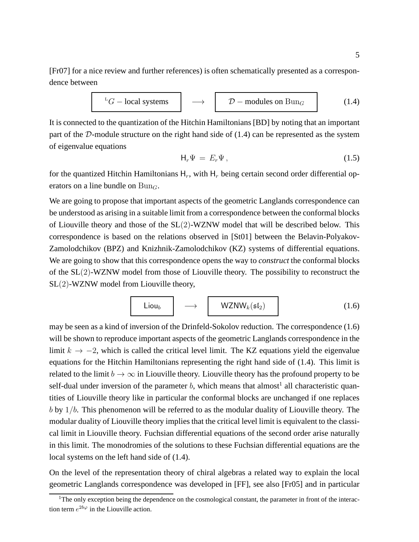[Fr07] for a nice review and further references) is often schematically presented as a correspondence between



It is connected to the quantization of the Hitchin Hamiltonians [BD] by noting that an important part of the  $D$ -module structure on the right hand side of  $(1.4)$  can be represented as the system of eigenvalue equations

$$
\mathsf{H}_r \Psi = E_r \Psi, \tag{1.5}
$$

for the quantized Hitchin Hamiltonians  $H_r$ , with  $H_r$  being certain second order differential operators on a line bundle on  $Bun_{C}$ .

We are going to propose that important aspects of the geometric Langlands correspondence can be understood as arising in a suitable limit from a correspondence between the conformal blocks of Liouville theory and those of the SL(2)-WZNW model that will be described below. This correspondence is based on the relations observed in [St01] between the Belavin-Polyakov-Zamolodchikov (BPZ) and Knizhnik-Zamolodchikov (KZ) systems of differential equations. We are going to show that this correspondence opens the way to *construct* the conformal blocks of the SL(2)-WZNW model from those of Liouville theory. The possibility to reconstruct the SL(2)-WZNW model from Liouville theory,

$$
Liou_b \longrightarrow WZNW_k(\mathfrak{sl}_2)
$$
 (1.6)

may be seen as a kind of inversion of the Drinfeld-Sokolov reduction. The correspondence (1.6) will be shown to reproduce important aspects of the geometric Langlands correspondence in the limit  $k \to -2$ , which is called the critical level limit. The KZ equations yield the eigenvalue equations for the Hitchin Hamiltonians representing the right hand side of (1.4). This limit is related to the limit  $b \to \infty$  in Liouville theory. Liouville theory has the profound property to be self-dual under inversion of the parameter  $b$ , which means that almost<sup>1</sup> all characteristic quantities of Liouville theory like in particular the conformal blocks are unchanged if one replaces  $b$  by  $1/b$ . This phenomenon will be referred to as the modular duality of Liouville theory. The modular duality of Liouville theory implies that the critical level limit is equivalent to the classical limit in Liouville theory. Fuchsian differential equations of the second order arise naturally in this limit. The monodromies of the solutions to these Fuchsian differential equations are the local systems on the left hand side of (1.4).

On the level of the representation theory of chiral algebras a related way to explain the local geometric Langlands correspondence was developed in [FF], see also [Fr05] and in particular

<sup>&</sup>lt;sup>1</sup>The only exception being the dependence on the cosmological constant, the parameter in front of the interaction term  $e^{2b\varphi}$  in the Liouville action.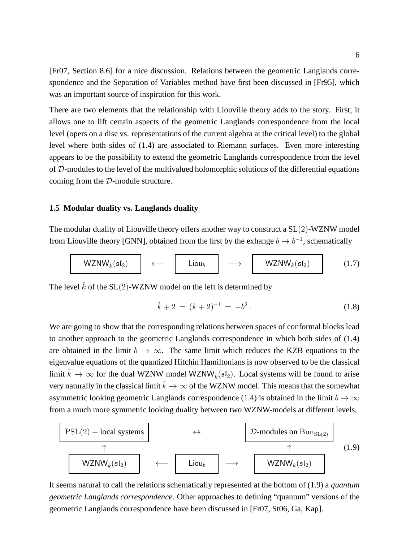[Fr07, Section 8.6] for a nice discussion. Relations between the geometric Langlands correspondence and the Separation of Variables method have first been discussed in [Fr95], which was an important source of inspiration for this work.

There are two elements that the relationship with Liouville theory adds to the story. First, it allows one to lift certain aspects of the geometric Langlands correspondence from the local level (opers on a disc vs. representations of the current algebra at the critical level) to the global level where both sides of (1.4) are associated to Riemann surfaces. Even more interesting appears to be the possibility to extend the geometric Langlands correspondence from the level of D-modules to the level of the multivalued holomorphic solutions of the differential equations coming from the D-module structure.

# **1.5 Modular duality vs. Langlands duality**

The modular duality of Liouville theory offers another way to construct a SL(2)-WZNW model from Liouville theory [GNN], obtained from the first by the exhange  $b \to b^{-1}$ , schematically

$$
\mathsf{WZNW}_{\tilde{k}}(\mathfrak{sl}_2) \longleftrightarrow \begin{array}{ccc} \mathsf{Liou}_b & \longrightarrow & \mathsf{WZNW}_k(\mathfrak{sl}_2) \\ \end{array} \tag{1.7}
$$

The level  $\check{k}$  of the SL(2)-WZNW model on the left is determined by

$$
\tilde{k} + 2 = (k+2)^{-1} = -b^2. \tag{1.8}
$$

We are going to show that the corresponding relations between spaces of conformal blocks lead to another approach to the geometric Langlands correspondence in which both sides of (1.4) are obtained in the limit  $b \to \infty$ . The same limit which reduces the KZB equations to the eigenvalue equations of the quantized Hitchin Hamiltonians is now observed to be the classical limit  $\check{k} \to \infty$  for the dual WZNW model WZNW<sub>k</sub> $(\mathfrak{sl}_2)$ . Local systems will be found to arise very naturally in the classical limit  $\check{k} \to \infty$  of the WZNW model. This means that the somewhat asymmetric looking geometric Langlands correspondence (1.4) is obtained in the limit  $b \to \infty$ from a much more symmetric looking duality between two WZNW-models at different levels,



It seems natural to call the relations schematically represented at the bottom of (1.9) a *quantum geometric Langlands correspondence*. Other approaches to defining "quantum" versions of the geometric Langlands correspondence have been discussed in [Fr07, St06, Ga, Kap].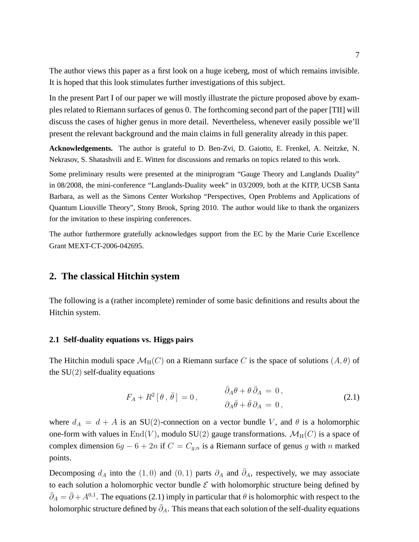The author views this paper as a first look on a huge iceberg, most of which remains invisible. It is hoped that this look stimulates further investigations of this subject.

In the present Part I of our paper we will mostly illustrate the picture proposed above by examples related to Riemann surfaces of genus 0. The forthcoming second part of the paper [TII] will discuss the cases of higher genus in more detail. Nevertheless, whenever easily possible we'll present the relevant background and the main claims in full generality already in this paper.

**Acknowledgements.** The author is grateful to D. Ben-Zvi, D. Gaiotto, E. Frenkel, A. Neitzke, N. Nekrasov, S. Shatashvili and E. Witten for discussions and remarks on topics related to this work.

Some preliminary results were presented at the miniprogram "Gauge Theory and Langlands Duality" in 08/2008, the mini-conference "Langlands-Duality week" in 03/2009, both at the KITP, UCSB Santa Barbara, as well as the Simons Center Workshop "Perspectives, Open Problems and Applications of Quantum Liouville Theory", Stony Brook, Spring 2010. The author would like to thank the organizers for the invitation to these inspiring conferences.

The author furthermore gratefully acknowledges support from the EC by the Marie Curie Excellence Grant MEXT-CT-2006-042695.

# **2. The classical Hitchin system**

The following is a (rather incomplete) reminder of some basic definitions and results about the Hitchin system.

# **2.1 Self-duality equations vs. Higgs pairs**

The Hitchin moduli space  $\mathcal{M}_{H}(C)$  on a Riemann surface C is the space of solutions  $(A, \theta)$  of the  $SU(2)$  self-duality equations

$$
F_A + R^2 [\theta, \bar{\theta}] = 0, \qquad \qquad \frac{\bar{\partial}_A \theta + \theta \bar{\partial}_A = 0,}{\partial_A \bar{\theta} + \bar{\theta} \partial_A = 0,}
$$
\n(2.1)

where  $d_A = d + A$  is an SU(2)-connection on a vector bundle V, and  $\theta$  is a holomorphic one-form with values in End(V), modulo SU(2) gauge transformations.  $\mathcal{M}_{H}(C)$  is a space of complex dimension  $6g - 6 + 2n$  if  $C = C_{g,n}$  is a Riemann surface of genus g with n marked points.

Decomposing  $d_A$  into the  $(1, 0)$  and  $(0, 1)$  parts  $\partial_A$  and  $\overline{\partial}_A$ , respectively, we may associate to each solution a holomorphic vector bundle  $\mathcal E$  with holomorphic structure being defined by  $\bar{\partial}_A = \bar{\partial} + A^{0,1}$ . The equations (2.1) imply in particular that  $\theta$  is holomorphic with respect to the holomorphic structure defined by  $\bar{\partial}_A$ . This means that each solution of the self-duality equations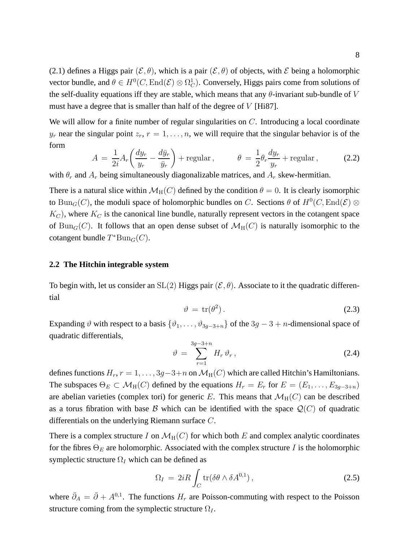(2.1) defines a Higgs pair  $(\mathcal{E}, \theta)$ , which is a pair  $(\mathcal{E}, \theta)$  of objects, with  $\mathcal E$  being a holomorphic vector bundle, and  $\theta \in H^0(C, \text{End}(\mathcal{E}) \otimes \Omega^1_C)$ . Conversely, Higgs pairs come from solutions of the self-duality equations iff they are stable, which means that any  $\theta$ -invariant sub-bundle of V must have a degree that is smaller than half of the degree of  $V$  [Hi87].

We will allow for a finite number of regular singularities on C. Introducing a local coordinate  $y_r$  near the singular point  $z_r$ ,  $r = 1, \ldots, n$ , we will require that the singular behavior is of the form

$$
A = \frac{1}{2i} A_r \left( \frac{dy_r}{y_r} - \frac{d\bar{y}_r}{\bar{y}_r} \right) + \text{regular}, \qquad \theta = \frac{1}{2} \theta_r \frac{dy_r}{y_r} + \text{regular}, \qquad (2.2)
$$

with  $\theta_r$  and  $A_r$  being simultaneously diagonalizable matrices, and  $A_r$  skew-hermitian.

There is a natural slice within  $\mathcal{M}_{H}(C)$  defined by the condition  $\theta = 0$ . It is clearly isomorphic to  $\text{Bun}_G(C)$ , the moduli space of holomorphic bundles on C. Sections  $\theta$  of  $H^0(C, \text{End}(\mathcal{E}) \otimes$  $K_C$ ), where  $K_C$  is the canonical line bundle, naturally represent vectors in the cotangent space of Bun<sub>G</sub>(C). It follows that an open dense subset of  $\mathcal{M}_{H}(C)$  is naturally isomorphic to the cotangent bundle  $T^*Bun_G(C)$ .

### **2.2 The Hitchin integrable system**

To begin with, let us consider an  $SL(2)$  Higgs pair  $(\mathcal{E}, \theta)$ . Associate to it the quadratic differential

$$
\vartheta = \text{tr}(\theta^2). \tag{2.3}
$$

Expanding  $\vartheta$  with respect to a basis  $\{\vartheta_1, \ldots, \vartheta_{3q-3+n}\}$  of the  $3g-3+n$ -dimensional space of quadratic differentials,

$$
\vartheta = \sum_{r=1}^{3g-3+n} H_r \vartheta_r , \qquad (2.4)
$$

defines functions  $H_r$ ,  $r = 1, \ldots, 3g-3+n$  on  $\mathcal{M}_{H}(C)$  which are called Hitchin's Hamiltonians. The subspaces  $\Theta_E \subset \mathcal{M}_{H}(C)$  defined by the equations  $H_r = E_r$  for  $E = (E_1, \ldots, E_{3g-3+n})$ are abelian varieties (complex tori) for generic E. This means that  $\mathcal{M}_{H}(C)$  can be described as a torus fibration with base B which can be identified with the space  $\mathcal{Q}(C)$  of quadratic differentials on the underlying Riemann surface C.

There is a complex structure I on  $\mathcal{M}_{H}(C)$  for which both E and complex analytic coordinates for the fibres  $\Theta_E$  are holomorphic. Associated with the complex structure I is the holomorphic symplectic structure  $\Omega_I$  which can be defined as

$$
\Omega_I = 2iR \int_C \text{tr}(\delta \theta \wedge \delta A^{0,1}), \qquad (2.5)
$$

where  $\bar{\partial}_A = \bar{\partial} + A^{0,1}$ . The functions  $H_r$  are Poisson-commuting with respect to the Poisson structure coming from the symplectic structure  $\Omega_I$ .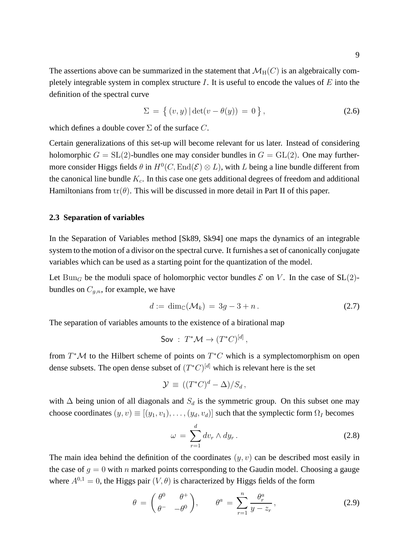The assertions above can be summarized in the statement that  $\mathcal{M}_{H}(C)$  is an algebraically completely integrable system in complex structure  $I$ . It is useful to encode the values of  $E$  into the definition of the spectral curve

$$
\Sigma = \{ (v, y) | \det(v - \theta(y)) = 0 \},
$$
\n(2.6)

which defines a double cover  $\Sigma$  of the surface C.

Certain generalizations of this set-up will become relevant for us later. Instead of considering holomorphic  $G = SL(2)$ -bundles one may consider bundles in  $G = GL(2)$ . One may furthermore consider Higgs fields  $\theta$  in  $H^0(C, \text{End}(\mathcal{E}) \otimes L)$ , with L being a line bundle different from the canonical line bundle  $K_c$ . In this case one gets additional degrees of freedom and additional Hamiltonians from  $tr(\theta)$ . This will be discussed in more detail in Part II of this paper.

### **2.3 Separation of variables**

In the Separation of Variables method [Sk89, Sk94] one maps the dynamics of an integrable system to the motion of a divisor on the spectral curve. It furnishes a set of canonically conjugate variables which can be used as a starting point for the quantization of the model.

Let Bun<sub>G</sub> be the moduli space of holomorphic vector bundles  $\mathcal E$  on V. In the case of SL(2)bundles on  $C_{q,n}$ , for example, we have

$$
d := \dim_{\mathbb{C}}(\mathcal{M}_k) = 3g - 3 + n. \tag{2.7}
$$

The separation of variables amounts to the existence of a birational map

$$
\mathsf{Sov} : T^*\mathcal{M} \to (T^*C)^{[d]},
$$

from  $T^{\ast}M$  to the Hilbert scheme of points on  $T^{\ast}C$  which is a symplectomorphism on open dense subsets. The open dense subset of  $(T^*C)^{[d]}$  which is relevant here is the set

$$
\mathcal{Y} \equiv ((T^*C)^d - \Delta)/S_d,
$$

with  $\Delta$  being union of all diagonals and  $S_d$  is the symmetric group. On this subset one may choose coordinates  $(y, v) \equiv [(y_1, v_1), \dots, (y_d, v_d)]$  such that the symplectic form  $\Omega_I$  becomes

$$
\omega = \sum_{r=1}^{d} dv_r \wedge dy_r \,.
$$
 (2.8)

The main idea behind the definition of the coordinates  $(y, v)$  can be described most easily in the case of  $g = 0$  with n marked points corresponding to the Gaudin model. Choosing a gauge where  $A^{0,1} = 0$ , the Higgs pair  $(V, \theta)$  is characterized by Higgs fields of the form

$$
\theta = \begin{pmatrix} \theta^0 & \theta^+ \\ \theta^- & -\theta^0 \end{pmatrix}, \qquad \theta^a = \sum_{r=1}^n \frac{\theta_r^a}{y - z_r}, \qquad (2.9)
$$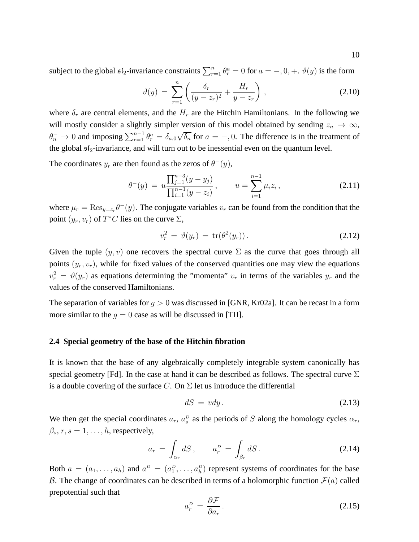subject to the global  $\mathfrak{sl}_2$ -invariance constraints  $\sum_{r=1}^n \theta_r^a = 0$  for  $a = -, 0, +$ .  $\vartheta(y)$  is the form

$$
\vartheta(y) = \sum_{r=1}^{n} \left( \frac{\delta_r}{(y - z_r)^2} + \frac{H_r}{y - z_r} \right), \qquad (2.10)
$$

where  $\delta_r$  are central elements, and the  $H_r$  are the Hitchin Hamiltonians. In the following we will mostly consider a slightly simpler version of this model obtained by sending  $z_n \to \infty$ ,  $\theta_n^- \to 0$  and imposing  $\sum_{r=1}^{n-1} \theta_r^a = \delta_{a,0} \sqrt{\delta_n}$  for  $a = -1, 0$ . The difference is in the treatment of the global  $sI_2$ -invariance, and will turn out to be inessential even on the quantum level.

The coordinates  $y_r$  are then found as the zeros of  $\theta^-(y)$ ,

$$
\theta^-(y) = u \frac{\prod_{j=1}^{n-3} (y - y_j)}{\prod_{i=1}^{n-1} (y - z_i)}, \qquad u = \sum_{i=1}^{n-1} \mu_i z_i, \qquad (2.11)
$$

where  $\mu_r = \text{Res}_{y=z_r} \theta^-(y)$ . The conjugate variables  $v_r$  can be found from the condition that the point  $(y_r, v_r)$  of  $T^*C$  lies on the curve  $\Sigma$ ,

$$
v_r^2 = \vartheta(y_r) = \text{tr}(\theta^2(y_r)). \tag{2.12}
$$

Given the tuple  $(y, v)$  one recovers the spectral curve  $\Sigma$  as the curve that goes through all points  $(y_r, v_r)$ , while for fixed values of the conserved quantities one may view the equations  $v_r^2 = \vartheta(y_r)$  as equations determining the "momenta"  $v_r$  in terms of the variables  $y_r$  and the values of the conserved Hamiltonians.

The separation of variables for  $g > 0$  was discussed in [GNR, Kr02a]. It can be recast in a form more similar to the  $q = 0$  case as will be discussed in [TII].

# **2.4 Special geometry of the base of the Hitchin fibration**

It is known that the base of any algebraically completely integrable system canonically has special geometry [Fd]. In the case at hand it can be described as follows. The spectral curve  $\Sigma$ is a double covering of the surface C. On  $\Sigma$  let us introduce the differential

$$
dS = vdy. \tag{2.13}
$$

We then get the special coordinates  $a_r$ ,  $a_s^D$  as the periods of S along the homology cycles  $\alpha_r$ ,  $\beta_s, r, s = 1, \ldots, h$ , respectively,

$$
a_r = \int_{\alpha_r} dS, \qquad a_r^D = \int_{\beta_r} dS. \tag{2.14}
$$

Both  $a = (a_1, \ldots, a_h)$  and  $a^D = (a_1^D, \ldots, a_h^D)$  represent systems of coordinates for the base B. The change of coordinates can be described in terms of a holomorphic function  $\mathcal{F}(a)$  called prepotential such that

$$
a_r^D = \frac{\partial \mathcal{F}}{\partial a_r}.
$$
\n(2.15)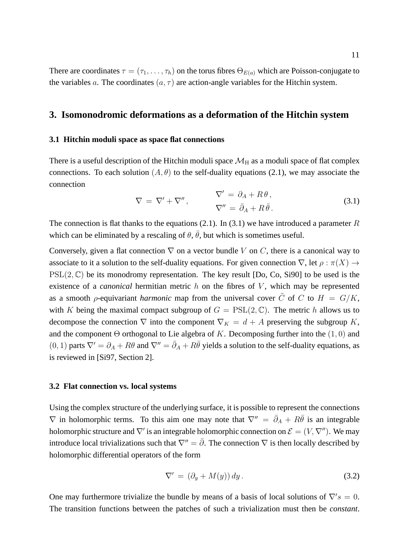There are coordinates  $\tau = (\tau_1, \ldots, \tau_h)$  on the torus fibres  $\Theta_{E(a)}$  which are Poisson-conjugate to the variables a. The coordinates  $(a, \tau)$  are action-angle variables for the Hitchin system.

# **3. Isomonodromic deformations as a deformation of the Hitchin system**

### **3.1 Hitchin moduli space as space flat connections**

There is a useful description of the Hitchin moduli space  $\mathcal{M}_H$  as a moduli space of flat complex connections. To each solution  $(A, \theta)$  to the self-duality equations (2.1), we may associate the connection

$$
\nabla = \nabla' + \nabla'', \qquad \nabla' = \partial_A + R\theta,
$$
  

$$
\nabla'' = \bar{\partial}_A + R\bar{\theta}.
$$
 (3.1)

The connection is flat thanks to the equations (2.1). In (3.1) we have introduced a parameter  $R$ which can be eliminated by a rescaling of  $\theta$ ,  $\bar{\theta}$ , but which is sometimes useful.

Conversely, given a flat connection  $\nabla$  on a vector bundle V on C, there is a canonical way to associate to it a solution to the self-duality equations. For given connection  $\nabla$ , let  $\rho : \pi(X) \to$  $PSL(2, \mathbb{C})$  be its monodromy representation. The key result [Do, Co, Si90] to be used is the existence of a *canonical* hermitian metric  $h$  on the fibres of  $V$ , which may be represented as a smooth *ρ*-equivariant *harmonic* map from the universal cover  $\tilde{C}$  of C to  $H = G/K$ , with K being the maximal compact subgroup of  $G = \text{PSL}(2, \mathbb{C})$ . The metric h allows us to decompose the connection  $\nabla$  into the component  $\nabla_K = d + A$  preserving the subgroup K, and the component  $\Theta$  orthogonal to Lie algebra of K. Decomposing further into the  $(1, 0)$  and  $(0, 1)$  parts  $\nabla' = \partial_A + R\theta$  and  $\nabla'' = \bar{\partial}_A + R\bar{\theta}$  yields a solution to the self-duality equations, as is reviewed in [Si97, Section 2].

#### **3.2 Flat connection vs. local systems**

Using the complex structure of the underlying surface, it is possible to represent the connections  $\nabla$  in holomorphic terms. To this aim one may note that  $\nabla'' = \overline{\partial}_A + R\overline{\theta}$  is an integrable holomorphic structure and  $\nabla'$  is an integrable holomorphic connection on  $\mathcal{E} = (V, \nabla'')$ . We may introduce local trivializations such that  $\nabla'' = \overline{\partial}$ . The connection  $\nabla$  is then locally described by holomorphic differential operators of the form

$$
\nabla' = (\partial_y + M(y)) dy. \tag{3.2}
$$

One may furthermore trivialize the bundle by means of a basis of local solutions of  $\nabla's = 0$ . The transition functions between the patches of such a trivialization must then be *constant*.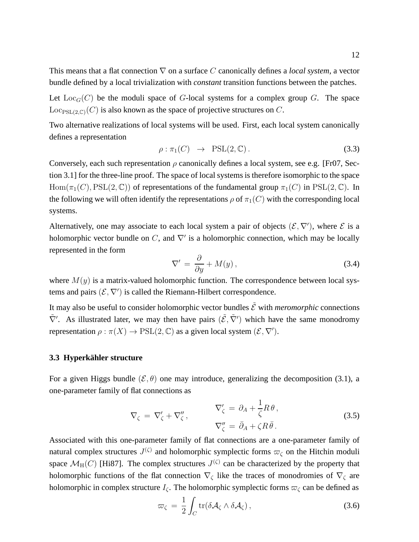This means that a flat connection ∇ on a surface C canonically defines a *local system*, a vector bundle defined by a local trivialization with *constant* transition functions between the patches.

Let  $Loc<sub>G</sub>(C)$  be the moduli space of G-local systems for a complex group G. The space  $Loc_{PSL(2,\mathbb{C})}(C)$  is also known as the space of projective structures on C.

Two alternative realizations of local systems will be used. First, each local system canonically defines a representation

$$
\rho: \pi_1(C) \rightarrow \text{PSL}(2, \mathbb{C}). \tag{3.3}
$$

Conversely, each such representation  $\rho$  canonically defines a local system, see e.g. [Fr07, Section 3.1] for the three-line proof. The space of local systems is therefore isomorphic to the space  $Hom(\pi_1(C), \text{PSL}(2, \mathbb{C}))$  of representations of the fundamental group  $\pi_1(C)$  in  $PSL(2, \mathbb{C})$ . In the following we will often identify the representations  $\rho$  of  $\pi_1(C)$  with the corresponding local systems.

Alternatively, one may associate to each local system a pair of objects  $(\mathcal{E}, \nabla')$ , where  $\mathcal E$  is a holomorphic vector bundle on C, and  $\nabla'$  is a holomorphic connection, which may be locally represented in the form

$$
\nabla' = \frac{\partial}{\partial y} + M(y),\tag{3.4}
$$

where  $M(y)$  is a matrix-valued holomorphic function. The correspondence between local systems and pairs  $(\mathcal{E}, \nabla')$  is called the Riemann-Hilbert correspondence.

It may also be useful to consider holomorphic vector bundles  $\tilde{\mathcal{E}}$  with *meromorphic* connections  $\tilde{\nabla}'$ . As illustrated later, we may then have pairs  $(\tilde{\mathcal{E}}, \tilde{\nabla}')$  which have the same monodromy representation  $\rho : \pi(X) \to \mathrm{PSL}(2, \mathbb{C})$  as a given local system  $(\mathcal{E}, \nabla')$ .

# **3.3 Hyperkähler structure**

For a given Higgs bundle  $(\mathcal{E}, \theta)$  one may introduce, generalizing the decomposition (3.1), a one-parameter family of flat connections as

$$
\nabla_{\zeta} = \nabla'_{\zeta} + \nabla''_{\zeta}, \qquad \nabla'_{\zeta} = \partial_A + \frac{1}{\zeta} R \theta, \n\nabla''_{\zeta} = \bar{\partial}_A + \zeta R \bar{\theta}.
$$
\n(3.5)

Associated with this one-parameter family of flat connections are a one-parameter family of natural complex structures  $J^{(\zeta)}$  and holomorphic symplectic forms  $\varpi_{\zeta}$  on the Hitchin moduli space  $\mathcal{M}_{\text{H}}(C)$  [Hi87]. The complex structures  $J^{(\zeta)}$  can be characterized by the property that holomorphic functions of the flat connection  $\nabla_{\zeta}$  like the traces of monodromies of  $\nabla_{\zeta}$  are holomorphic in complex structure  $I_{\zeta}$ . The holomorphic symplectic forms  $\varpi_{\zeta}$  can be defined as

$$
\varpi_{\zeta} = \frac{1}{2} \int_C tr(\delta \mathcal{A}_{\zeta} \wedge \delta \mathcal{A}_{\zeta}), \qquad (3.6)
$$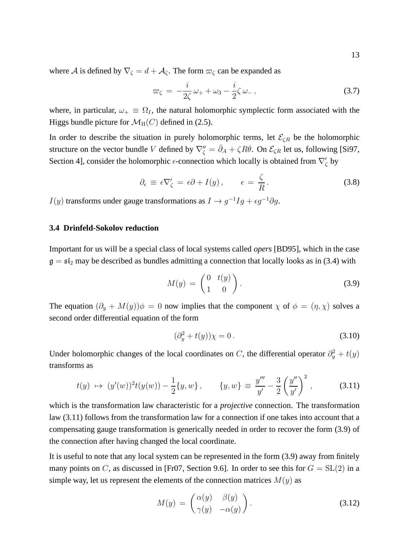where A is defined by  $\nabla_{\zeta} = d + \mathcal{A}_{\zeta}$ . The form  $\varpi_{\zeta}$  can be expanded as

$$
\varpi_{\zeta} = -\frac{i}{2\zeta}\omega_{+} + \omega_{3} - \frac{i}{2}\zeta\omega_{-}, \qquad (3.7)
$$

where, in particular,  $\omega_+ \equiv \Omega_I$ , the natural holomorphic symplectic form associated with the Higgs bundle picture for  $\mathcal{M}_{H}(C)$  defined in (2.5).

In order to describe the situation in purely holomorphic terms, let  $\mathcal{E}_{\zeta R}$  be the holomorphic structure on the vector bundle V defined by  $\nabla''_{\zeta} = \bar{\partial}_A + \zeta R \theta$ . On  $\mathcal{E}_{\zeta R}$  let us, following [Si97, Section 4], consider the holomorphic  $\epsilon$ -connection which locally is obtained from  $\nabla'_{\zeta}$  by

$$
\partial_{\epsilon} \equiv \epsilon \nabla'_{\zeta} = \epsilon \partial + I(y), \qquad \epsilon = \frac{\zeta}{R}.
$$
 (3.8)

 $I(y)$  transforms under gauge transformations as  $I \to g^{-1}Ig + \epsilon g^{-1}\partial g$ .

### **3.4 Drinfeld-Sokolov reduction**

Important for us will be a special class of local systems called *opers* [BD95], which in the case  $g = \mathfrak{sl}_2$  may be described as bundles admitting a connection that locally looks as in (3.4) with

$$
M(y) = \begin{pmatrix} 0 & t(y) \\ 1 & 0 \end{pmatrix} . \tag{3.9}
$$

The equation  $(\partial_y + M(y))\phi = 0$  now implies that the component  $\chi$  of  $\phi = (\eta, \chi)$  solves a second order differential equation of the form

$$
(\partial_y^2 + t(y))\chi = 0.
$$
\n
$$
(3.10)
$$

Under holomorphic changes of the local coordinates on C, the differential operator  $\partial_y^2 + t(y)$ transforms as

$$
t(y) \mapsto (y'(w))^2 t(y(w)) - \frac{1}{2} \{y, w\}, \qquad \{y, w\} \equiv \frac{y'''}{y'} - \frac{3}{2} \left(\frac{y''}{y'}\right)^2, \tag{3.11}
$$

which is the transformation law characteristic for a *projective* connection. The transformation law (3.11) follows from the transformation law for a connection if one takes into account that a compensating gauge transformation is generically needed in order to recover the form (3.9) of the connection after having changed the local coordinate.

It is useful to note that any local system can be represented in the form (3.9) away from finitely many points on C, as discussed in [Fr07, Section 9.6]. In order to see this for  $G = SL(2)$  in a simple way, let us represent the elements of the connection matrices  $M(y)$  as

$$
M(y) = \begin{pmatrix} \alpha(y) & \beta(y) \\ \gamma(y) & -\alpha(y) \end{pmatrix}.
$$
 (3.12)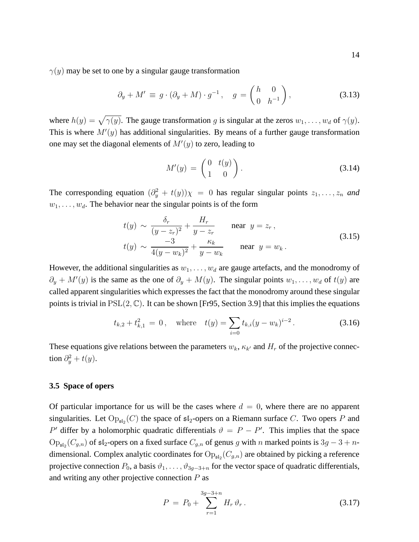$\gamma(y)$  may be set to one by a singular gauge transformation

$$
\partial_y + M' \equiv g \cdot (\partial_y + M) \cdot g^{-1}, \quad g = \begin{pmatrix} h & 0 \\ 0 & h^{-1} \end{pmatrix}, \tag{3.13}
$$

where  $h(y) = \sqrt{\gamma(y)}$ . The gauge transformation g is singular at the zeros  $w_1, \ldots, w_d$  of  $\gamma(y)$ . This is where  $M'(y)$  has additional singularities. By means of a further gauge transformation one may set the diagonal elements of  $M'(y)$  to zero, leading to

$$
M'(y) = \begin{pmatrix} 0 & t(y) \\ 1 & 0 \end{pmatrix} . \tag{3.14}
$$

The corresponding equation  $(\partial_y^2 + t(y))\chi = 0$  has regular singular points  $z_1, \ldots, z_n$  and  $w_1, \ldots, w_d$ . The behavior near the singular points is of the form

$$
t(y) \sim \frac{\delta_r}{(y - z_r)^2} + \frac{H_r}{y - z_r} \quad \text{near } y = z_r,
$$
  

$$
t(y) \sim \frac{-3}{4(y - w_k)^2} + \frac{\kappa_k}{y - w_k} \quad \text{near } y = w_k.
$$
 (3.15)

However, the additional singularities as  $w_1, \ldots, w_d$  are gauge artefacts, and the monodromy of  $\partial_y + M'(y)$  is the same as the one of  $\partial_y + M(y)$ . The singular points  $w_1, \ldots, w_d$  of  $t(y)$  are called apparent singularities which expresses the fact that the monodromy around these singular points is trivial in  $PSL(2, \mathbb{C})$ . It can be shown [Fr95, Section 3.9] that this implies the equations

$$
t_{k,2} + t_{k,1}^2 = 0
$$
, where  $t(y) = \sum_{i=0} t_{k,i}(y - w_k)^{i-2}$ . (3.16)

These equations give relations between the parameters  $w_k$ ,  $\kappa_{k'}$  and  $H_r$  of the projective connection  $\partial_y^2 + t(y)$ .

### **3.5 Space of opers**

Of particular importance for us will be the cases where  $d = 0$ , where there are no apparent singularities. Let  $\text{Op}_{\mathfrak{sl}_2}(C)$  the space of  $\mathfrak{sl}_2$ -opers on a Riemann surface C. Two opers P and P' differ by a holomorphic quadratic differentials  $\vartheta = P - P'$ . This implies that the space  $Op_{\mathfrak{sl}_2}(C_{g,n})$  of  $\mathfrak{sl}_2$ -opers on a fixed surface  $C_{g,n}$  of genus g with n marked points is  $3g-3+n$ dimensional. Complex analytic coordinates for  $\text{Op}_{\mathfrak{sl}_2}(C_{g,n})$  are obtained by picking a reference projective connection  $P_0$ , a basis  $\vartheta_1, \ldots, \vartheta_{3q-3+n}$  for the vector space of quadratic differentials, and writing any other projective connection  $P$  as

$$
P = P_0 + \sum_{r=1}^{3g-3+n} H_r \vartheta_r \,. \tag{3.17}
$$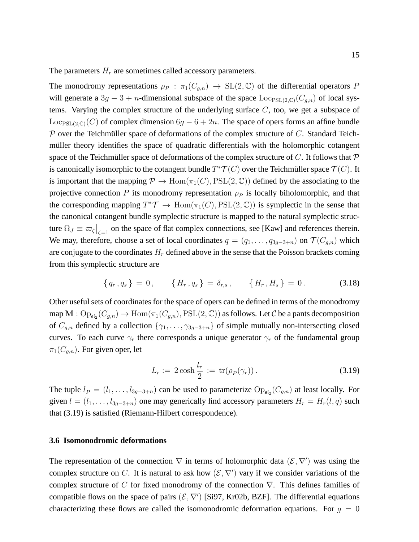The parameters  $H_r$  are sometimes called accessory parameters.

The monodromy representations  $\rho_P : \pi_1(C_{q,n}) \to SL(2,\mathbb{C})$  of the differential operators P will generate a 3g − 3 + n-dimensional subspace of the space  $\text{Loc}_{PSL(2,\mathbb{C})}(C_{q,n})$  of local systems. Varying the complex structure of the underlying surface  $C$ , too, we get a subspace of  $\text{Loc}_{PSL(2,\mathbb{C})}(C)$  of complex dimension  $6g - 6 + 2n$ . The space of opers forms an affine bundle  $\mathcal P$  over the Teichmüller space of deformations of the complex structure of C. Standard Teichmüller theory identifies the space of quadratic differentials with the holomorphic cotangent space of the Teichmüller space of deformations of the complex structure of  $C$ . It follows that  $\mathcal P$ is canonically isomorphic to the cotangent bundle  $T^*\mathcal{T}(C)$  over the Teichmüller space  $\mathcal{T}(C).$  It is important that the mapping  $\mathcal{P} \to \text{Hom}(\pi_1(C), \text{PSL}(2, \mathbb{C}))$  defined by the associating to the projective connection P its monodromy representation  $\rho_P$  is locally biholomorphic, and that the corresponding mapping  $T^*\mathcal{T} \to \text{Hom}(\pi_1(C), \text{PSL}(2, \mathbb{C}))$  is symplectic in the sense that the canonical cotangent bundle symplectic structure is mapped to the natural symplectic structure  $\Omega_J \equiv \varpi \zeta \big|_{\zeta=1}$  on the space of flat complex connections, see [Kaw] and references therein. We may, therefore, choose a set of local coordinates  $q = (q_1, \ldots, q_{3g-3+n})$  on  $\mathcal{T}(C_{g,n})$  which are conjugate to the coordinates  $H_r$  defined above in the sense that the Poisson brackets coming from this symplectic structure are

$$
\{q_r, q_s\} = 0, \qquad \{H_r, q_s\} = \delta_{r,s}, \qquad \{H_r, H_s\} = 0. \tag{3.18}
$$

Other useful sets of coordinates for the space of opers can be defined in terms of the monodromy map  $M: \text{Op}_{\mathfrak{sl}_2}(C_{g,n}) \to \text{Hom}(\pi_1(C_{g,n}), \text{PSL}(2,\mathbb{C}))$  as follows. Let  $\mathcal C$  be a pants decomposition of  $C_{g,n}$  defined by a collection  $\{\gamma_1, \ldots, \gamma_{3g-3+n}\}$  of simple mutually non-intersecting closed curves. To each curve  $\gamma_r$  there corresponds a unique generator  $\gamma_r$  of the fundamental group  $\pi_1(C_{q,n})$ . For given oper, let

$$
L_r := 2\cosh\frac{l_r}{2} := \operatorname{tr}(\rho_P(\gamma_r)).\tag{3.19}
$$

The tuple  $l_P = (l_1, \ldots, l_{3g-3+n})$  can be used to parameterize  $Op_{\mathfrak{sl}_2}(C_{g,n})$  at least locally. For given  $l = (l_1, \ldots, l_{3g-3+n})$  one may generically find accessory parameters  $H_r = H_r(l, q)$  such that (3.19) is satisfied (Riemann-Hilbert correspondence).

## **3.6 Isomonodromic deformations**

The representation of the connection  $\nabla$  in terms of holomorphic data  $(\mathcal{E}, \nabla')$  was using the complex structure on C. It is natural to ask how  $(\mathcal{E}, \nabla')$  vary if we consider variations of the complex structure of C for fixed monodromy of the connection  $\nabla$ . This defines families of compatible flows on the space of pairs  $(\mathcal{E}, \nabla')$  [Si97, Kr02b, BZF]. The differential equations characterizing these flows are called the isomonodromic deformation equations. For  $q = 0$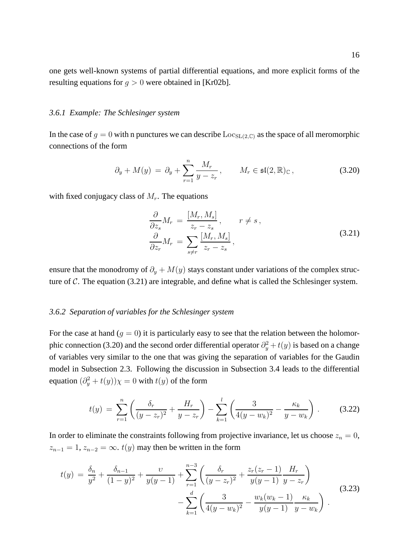one gets well-known systems of partial differential equations, and more explicit forms of the resulting equations for  $q > 0$  were obtained in [Kr02b].

### *3.6.1 Example: The Schlesinger system*

In the case of  $g = 0$  with n punctures we can describe  $\text{Loc}_{SL(2,\mathbb{C})}$  as the space of all meromorphic connections of the form

$$
\partial_y + M(y) = \partial_y + \sum_{r=1}^n \frac{M_r}{y - z_r}, \qquad M_r \in \mathfrak{sl}(2, \mathbb{R})_{\mathbb{C}}, \tag{3.20}
$$

with fixed conjugacy class of  $M_r$ . The equations

$$
\frac{\partial}{\partial z_s} M_r = \frac{[M_r, M_s]}{z_r - z_s}, \qquad r \neq s,
$$
\n
$$
\frac{\partial}{\partial z_r} M_r = \sum_{s \neq r} \frac{[M_r, M_s]}{z_r - z_s},
$$
\n(3.21)

ensure that the monodromy of  $\partial_y + M(y)$  stays constant under variations of the complex structure of  $C$ . The equation (3.21) are integrable, and define what is called the Schlesinger system.

### *3.6.2 Separation of variables for the Schlesinger system*

For the case at hand  $(g = 0)$  it is particularly easy to see that the relation between the holomorphic connection (3.20) and the second order differential operator  $\partial_y^2 + t(y)$  is based on a change of variables very similar to the one that was giving the separation of variables for the Gaudin model in Subsection 2.3. Following the discussion in Subsection 3.4 leads to the differential equation  $(\partial_y^2 + t(y))\chi = 0$  with  $t(y)$  of the form

$$
t(y) = \sum_{r=1}^{n} \left( \frac{\delta_r}{(y - z_r)^2} + \frac{H_r}{y - z_r} \right) - \sum_{k=1}^{l} \left( \frac{3}{4(y - w_k)^2} - \frac{\kappa_k}{y - w_k} \right).
$$
 (3.22)

In order to eliminate the constraints following from projective invariance, let us choose  $z_n = 0$ ,  $z_{n-1} = 1$ ,  $z_{n-2} = \infty$ .  $t(y)$  may then be written in the form

$$
t(y) = \frac{\delta_n}{y^2} + \frac{\delta_{n-1}}{(1-y)^2} + \frac{\nu}{y(y-1)} + \sum_{r=1}^{n-3} \left( \frac{\delta_r}{(y-z_r)^2} + \frac{z_r(z_r-1)}{y(y-1)} \frac{H_r}{y-z_r} \right) - \sum_{k=1}^d \left( \frac{3}{4(y-w_k)^2} - \frac{w_k(w_k-1)}{y(y-1)} \frac{\kappa_k}{y-w_k} \right).
$$
 (3.23)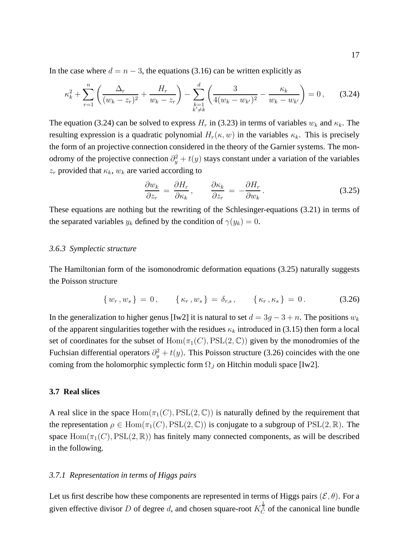In the case where  $d = n - 3$ , the equations (3.16) can be written explicitly as

$$
\kappa_k^2 + \sum_{r=1}^n \left( \frac{\Delta_r}{(w_k - z_r)^2} + \frac{H_r}{w_k - z_r} \right) - \sum_{\substack{k=1\\k' \neq k}}^d \left( \frac{3}{4(w_k - w_{k'})^2} - \frac{\kappa_k}{w_k - w_{k'}} \right) = 0 \,, \tag{3.24}
$$

The equation (3.24) can be solved to express  $H_r$  in (3.23) in terms of variables  $w_k$  and  $\kappa_k$ . The resulting expression is a quadratic polynomial  $H_r(\kappa, w)$  in the variables  $\kappa_k$ . This is precisely the form of an projective connection considered in the theory of the Garnier systems. The monodromy of the projective connection  $\partial_y^2 + t(y)$  stays constant under a variation of the variables  $z_r$  provided that  $\kappa_k$ ,  $w_k$  are varied according to

$$
\frac{\partial w_k}{\partial z_r} = \frac{\partial H_r}{\partial \kappa_k}, \qquad \frac{\partial \kappa_k}{\partial z_r} = -\frac{\partial H_r}{\partial w_k}.
$$
\n(3.25)

These equations are nothing but the rewriting of the Schlesinger-equations (3.21) in terms of the separated variables  $y_k$  defined by the condition of  $\gamma(y_k) = 0$ .

### *3.6.3 Symplectic structure*

The Hamiltonian form of the isomonodromic deformation equations (3.25) naturally suggests the Poisson structure

$$
\{w_r, w_s\} = 0, \qquad \{\kappa_r, w_s\} = \delta_{r,s}, \qquad \{\kappa_r, \kappa_s\} = 0. \tag{3.26}
$$

In the generalization to higher genus [Iw2] it is natural to set  $d = 3g - 3 + n$ . The positions  $w_k$ of the apparent singularities together with the residues  $\kappa_k$  introduced in (3.15) then form a local set of coordinates for the subset of  $Hom(\pi_1(C), PSL(2, \mathbb{C}))$  given by the monodromies of the Fuchsian differential operators  $\partial_y^2 + t(y)$ . This Poisson structure (3.26) coincides with the one coming from the holomorphic symplectic form  $\Omega_J$  on Hitchin moduli space [Iw2].

### **3.7 Real slices**

A real slice in the space  $Hom(\pi_1(C), PSL(2, \mathbb{C}))$  is naturally defined by the requirement that the representation  $\rho \in \text{Hom}(\pi_1(C), \text{PSL}(2, \mathbb{C}))$  is conjugate to a subgroup of  $\text{PSL}(2, \mathbb{R})$ . The space  $Hom(\pi_1(C), PSL(2, \mathbb{R}))$  has finitely many connected components, as will be described in the following.

### *3.7.1 Representation in terms of Higgs pairs*

Let us first describe how these components are represented in terms of Higgs pairs ( $\mathcal{E}, \theta$ ). For a given effective divisor D of degree d, and chosen square-root  $K_C^{\frac{1}{2}}$  of the canonical line bundle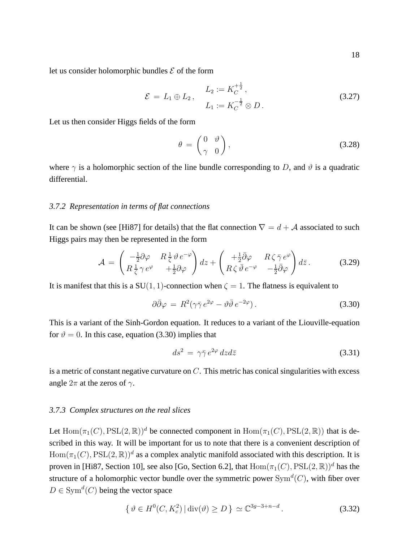let us consider holomorphic bundles  $\mathcal E$  of the form

$$
\mathcal{E} = L_1 \oplus L_2, \qquad L_2 := K_C^{\frac{1}{2}},
$$
  
\n
$$
L_1 := K_C^{-\frac{1}{2}} \otimes D.
$$
\n(3.27)

Let us then consider Higgs fields of the form

$$
\theta = \begin{pmatrix} 0 & \vartheta \\ \gamma & 0 \end{pmatrix}, \tag{3.28}
$$

where  $\gamma$  is a holomorphic section of the line bundle corresponding to D, and  $\vartheta$  is a quadratic differential.

# *3.7.2 Representation in terms of flat connections*

It can be shown (see [Hi87] for details) that the flat connection  $\nabla = d + A$  associated to such Higgs pairs may then be represented in the form

$$
\mathcal{A} = \begin{pmatrix} -\frac{1}{2}\partial\varphi & R\frac{1}{\zeta}\vartheta e^{-\varphi} \\ R\frac{1}{\zeta}\gamma e^{\varphi} & +\frac{1}{2}\partial\varphi \end{pmatrix} dz + \begin{pmatrix} +\frac{1}{2}\bar{\partial}\varphi & R\zeta\bar{\gamma}e^{\varphi} \\ R\zeta\bar{\vartheta}e^{-\varphi} & -\frac{1}{2}\bar{\partial}\varphi \end{pmatrix} d\bar{z}.
$$
 (3.29)

It is manifest that this is a SU(1, 1)-connection when  $\zeta = 1$ . The flatness is equivalent to

$$
\partial \bar{\partial} \varphi = R^2 (\gamma \bar{\gamma} e^{2\varphi} - \vartheta \bar{\vartheta} e^{-2\varphi}). \tag{3.30}
$$

This is a variant of the Sinh-Gordon equation. It reduces to a variant of the Liouville-equation for  $\vartheta = 0$ . In this case, equation (3.30) implies that

$$
ds^2 = \gamma \bar{\gamma} e^{2\varphi} dz d\bar{z}
$$
 (3.31)

is a metric of constant negative curvature on  $C$ . This metric has conical singularities with excess angle  $2\pi$  at the zeros of  $\gamma$ .

### *3.7.3 Complex structures on the real slices*

Let  $\text{Hom}(\pi_1(C), \text{PSL}(2, \mathbb{R}))^d$  be connected component in  $\text{Hom}(\pi_1(C), \text{PSL}(2, \mathbb{R}))$  that is described in this way. It will be important for us to note that there is a convenient description of  $Hom(\pi_1(C), \mathrm{PSL}(2, \mathbb{R}))^d$  as a complex analytic manifold associated with this description. It is proven in [Hi87, Section 10], see also [Go, Section 6.2], that  $\text{Hom}(\pi_1(C), \text{PSL}(2, \mathbb{R}))^d$  has the structure of a holomorphic vector bundle over the symmetric power  $\text{Sym}^d(C)$ , with fiber over  $D \in \text{Sym}^d(C)$  being the vector space

$$
\{ \vartheta \in H^0(C, K_c^2) \, | \, \text{div}(\vartheta) \ge D \} \simeq \mathbb{C}^{3g-3+n-d} \,. \tag{3.32}
$$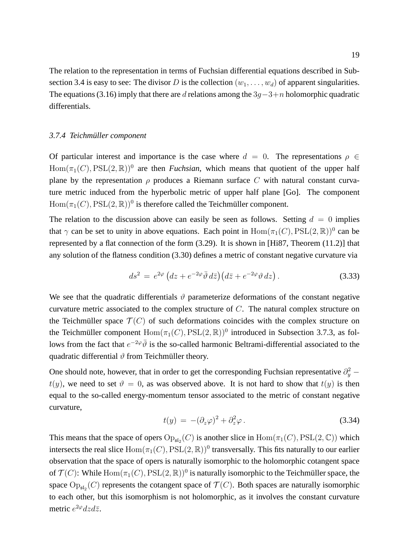The relation to the representation in terms of Fuchsian differential equations described in Subsection 3.4 is easy to see: The divisor D is the collection  $(w_1, \ldots, w_d)$  of apparent singularities. The equations (3.16) imply that there are d relations among the  $3g-3+n$  holomorphic quadratic differentials.

### *3.7.4 Teichmuller component ¨*

Of particular interest and importance is the case where  $d = 0$ . The representations  $\rho \in$  $Hom(\pi_1(C), PSL(2, \mathbb{R}))^0$  are then *Fuchsian*, which means that quotient of the upper half plane by the representation  $\rho$  produces a Riemann surface C with natural constant curvature metric induced from the hyperbolic metric of upper half plane [Go]. The component  $Hom(\pi_1(C), \text{PSL}(2, \mathbb{R}))^0$  is therefore called the Teichmüller component.

The relation to the discussion above can easily be seen as follows. Setting  $d = 0$  implies that  $\gamma$  can be set to unity in above equations. Each point in  $Hom(\pi_1(C), PSL(2, \mathbb{R}))^0$  can be represented by a flat connection of the form (3.29). It is shown in [Hi87, Theorem (11.2)] that any solution of the flatness condition (3.30) defines a metric of constant negative curvature via

$$
ds^{2} = e^{2\varphi} \left( dz + e^{-2\varphi} \bar{\vartheta} d\bar{z} \right) \left( d\bar{z} + e^{-2\varphi} \vartheta dz \right). \tag{3.33}
$$

We see that the quadratic differentials  $\vartheta$  parameterize deformations of the constant negative curvature metric associated to the complex structure of  $C$ . The natural complex structure on the Teichmüller space  $\mathcal{T}(C)$  of such deformations coincides with the complex structure on the Teichmüller component  $Hom(\pi_1(C), PSL(2, \mathbb{R}))^0$  introduced in Subsection 3.7.3, as follows from the fact that  $e^{-2\varphi}\bar{\vartheta}$  is the so-called harmonic Beltrami-differential associated to the quadratic differential  $\vartheta$  from Teichmüller theory.

One should note, however, that in order to get the corresponding Fuchsian representative  $\partial_y^2$  –  $t(y)$ , we need to set  $\vartheta = 0$ , as was observed above. It is not hard to show that  $t(y)$  is then equal to the so-called energy-momentum tensor associated to the metric of constant negative curvature,

$$
t(y) = -(\partial_z \varphi)^2 + \partial_z^2 \varphi. \tag{3.34}
$$

This means that the space of opers  $Op_{s12}(C)$  is another slice in  $Hom(\pi_1(C), PSL(2, \mathbb{C}))$  which intersects the real slice  $\text{Hom}(\pi_1(C), \text{PSL}(2, \mathbb{R}))^0$  transversally. This fits naturally to our earlier observation that the space of opers is naturally isomorphic to the holomorphic cotangent space of  $\mathcal{T}(C)$ : While  $\text{Hom}(\pi_1(C), \text{PSL}(2, \mathbb{R}))^0$  is naturally isomorphic to the Teichmüller space, the space  $\text{Op}_{\mathfrak{sl}_2}(C)$  represents the cotangent space of  $\mathcal{T}(C)$ . Both spaces are naturally isomorphic to each other, but this isomorphism is not holomorphic, as it involves the constant curvature metric  $e^{2\varphi}dzd\bar{z}$ .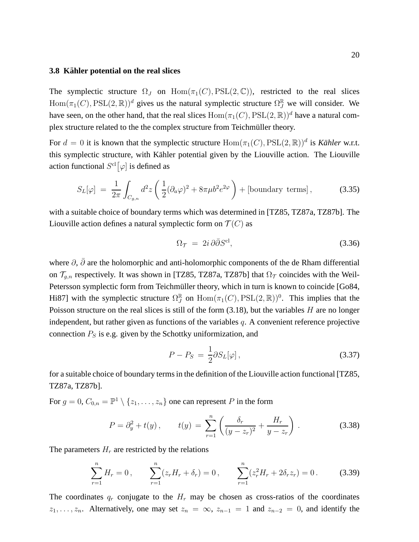### **3.8 Kahler potential on the real slices ¨**

The symplectic structure  $\Omega_J$  on  $\text{Hom}(\pi_1(C), \text{PSL}(2, \mathbb{C}))$ , restricted to the real slices  $Hom(\pi_1(C), \text{PSL}(2, \mathbb{R}))^d$  gives us the natural symplectic structure  $\Omega_J^{\mathbb{R}}$  we will consider. We have seen, on the other hand, that the real slices  $Hom(\pi_1(C), PSL(2, \mathbb{R}))^d$  have a natural complex structure related to the the complex structure from Teichmüller theory.

For  $d = 0$  it is known that the symplectic structure  $Hom(\pi_1(C), PSL(2, \mathbb{R}))^d$  is *Kähler* w.r.t. this symplectic structure, with Kähler potential given by the Liouville action. The Liouville action functional  $S^{\text{cl}}[\varphi]$  is defined as

$$
S_L[\varphi] = \frac{1}{2\pi} \int_{C_{g,n}} d^2 z \left( \frac{1}{2} (\partial_a \varphi)^2 + 8\pi \mu b^2 e^{2\varphi} \right) + \text{[boundary terms]},\tag{3.35}
$$

with a suitable choice of boundary terms which was determined in [TZ85, TZ87a, TZ87b]. The Liouville action defines a natural symplectic form on  $\mathcal{T}(C)$  as

$$
\Omega_{\mathcal{T}} = 2i \,\partial \bar{\partial} S^{\text{cl}},\tag{3.36}
$$

where  $\partial$ ,  $\bar{\partial}$  are the holomorphic and anti-holomorphic components of the de Rham differential on  $\mathcal{T}_{g,n}$  respectively. It was shown in [TZ85, TZ87a, TZ87b] that  $\Omega_{\mathcal{T}}$  coincides with the Weil-Petersson symplectic form from Teichmüller theory, which in turn is known to coincide [Go84, Hi87] with the symplectic structure  $\Omega_J^{\mathbb{R}}$  $\mathbb{F}_J^{\mathbb{R}}$  on  $\text{Hom}(\pi_1(C), \text{PSL}(2, \mathbb{R}))^0$ . This implies that the Poisson structure on the real slices is still of the form  $(3.18)$ , but the variables H are no longer independent, but rather given as functions of the variables  $q$ . A convenient reference projective connection  $P<sub>S</sub>$  is e.g. given by the Schottky uniformization, and

$$
P - P_S = \frac{1}{2} \partial S_L[\varphi], \qquad (3.37)
$$

for a suitable choice of boundary terms in the definition of the Liouville action functional [TZ85, TZ87a, TZ87b].

For  $g = 0$ ,  $C_{0,n} = \mathbb{P}^1 \setminus \{z_1, \ldots, z_n\}$  one can represent P in the form

$$
P = \partial_y^2 + t(y), \qquad t(y) = \sum_{r=1}^n \left( \frac{\delta_r}{(y - z_r)^2} + \frac{H_r}{y - z_r} \right). \tag{3.38}
$$

The parameters  $H_r$  are restricted by the relations

$$
\sum_{r=1}^{n} H_r = 0, \qquad \sum_{r=1}^{n} (z_r H_r + \delta_r) = 0, \qquad \sum_{r=1}^{n} (z_r^2 H_r + 2\delta_r z_r) = 0. \tag{3.39}
$$

The coordinates  $q_r$  conjugate to the  $H_r$  may be chosen as cross-ratios of the coordinates  $z_1, \ldots, z_n$ . Alternatively, one may set  $z_n = \infty$ ,  $z_{n-1} = 1$  and  $z_{n-2} = 0$ , and identify the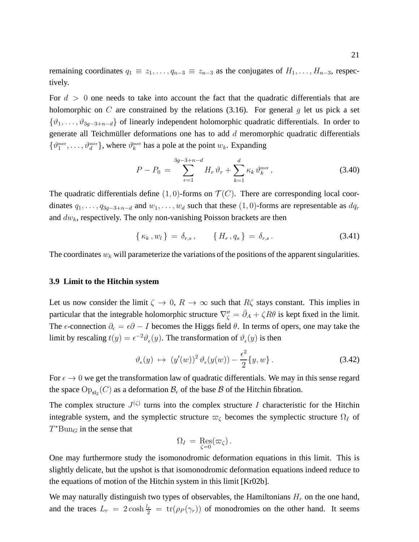remaining coordinates  $q_1 \equiv z_1, \ldots, q_{n-3} \equiv z_{n-3}$  as the conjugates of  $H_1, \ldots, H_{n-3}$ , respectively.

For  $d > 0$  one needs to take into account the fact that the quadratic differentials that are holomorphic on C are constrained by the relations  $(3.16)$ . For general g let us pick a set  $\{\vartheta_1,\ldots,\vartheta_{3g-3+n-d}\}$  of linearly independent holomorphic quadratic differentials. In order to generate all Teichmüller deformations one has to add  $d$  meromorphic quadratic differentials  $\{\vartheta_1^{\text{mer}}, \dots, \vartheta_d^{\text{mer}}\}$ , where  $\vartheta_k^{\text{mer}}$  has a pole at the point  $w_k$ . Expanding

$$
P - P_0 = \sum_{r=1}^{3g-3+n-d} H_r \,\vartheta_r + \sum_{k=1}^d \kappa_k \,\vartheta_k^{\text{mer}}, \tag{3.40}
$$

The quadratic differentials define  $(1, 0)$ -forms on  $\mathcal{T}(C)$ . There are corresponding local coordinates  $q_1, \ldots, q_{3g-3+n-d}$  and  $w_1, \ldots, w_d$  such that these  $(1, 0)$ -forms are representable as  $dq_r$ and  $dw_k$ , respectively. The only non-vanishing Poisson brackets are then

$$
\{ \kappa_k, w_l \} = \delta_{r,s} , \qquad \{ H_r, q_s \} = \delta_{r,s} . \qquad (3.41)
$$

The coordinates  $w_k$  will parameterize the variations of the positions of the apparent singularities.

# **3.9 Limit to the Hitchin system**

Let us now consider the limit  $\zeta \to 0$ ,  $R \to \infty$  such that  $R\zeta$  stays constant. This implies in particular that the integrable holomorphic structure  $\nabla''_{\zeta} = \bar{\partial}_A + \zeta R\theta$  is kept fixed in the limit. The  $\epsilon$ -connection  $\partial_{\epsilon} = \epsilon \partial - I$  becomes the Higgs field  $\theta$ . In terms of opers, one may take the limit by rescaling  $t(y) = \epsilon^{-2} \vartheta_{\epsilon}(y)$ . The transformation of  $\vartheta_{\epsilon}(y)$  is then

$$
\vartheta_{\epsilon}(y) \ \mapsto \ (y'(w))^2 \,\vartheta_{\epsilon}(y(w)) - \frac{\epsilon^2}{2} \{y, w\} \,. \tag{3.42}
$$

For  $\epsilon \to 0$  we get the transformation law of quadratic differentials. We may in this sense regard the space  $\text{Op}_{\mathfrak{sl}_2}(C)$  as a deformation  $\mathcal{B}_{\epsilon}$  of the base  $\mathcal B$  of the Hitchin fibration.

The complex structure  $J^{(\zeta)}$  turns into the complex structure I characteristic for the Hitchin integrable system, and the symplectic structure  $\varpi_{\zeta}$  becomes the symplectic structure  $\Omega_{I}$  of  $T^*Bun_G$  in the sense that

$$
\Omega_I = \operatorname{Res}_{\zeta=0}(\varpi_\zeta).
$$

One may furthermore study the isomonodromic deformation equations in this limit. This is slightly delicate, but the upshot is that isomonodromic deformation equations indeed reduce to the equations of motion of the Hitchin system in this limit [Kr02b].

We may naturally distinguish two types of observables, the Hamiltonians  $H_r$  on the one hand, and the traces  $L_r = 2 \cosh \frac{l_r}{2} = \text{tr}(\rho_P(\gamma_r))$  of monodromies on the other hand. It seems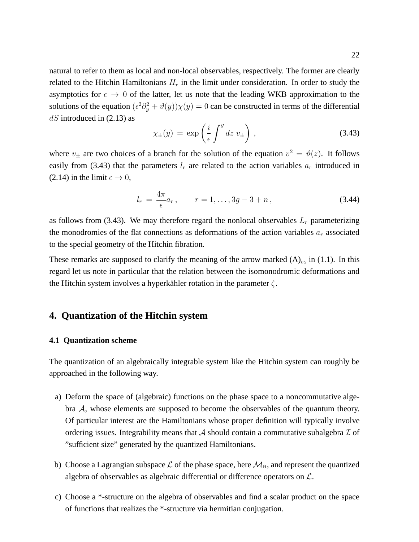natural to refer to them as local and non-local observables, respectively. The former are clearly related to the Hitchin Hamiltonians  $H_r$  in the limit under consideration. In order to study the asymptotics for  $\epsilon \to 0$  of the latter, let us note that the leading WKB approximation to the solutions of the equation  $(\epsilon^2 \partial_y^2 + \vartheta(y))\chi(y) = 0$  can be constructed in terms of the differential  $dS$  introduced in (2.13) as

$$
\chi_{\pm}(y) = \exp\left(\frac{i}{\epsilon} \int^y dz \, v_{\pm}\right), \tag{3.43}
$$

where  $v_{\pm}$  are two choices of a branch for the solution of the equation  $v^2 = \vartheta(z)$ . It follows easily from (3.43) that the parameters  $l_r$  are related to the action variables  $a_r$  introduced in (2.14) in the limit  $\epsilon \to 0$ ,

$$
l_r = \frac{4\pi}{\epsilon} a_r, \qquad r = 1, \dots, 3g - 3 + n, \tag{3.44}
$$

as follows from (3.43). We may therefore regard the nonlocal observables  $L_r$  parameterizing the monodromies of the flat connections as deformations of the action variables  $a_r$  associated to the special geometry of the Hitchin fibration.

These remarks are supposed to clarify the meaning of the arrow marked  $(A)_{\epsilon_2}$  in (1.1). In this regard let us note in particular that the relation between the isomonodromic deformations and the Hitchin system involves a hyperkähler rotation in the parameter  $\zeta$ .

# **4. Quantization of the Hitchin system**

### **4.1 Quantization scheme**

The quantization of an algebraically integrable system like the Hitchin system can roughly be approached in the following way.

- a) Deform the space of (algebraic) functions on the phase space to a noncommutative algebra A, whose elements are supposed to become the observables of the quantum theory. Of particular interest are the Hamiltonians whose proper definition will typically involve ordering issues. Integrability means that  $A$  should contain a commutative subalgebra  $I$  of "sufficient size" generated by the quantized Hamiltonians.
- b) Choose a Lagrangian subspace  $\mathcal L$  of the phase space, here  $\mathcal M_H$ , and represent the quantized algebra of observables as algebraic differential or difference operators on  $\mathcal{L}$ .
- c) Choose a \*-structure on the algebra of observables and find a scalar product on the space of functions that realizes the \*-structure via hermitian conjugation.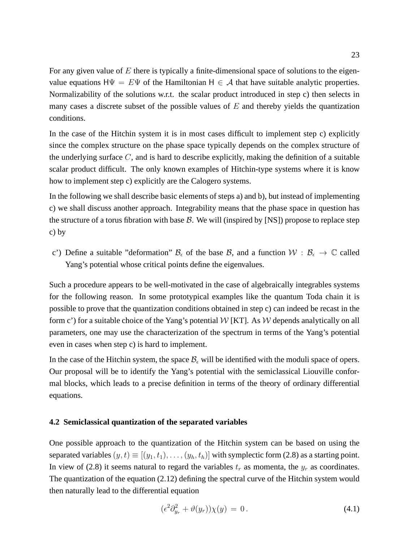For any given value of  $E$  there is typically a finite-dimensional space of solutions to the eigenvalue equations  $H\Psi = E\Psi$  of the Hamiltonian  $H \in \mathcal{A}$  that have suitable analytic properties. Normalizability of the solutions w.r.t. the scalar product introduced in step c) then selects in many cases a discrete subset of the possible values of  $E$  and thereby yields the quantization conditions.

In the case of the Hitchin system it is in most cases difficult to implement step c) explicitly since the complex structure on the phase space typically depends on the complex structure of the underlying surface C, and is hard to describe explicitly, making the definition of a suitable scalar product difficult. The only known examples of Hitchin-type systems where it is know how to implement step c) explicitly are the Calogero systems.

In the following we shall describe basic elements of steps a) and b), but instead of implementing c) we shall discuss another approach. Integrability means that the phase space in question has the structure of a torus fibration with base  $\beta$ . We will (inspired by [NS]) propose to replace step c) by

c') Define a suitable "deformation"  $B_{\epsilon}$  of the base B, and a function  $W : B_{\epsilon} \to \mathbb{C}$  called Yang's potential whose critical points define the eigenvalues.

Such a procedure appears to be well-motivated in the case of algebraically integrables systems for the following reason. In some prototypical examples like the quantum Toda chain it is possible to prove that the quantization conditions obtained in step c) can indeed be recast in the form c') for a suitable choice of the Yang's potential  $W$  [KT]. As  $W$  depends analytically on all parameters, one may use the characterization of the spectrum in terms of the Yang's potential even in cases when step c) is hard to implement.

In the case of the Hitchin system, the space  $B_\epsilon$  will be identified with the moduli space of opers. Our proposal will be to identify the Yang's potential with the semiclassical Liouville conformal blocks, which leads to a precise definition in terms of the theory of ordinary differential equations.

### **4.2 Semiclassical quantization of the separated variables**

One possible approach to the quantization of the Hitchin system can be based on using the separated variables  $(y, t) \equiv [(y_1, t_1), \dots, (y_h, t_h)]$  with symplectic form (2.8) as a starting point. In view of (2.8) it seems natural to regard the variables  $t_r$  as momenta, the  $y_r$  as coordinates. The quantization of the equation (2.12) defining the spectral curve of the Hitchin system would then naturally lead to the differential equation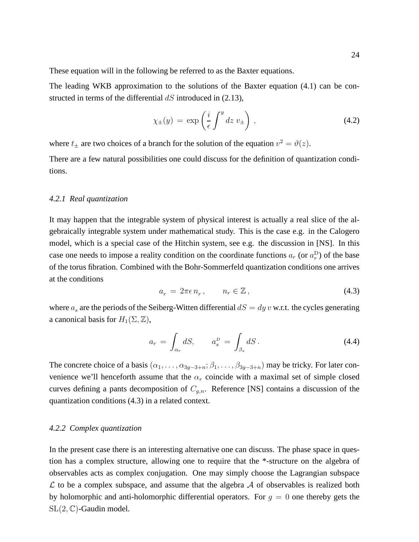These equation will in the following be referred to as the Baxter equations.

The leading WKB approximation to the solutions of the Baxter equation (4.1) can be constructed in terms of the differential  $dS$  introduced in (2.13),

$$
\chi_{\pm}(y) = \exp\left(\frac{i}{\epsilon} \int^y dz \, v_{\pm}\right),\tag{4.2}
$$

where  $t_{\pm}$  are two choices of a branch for the solution of the equation  $v^2 = \vartheta(z)$ .

There are a few natural possibilities one could discuss for the definition of quantization conditions.

### *4.2.1 Real quantization*

It may happen that the integrable system of physical interest is actually a real slice of the algebraically integrable system under mathematical study. This is the case e.g. in the Calogero model, which is a special case of the Hitchin system, see e.g. the discussion in [NS]. In this case one needs to impose a reality condition on the coordinate functions  $a_r$  (or  $a_r^D$ ) of the base of the torus fibration. Combined with the Bohr-Sommerfeld quantization conditions one arrives at the conditions

$$
a_r = 2\pi\epsilon n_r, \qquad n_r \in \mathbb{Z}, \tag{4.3}
$$

where  $a_s$  are the periods of the Seiberg-Witten differential  $dS = dy v$  w.r.t. the cycles generating a canonical basis for  $H_1(\Sigma, \mathbb{Z})$ ,

$$
a_r = \int_{\alpha_r} dS, \qquad a_s^D = \int_{\beta_s} dS. \tag{4.4}
$$

The concrete choice of a basis  $(\alpha_1, \ldots, \alpha_{3q-3+n}; \beta_1, \ldots, \beta_{3q-3+n})$  may be tricky. For later convenience we'll henceforth assume that the  $\alpha_r$  coincide with a maximal set of simple closed curves defining a pants decomposition of  $C_{q,n}$ . Reference [NS] contains a discussion of the quantization conditions (4.3) in a related context.

### *4.2.2 Complex quantization*

In the present case there is an interesting alternative one can discuss. The phase space in question has a complex structure, allowing one to require that the \*-structure on the algebra of observables acts as complex conjugation. One may simply choose the Lagrangian subspace  $\mathcal L$  to be a complex subspace, and assume that the algebra  $\mathcal A$  of observables is realized both by holomorphic and anti-holomorphic differential operators. For  $q = 0$  one thereby gets the SL(2, C)-Gaudin model.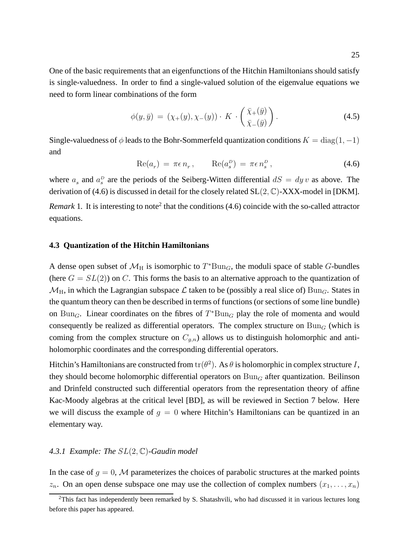One of the basic requirements that an eigenfunctions of the Hitchin Hamiltonians should satisfy is single-valuedness. In order to find a single-valued solution of the eigenvalue equations we need to form linear combinations of the form

$$
\phi(y,\bar{y}) = (\chi_+(y), \chi_-(y)) \cdot K \cdot \left(\frac{\bar{\chi}_+(\bar{y})}{\bar{\chi}_-(\bar{y})}\right). \tag{4.5}
$$

Single-valuedness of  $\phi$  leads to the Bohr-Sommerfeld quantization conditions  $K = diag(1, -1)$ and

$$
Re(a_r) = \pi \epsilon n_r, \qquad Re(a_s^D) = \pi \epsilon n_s^D, \qquad (4.6)
$$

where  $a_s$  and  $a_s^D$  are the periods of the Seiberg-Witten differential  $dS = dy v$  as above. The derivation of (4.6) is discussed in detail for the closely related  $SL(2, \mathbb{C})$ -XXX-model in [DKM].

*Remark* 1. It is interesting to note<sup>2</sup> that the conditions  $(4.6)$  coincide with the so-called attractor equations.

# **4.3 Quantization of the Hitchin Hamiltonians**

A dense open subset of  $\mathcal{M}_{H}$  is isomorphic to  $T^{*}Bun_{G}$ , the moduli space of stable G-bundles (here  $G = SL(2)$ ) on C. This forms the basis to an alternative approach to the quantization of  $\mathcal{M}_{\rm H}$ , in which the Lagrangian subspace  $\mathcal L$  taken to be (possibly a real slice of) Bun<sub>G</sub>. States in the quantum theory can then be described in terms of functions (or sections of some line bundle) on Bun<sub>G</sub>. Linear coordinates on the fibres of  $T^*Bun_G$  play the role of momenta and would consequently be realized as differential operators. The complex structure on  $Bun_G$  (which is coming from the complex structure on  $C_{g,n}$ ) allows us to distinguish holomorphic and antiholomorphic coordinates and the corresponding differential operators.

Hitchin's Hamiltonians are constructed from  $\text{tr}(\theta^2)$ . As  $\theta$  is holomorphic in complex structure I, they should become holomorphic differential operators on  $Bun_G$  after quantization. Beilinson and Drinfeld constructed such differential operators from the representation theory of affine Kac-Moody algebras at the critical level [BD], as will be reviewed in Section 7 below. Here we will discuss the example of  $g = 0$  where Hitchin's Hamiltonians can be quantized in an elementary way.

# *4.3.1 Example: The* SL(2, C)*-Gaudin model*

In the case of  $g = 0$ , M parameterizes the choices of parabolic structures at the marked points  $z_n$ . On an open dense subspace one may use the collection of complex numbers  $(x_1, \ldots, x_n)$ 

<sup>&</sup>lt;sup>2</sup>This fact has independently been remarked by S. Shatashvili, who had discussed it in various lectures long before this paper has appeared.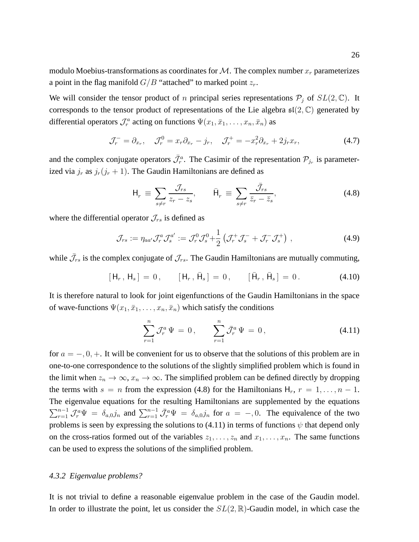modulo Moebius-transformations as coordinates for  $\mathcal M$ . The complex number  $x_r$  parameterizes a point in the flag manifold  $G/B$  "attached" to marked point  $z_r$ .

We will consider the tensor product of *n* principal series representations  $P_i$  of  $SL(2, \mathbb{C})$ . It corresponds to the tensor product of representations of the Lie algebra  $\mathfrak{sl}(2,\mathbb{C})$  generated by differential operators  $\mathcal{J}_r^a$  acting on functions  $\Psi(x_1, \bar{x}_1, \dots, x_n, \bar{x}_n)$  as

$$
\mathcal{J}_r^- = \partial_{x_r}, \quad \mathcal{J}_r^0 = x_r \partial_{x_r} - j_r, \quad \mathcal{J}_r^+ = -x_r^2 \partial_{x_r} + 2j_r x_r,\tag{4.7}
$$

and the complex conjugate operators  $\bar{\mathcal{J}}_r^a$ . The Casimir of the representation  $\mathcal{P}_{j_r}$  is parameterized via  $j_r$  as  $j_r(j_r + 1)$ . The Gaudin Hamiltonians are defined as

$$
\mathsf{H}_r \equiv \sum_{s \neq r} \frac{\mathcal{J}_{rs}}{z_r - z_s}, \qquad \bar{\mathsf{H}}_r \equiv \sum_{s \neq r} \frac{\bar{\mathcal{J}}_{rs}}{\bar{z}_r - \bar{z}_s}, \tag{4.8}
$$

where the differential operator  $\mathcal{J}_{rs}$  is defined as

$$
\mathcal{J}_{rs} := \eta_{aa'} \mathcal{J}_r^a \mathcal{J}_s^{a'} := \mathcal{J}_r^0 \mathcal{J}_s^0 + \frac{1}{2} \left( \mathcal{J}_r^+ \mathcal{J}_s^- + \mathcal{J}_r^- \mathcal{J}_s^+ \right) , \qquad (4.9)
$$

while  $\bar{\mathcal{J}}_{rs}$  is the complex conjugate of  $\mathcal{J}_{rs}$ . The Gaudin Hamiltonians are mutually commuting,

$$
[\mathsf{H}_r, \mathsf{H}_s] = 0, \qquad [\mathsf{H}_r, \bar{\mathsf{H}}_s] = 0, \qquad [\bar{\mathsf{H}}_r, \bar{\mathsf{H}}_s] = 0. \tag{4.10}
$$

It is therefore natural to look for joint eigenfunctions of the Gaudin Hamiltonians in the space of wave-functions  $\Psi(x_1, \bar{x}_1, \dots, x_n, \bar{x}_n)$  which satisfy the conditions

$$
\sum_{r=1}^{n} \mathcal{J}_r^a \Psi = 0, \qquad \sum_{r=1}^{n} \bar{\mathcal{J}}_r^a \Psi = 0, \tag{4.11}
$$

for  $a = -, 0, +$ . It will be convenient for us to observe that the solutions of this problem are in one-to-one correspondence to the solutions of the slightly simplified problem which is found in the limit when  $z_n \to \infty$ ,  $x_n \to \infty$ . The simplified problem can be defined directly by dropping the terms with  $s = n$  from the expression (4.8) for the Hamiltonians  $H_r$ ,  $r = 1, \ldots, n - 1$ . The eigenvalue equations for the resulting Hamiltonians are supplemented by the equations  $\sum_{r=1}^{n-1} \mathcal{J}_r^a \Psi = \delta_{a,0} j_n$  and  $\sum_{r=1}^{n-1} \bar{\mathcal{J}}_r^a \Psi = \delta_{a,0} j_n$  for  $a = -1, 0$ . The equivalence of the two problems is seen by expressing the solutions to (4.11) in terms of functions  $\psi$  that depend only on the cross-ratios formed out of the variables  $z_1, \ldots, z_n$  and  $x_1, \ldots, x_n$ . The same functions can be used to express the solutions of the simplified problem.

# *4.3.2 Eigenvalue problems?*

It is not trivial to define a reasonable eigenvalue problem in the case of the Gaudin model. In order to illustrate the point, let us consider the  $SL(2,\mathbb{R})$ -Gaudin model, in which case the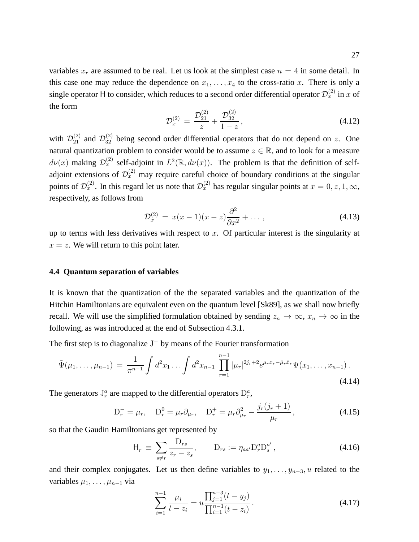variables  $x_r$  are assumed to be real. Let us look at the simplest case  $n = 4$  in some detail. In this case one may reduce the dependence on  $x_1, \ldots, x_4$  to the cross-ratio x. There is only a single operator H to consider, which reduces to a second order differential operator  $\mathcal{D}_x^{(2)}$  in x of the form

$$
\mathcal{D}_x^{(2)} = \frac{\mathcal{D}_{21}^{(2)}}{z} + \frac{\mathcal{D}_{32}^{(2)}}{1-z},\tag{4.12}
$$

with  $\mathcal{D}_{21}^{(2)}$  and  $\mathcal{D}_{32}^{(2)}$  being second order differential operators that do not depend on z. One natural quantization problem to consider would be to assume  $z \in \mathbb{R}$ , and to look for a measure  $d\nu(x)$  making  $\mathcal{D}_x^{(2)}$  self-adjoint in  $L^2(\mathbb{R}, d\nu(x))$ . The problem is that the definition of selfadjoint extensions of  $\mathcal{D}_x^{(2)}$  may require careful choice of boundary conditions at the singular points of  $\mathcal{D}_x^{(2)}$ . In this regard let us note that  $\mathcal{D}_x^{(2)}$  has regular singular points at  $x = 0, z, 1, \infty$ , respectively, as follows from

$$
\mathcal{D}_x^{(2)} = x(x-1)(x-z)\frac{\partial^2}{\partial x^2} + \dots, \tag{4.13}
$$

up to terms with less derivatives with respect to  $x$ . Of particular interest is the singularity at  $x = z$ . We will return to this point later.

# **4.4 Quantum separation of variables**

It is known that the quantization of the the separated variables and the quantization of the Hitchin Hamiltonians are equivalent even on the quantum level [Sk89], as we shall now briefly recall. We will use the simplified formulation obtained by sending  $z_n \to \infty$ ,  $x_n \to \infty$  in the following, as was introduced at the end of Subsection 4.3.1.

The first step is to diagonalize  $J^-$  by means of the Fourier transformation

$$
\tilde{\Psi}(\mu_1, \dots, \mu_{n-1}) = \frac{1}{\pi^{n-1}} \int d^2 x_1 \dots \int d^2 x_{n-1} \prod_{r=1}^{n-1} |\mu_r|^{2j_r+2} e^{\mu_r x_r - \bar{\mu}_r \bar{x}_r} \Psi(x_1, \dots, x_{n-1}). \tag{4.14}
$$

The generators  $J_r^a$  are mapped to the differential operators  $D_r^a$ ,

$$
D_r^- = \mu_r, \quad D_r^0 = \mu_r \partial_{\mu_r}, \quad D_r^+ = \mu_r \partial_{\mu_r}^2 - \frac{j_r(j_r + 1)}{\mu_r}, \tag{4.15}
$$

so that the Gaudin Hamiltonians get represented by

$$
H_r \equiv \sum_{s \neq r} \frac{D_{rs}}{z_r - z_s}, \qquad D_{rs} := \eta_{aa'} D_r^a D_s^{a'}, \qquad (4.16)
$$

and their complex conjugates. Let us then define variables to  $y_1, \ldots, y_{n-3}$ , u related to the variables  $\mu_1, \ldots, \mu_{n-1}$  via

$$
\sum_{i=1}^{n-1} \frac{\mu_i}{t - z_i} = u \frac{\prod_{j=1}^{n-3} (t - y_j)}{\prod_{i=1}^{n-1} (t - z_i)}.
$$
\n(4.17)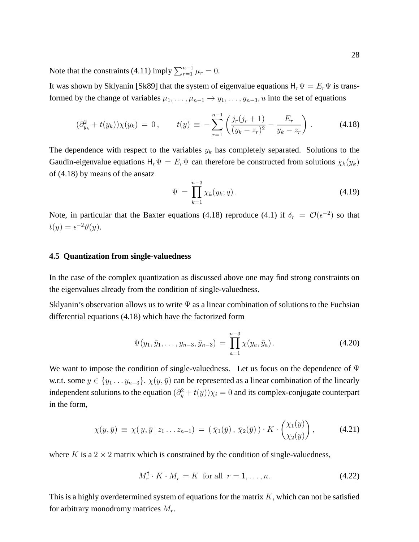Note that the constraints (4.11) imply  $\sum_{r=1}^{n-1} \mu_r = 0$ .

It was shown by Sklyanin [Sk89] that the system of eigenvalue equations  $H_r\Psi = E_r\Psi$  is transformed by the change of variables  $\mu_1, \ldots, \mu_{n-1} \to y_1, \ldots, y_{n-3}, u$  into the set of equations

$$
(\partial_{y_k}^2 + t(y_k))\chi(y_k) = 0, \qquad t(y) \equiv -\sum_{r=1}^{n-1} \left( \frac{j_r(j_r+1)}{(y_k - z_r)^2} - \frac{E_r}{y_k - z_r} \right). \tag{4.18}
$$

The dependence with respect to the variables  $y_k$  has completely separated. Solutions to the Gaudin-eigenvalue equations  $H_r\Psi = E_r\Psi$  can therefore be constructed from solutions  $\chi_k(y_k)$ of (4.18) by means of the ansatz

$$
\Psi = \prod_{k=1}^{n-3} \chi_k(y_k; q).
$$
\n(4.19)

Note, in particular that the Baxter equations (4.18) reproduce (4.1) if  $\delta_r = \mathcal{O}(\epsilon^{-2})$  so that  $t(y) = \epsilon^{-2}\vartheta(y).$ 

### **4.5 Quantization from single-valuedness**

In the case of the complex quantization as discussed above one may find strong constraints on the eigenvalues already from the condition of single-valuedness.

Sklyanin's observation allows us to write  $\Psi$  as a linear combination of solutions to the Fuchsian differential equations (4.18) which have the factorized form

$$
\Psi(y_1, \bar{y}_1, \dots, y_{n-3}, \bar{y}_{n-3}) = \prod_{a=1}^{n-3} \chi(y_a, \bar{y}_a).
$$
 (4.20)

We want to impose the condition of single-valuedness. Let us focus on the dependence of  $\Psi$ w.r.t. some  $y \in \{y_1 \ldots y_{n-3}\}\$ .  $\chi(y, \bar{y})$  can be represented as a linear combination of the linearly independent solutions to the equation  $(\partial_y^2 + t(y))\chi_i = 0$  and its complex-conjugate counterpart in the form,

$$
\chi(y,\bar{y}) \equiv \chi(y,\bar{y} \,|\, z_1 \ldots z_{n-1}) = (\bar{\chi}_1(\bar{y}),\, \bar{\chi}_2(\bar{y})) \cdot K \cdot \begin{pmatrix} \chi_1(y) \\ \chi_2(y) \end{pmatrix},\tag{4.21}
$$

where K is a  $2 \times 2$  matrix which is constrained by the condition of single-valuedness,

$$
M_r^{\dagger} \cdot K \cdot M_r = K \text{ for all } r = 1, \dots, n. \tag{4.22}
$$

This is a highly overdetermined system of equations for the matrix  $K$ , which can not be satisfied for arbitrary monodromy matrices  $M_r$ .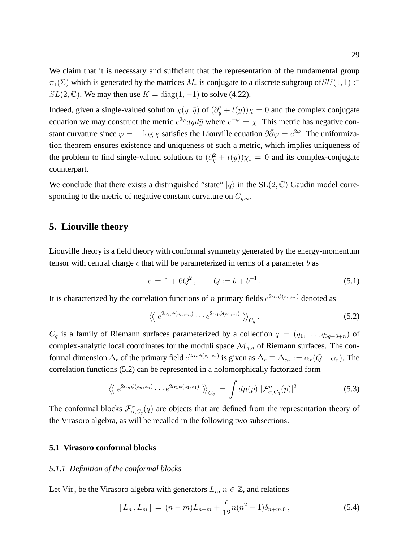We claim that it is necessary and sufficient that the representation of the fundamental group  $\pi_1(\Sigma)$  which is generated by the matrices  $M_r$  is conjugate to a discrete subgroup of  $SU(1, 1) \subset$  $SL(2,\mathbb{C})$ . We may then use  $K = diag(1,-1)$  to solve (4.22).

Indeed, given a single-valued solution  $\chi(y, \bar{y})$  of  $(\partial_y^2 + t(y))\chi = 0$  and the complex conjugate equation we may construct the metric  $e^{2\varphi}dyd\bar{y}$  where  $e^{-\varphi} = \chi$ . This metric has negative constant curvature since  $\varphi = -\log \chi$  satisfies the Liouville equation  $\partial \bar{\partial} \varphi = e^{2\varphi}$ . The uniformization theorem ensures existence and uniqueness of such a metric, which implies uniqueness of the problem to find single-valued solutions to  $(\partial_y^2 + t(y))\chi_i = 0$  and its complex-conjugate counterpart.

We conclude that there exists a distinguished "state"  $|q\rangle$  in the SL(2, C) Gaudin model corresponding to the metric of negative constant curvature on  $C_{q,n}$ .

# **5. Liouville theory**

Liouville theory is a field theory with conformal symmetry generated by the energy-momentum tensor with central charge c that will be parameterized in terms of a parameter  $b$  as

$$
c = 1 + 6Q^2, \qquad Q := b + b^{-1}.
$$
 (5.1)

It is characterized by the correlation functions of n primary fields  $e^{2\alpha_r \phi(z_r, \bar{z}_r)}$  denoted as

$$
\langle \langle e^{2\alpha_n \phi(z_n,\bar{z}_n)} \cdots e^{2\alpha_1 \phi(z_1,\bar{z}_1)} \rangle \rangle_{C_q}.
$$
 (5.2)

 $C_q$  is a family of Riemann surfaces parameterized by a collection  $q = (q_1, \ldots, q_{3q-3+n})$  of complex-analytic local coordinates for the moduli space  $\mathcal{M}_{q,n}$  of Riemann surfaces. The conformal dimension  $\Delta_r$  of the primary field  $e^{2\alpha_r \phi(z_r, \bar{z}_r)}$  is given as  $\Delta_r \equiv \Delta_{\alpha_r} := \alpha_r(Q - \alpha_r)$ . The correlation functions (5.2) can be represented in a holomorphically factorized form

$$
\langle \langle e^{2\alpha_n \phi(z_n, \bar{z}_n)} \cdots e^{2\alpha_1 \phi(z_1, \bar{z}_1)} \rangle \rangle_{C_q} = \int d\mu(p) \, |\mathcal{F}_{\alpha, C_q}^{\sigma}(p)|^2. \tag{5.3}
$$

The conformal blocks  $\mathcal{F}_{\alpha,C_q}^{\sigma}(q)$  are objects that are defined from the representation theory of the Virasoro algebra, as will be recalled in the following two subsections.

### **5.1 Virasoro conformal blocks**

### *5.1.1 Definition of the conformal blocks*

Let Vir<sub>c</sub> be the Virasoro algebra with generators  $L_n$ ,  $n \in \mathbb{Z}$ , and relations

$$
[L_n, L_m] = (n-m)L_{n+m} + \frac{c}{12}n(n^2-1)\delta_{n+m,0}, \qquad (5.4)
$$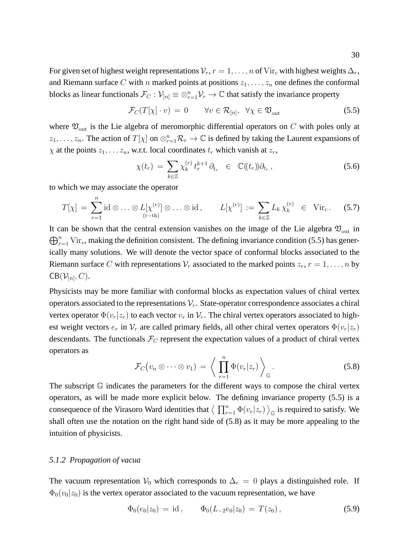For given set of highest weight representations  $\mathcal{V}_r$ ,  $r = 1, \ldots, n$  of Vir<sub>c</sub> with highest weights  $\Delta_r$ , and Riemann surface C with n marked points at positions  $z_1, \ldots, z_n$  one defines the conformal blocks as linear functionals  $\mathcal{F}_C$ :  $\mathcal{V}_{[n]} \equiv \otimes_{r=1}^n \mathcal{V}_r \to \mathbb{C}$  that satisfy the invariance property

$$
\mathcal{F}_C(T[\chi] \cdot v) = 0 \qquad \forall v \in \mathcal{R}_{[n]}, \ \forall \chi \in \mathfrak{V}_{\text{out}} \tag{5.5}
$$

where  $\mathfrak{V}_{\text{out}}$  is the Lie algebra of meromorphic differential operators on C with poles only at  $z_1, \ldots, z_n$ . The action of  $T[\chi]$  on  $\otimes_{r=1}^n \mathcal{R}_r \to \mathbb{C}$  is defined by taking the Laurent expansions of  $\chi$  at the points  $z_1, \ldots z_n$ , w.r.t. local coordinates  $t_r$  which vanish at  $z_r$ ,

$$
\chi(t_r) = \sum_{k \in \mathbb{Z}} \chi_k^{(r)} t_r^{k+1} \partial_{t_r} \in \mathbb{C}(\!(t_r)\!) \partial_{t_r}, \qquad (5.6)
$$

to which we may associate the operator

$$
T[\chi] = \sum_{r=1}^{n} \mathrm{id} \otimes \ldots \otimes L[\chi^{(r)}] \otimes \ldots \otimes \mathrm{id}, \qquad L[\chi^{(r)}] := \sum_{k \in \mathbb{Z}} L_k \chi_k^{(r)} \in \mathrm{Vir}_c. \tag{5.7}
$$

It can be shown that the central extension vanishes on the image of the Lie algebra  $\mathfrak{V}_{\text{out}}$  in  $\bigoplus_{r=1}^n$  Vir<sub>c</sub>, making the definition consistent. The defining invariance condition (5.5) has generically many solutions. We will denote the vector space of conformal blocks associated to the Riemann surface C with representations  $V_r$  associated to the marked points  $z_r$ ,  $r = 1, \ldots, n$  by  $\mathsf{CB}(\mathcal{V}_{[n]},C)$ .

Physicists may be more familiar with conformal blocks as expectation values of chiral vertex operators associated to the representations  $V_r$ . State-operator correspondence associates a chiral vertex operator  $\Phi(v_r|z_r)$  to each vector  $v_r$  in  $\mathcal{V}_r$ . The chiral vertex operators associated to highest weight vectors  $e_r$  in  $\mathcal{V}_r$  are called primary fields, all other chiral vertex operators  $\Phi(v_r|z_r)$ descendants. The functionals  $\mathcal{F}_C$  represent the expectation values of a product of chiral vertex operators as

$$
\mathcal{F}_C(v_n \otimes \cdots \otimes v_1) = \left\langle \prod_{r=1}^n \Phi(v_r|z_r) \right\rangle_{\mathbb{G}}.
$$
\n(5.8)

The subscript  $\mathbb G$  indicates the parameters for the different ways to compose the chiral vertex operators, as will be made more explicit below. The defining invariance property (5.5) is a consequence of the Virasoro Ward identities that  $\langle \prod_{r=1}^n \Phi(v_r|z_r) \rangle_{\mathbb{G}}$  is required to satisfy. We shall often use the notation on the right hand side of (5.8) as it may be more appealing to the intuition of physicists.

### *5.1.2 Propagation of vacua*

The vacuum representation  $V_0$  which corresponds to  $\Delta_r = 0$  plays a distinguished role. If  $\Phi_0(v_0|z_0)$  is the vertex operator associated to the vacuum representation, we have

$$
\Phi_0(e_0|z_0) = id, \qquad \Phi_0(L_{-2}e_0|z_0) = T(z_0), \qquad (5.9)
$$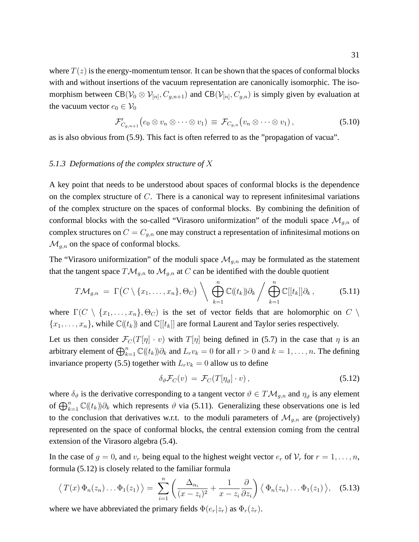where  $T(z)$  is the energy-momentum tensor. It can be shown that the spaces of conformal blocks with and without insertions of the vacuum representation are canonically isomorphic. The isomorphism between  $CB(\mathcal{V}_0 \otimes \mathcal{V}_{[n]}, C_{g,n+1})$  and  $CB(\mathcal{V}_{[n]}, C_{g,n})$  is simply given by evaluation at the vacuum vector  $e_0 \in V_0$ 

$$
\mathcal{F}'_{C_{g,n+1}}(e_0 \otimes v_n \otimes \cdots \otimes v_1) \equiv \mathcal{F}_{C_{g,n}}(v_n \otimes \cdots \otimes v_1), \qquad (5.10)
$$

as is also obvious from (5.9). This fact is often referred to as the "propagation of vacua".

# *5.1.3 Deformations of the complex structure of* X

A key point that needs to be understood about spaces of conformal blocks is the dependence on the complex structure of  $C$ . There is a canonical way to represent infinitesimal variations of the complex structure on the spaces of conformal blocks. By combining the definition of conformal blocks with the so-called "Virasoro uniformization" of the moduli space  $\mathcal{M}_{q,n}$  of complex structures on  $C = C_{g,n}$  one may construct a representation of infinitesimal motions on  $\mathcal{M}_{q,n}$  on the space of conformal blocks.

The "Virasoro uniformization" of the moduli space  $\mathcal{M}_{q,n}$  may be formulated as the statement that the tangent space  $T\mathcal{M}_{g,n}$  to  $\mathcal{M}_{g,n}$  at C can be identified with the double quotient

$$
T\mathcal{M}_{g,n} = \Gamma\big(C \setminus \{x_1,\ldots,x_n\},\Theta_C\big) \setminus \bigoplus_{k=1}^n \mathbb{C}(\mathcal{U}_k)\partial_k \bigg/\bigoplus_{k=1}^n \mathbb{C}[[t_k]]\partial_k, \qquad (5.11)
$$

where  $\Gamma(C \setminus \{x_1, \ldots, x_n\}, \Theta_C)$  is the set of vector fields that are holomorphic on  $C \setminus$  ${x_1, \ldots, x_n}$ , while  $\mathbb{C}(\mathfrak{t}_k)$  and  $\mathbb{C}[\mathfrak{t}_k]$  are formal Laurent and Taylor series respectively.

Let us then consider  $\mathcal{F}_C(T[\eta] \cdot v)$  with  $T[\eta]$  being defined in (5.7) in the case that  $\eta$  is an arbitrary element of  $\bigoplus_{k=1}^n \mathbb{C}(\!(t_k)\!)\partial_k$  and  $L_rv_k = 0$  for all  $r > 0$  and  $k = 1, \ldots, n$ . The defining invariance property (5.5) together with  $L_r v_k = 0$  allow us to define

$$
\delta_{\vartheta} \mathcal{F}_C(v) = \mathcal{F}_C(T[\eta_{\vartheta}] \cdot v), \qquad (5.12)
$$

where  $\delta_{\vartheta}$  is the derivative corresponding to a tangent vector  $\vartheta \in T\mathcal{M}_{g,n}$  and  $\eta_{\vartheta}$  is any element of  $\bigoplus_{k=1}^n \mathbb{C}(\!(t_k)\!)\partial_k$  which represents  $\vartheta$  via (5.11). Generalizing these observations one is led to the conclusion that derivatives w.r.t. to the moduli parameters of  $\mathcal{M}_{q,n}$  are (projectively) represented on the space of conformal blocks, the central extension coming from the central extension of the Virasoro algebra (5.4).

In the case of  $g = 0$ , and  $v_r$  being equal to the highest weight vector  $e_r$  of  $V_r$  for  $r = 1, \ldots, n$ , formula (5.12) is closely related to the familiar formula

$$
\langle T(x) \Phi_n(z_n) \dots \Phi_1(z_1) \rangle = \sum_{i=1}^n \left( \frac{\Delta_{\alpha_i}}{(x-z_i)^2} + \frac{1}{x-z_i} \frac{\partial}{\partial z_i} \right) \langle \Phi_n(z_n) \dots \Phi_1(z_1) \rangle, \quad (5.13)
$$

where we have abbreviated the primary fields  $\Phi(e_r|z_r)$  as  $\Phi_r(z_r)$ .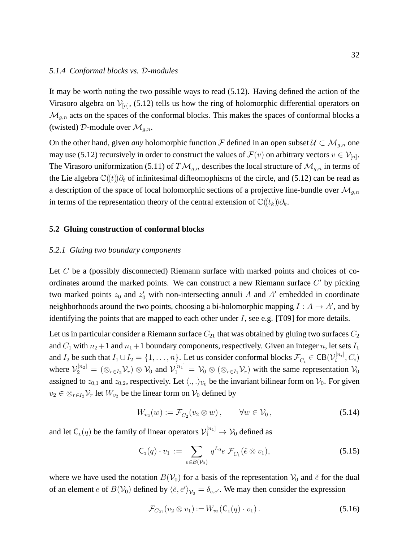### *5.1.4 Conformal blocks vs.* D*-modules*

It may be worth noting the two possible ways to read (5.12). Having defined the action of the Virasoro algebra on  $\mathcal{V}_{[n]}$ , (5.12) tells us how the ring of holomorphic differential operators on  $\mathcal{M}_{g,n}$  acts on the spaces of the conformal blocks. This makes the spaces of conformal blocks a (twisted) D-module over  $\mathcal{M}_{q,n}$ .

On the other hand, given *any* holomorphic function F defined in an open subset  $U \subset M_{q,n}$  one may use (5.12) recursively in order to construct the values of  $\mathcal{F}(v)$  on arbitrary vectors  $v \in \mathcal{V}_{[n]}$ . The Virasoro uniformization (5.11) of  $T\mathcal{M}_{g,n}$  describes the local structure of  $\mathcal{M}_{g,n}$  in terms of the Lie algebra  $\mathbb{C}(\!(t)\!) \partial_t$  of infinitesimal diffeomophisms of the circle, and (5.12) can be read as a description of the space of local holomorphic sections of a projective line-bundle over  $\mathcal{M}_{g,n}$ in terms of the representation theory of the central extension of  $\mathbb{C}(\langle t_k \rangle) \partial_k$ .

### **5.2 Gluing construction of conformal blocks**

### *5.2.1 Gluing two boundary components*

Let  $C$  be a (possibly disconnected) Riemann surface with marked points and choices of coordinates around the marked points. We can construct a new Riemann surface  $C'$  by picking two marked points  $z_0$  and  $z'_0$  with non-intersecting annuli A and A' embedded in coordinate neighborhoods around the two points, choosing a bi-holomorphic mapping  $I : A \rightarrow A'$ , and by identifying the points that are mapped to each other under  $I$ , see e.g. [T09] for more details.

Let us in particular consider a Riemann surface  $C_{21}$  that was obtained by gluing two surfaces  $C_2$ and  $C_1$  with  $n_2+1$  and  $n_1+1$  boundary components, respectively. Given an integer n, let sets  $I_1$ and  $I_2$  be such that  $I_1 \cup I_2 = \{1, \ldots, n\}$ . Let us consider conformal blocks  $\mathcal{F}_{C_i} \in \text{CB}(\mathcal{V}_i^{[n_i]}$  $i^{[n_i]},C_i)$ where  $\mathcal{V}_2^{[n_2]} = (\otimes_{r \in I_2} \mathcal{V}_r) \otimes \mathcal{V}_0$  and  $\mathcal{V}_1^{[n_1]} = \mathcal{V}_0 \otimes (\otimes_{r \in I_1} \mathcal{V}_r)$  with the same representation  $\mathcal{V}_0$ assigned to  $z_{0,1}$  and  $z_{0,2}$ , respectively. Let  $\langle ., .\rangle_{v_0}$  be the invariant bilinear form on  $V_0$ . For given  $v_2 \in \otimes_{r \in I_2} \mathcal{V}_r$  let  $W_{v_2}$  be the linear form on  $\mathcal{V}_0$  defined by

$$
W_{v_2}(w) := \mathcal{F}_{C_2}(v_2 \otimes w), \qquad \forall w \in \mathcal{V}_0,
$$
\n
$$
(5.14)
$$

and let  $C_1(q)$  be the family of linear operators  $\mathcal{V}_1^{[n_1]} \to \mathcal{V}_0$  defined as

$$
\mathsf{C}_1(q) \cdot v_1 := \sum_{e \in B(\mathcal{V}_0)} q^{L_0} e \mathcal{F}_{C_1}(\check{e} \otimes v_1), \tag{5.15}
$$

where we have used the notation  $B(V_0)$  for a basis of the representation  $V_0$  and  $\check{e}$  for the dual of an element e of  $B(V_0)$  defined by  $\langle e, e' \rangle_{V_0} = \delta_{e,e'}$ . We may then consider the expression

$$
\mathcal{F}_{C_{21}}(v_2 \otimes v_1) := W_{v_2}(\mathsf{C}_1(q) \cdot v_1).
$$
\n(5.16)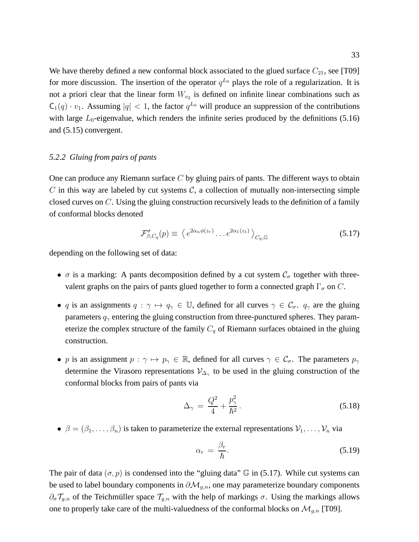We have thereby defined a new conformal block associated to the glued surface  $C_{21}$ , see [T09] for more discussion. The insertion of the operator  $q^{L_0}$  plays the role of a regularization. It is not a priori clear that the linear form  $W_{v_2}$  is defined on infinite linear combinations such as  $C_1(q) \cdot v_1$ . Assuming  $|q| < 1$ , the factor  $q^{L_0}$  will produce an suppression of the contributions with large  $L_0$ -eigenvalue, which renders the infinite series produced by the definitions (5.16) and (5.15) convergent.

# *5.2.2 Gluing from pairs of pants*

One can produce any Riemann surface  $C$  by gluing pairs of pants. The different ways to obtain  $C$  in this way are labeled by cut systems  $C$ , a collection of mutually non-intersecting simple closed curves on C. Using the gluing construction recursively leads to the definition of a family of conformal blocks denoted

$$
\mathcal{F}^{\sigma}_{\beta,C_q}(p) \equiv \left\langle e^{2\alpha_n \phi(z_r)} \dots e^{2\alpha_1(z_1)} \right\rangle_{C_q,\mathbb{G}}
$$
\n(5.17)

depending on the following set of data:

- $\sigma$  is a marking: A pants decomposition defined by a cut system  $C_{\sigma}$  together with threevalent graphs on the pairs of pants glued together to form a connected graph  $\Gamma_{\sigma}$  on C.
- q is an assignments  $q : \gamma \mapsto q_\gamma \in \mathbb{U}$ , defined for all curves  $\gamma \in \mathcal{C}_{\sigma}$ .  $q_\gamma$  are the gluing parameters  $q_{\gamma}$  entering the gluing construction from three-punctured spheres. They parameterize the complex structure of the family  $C_q$  of Riemann surfaces obtained in the gluing construction.
- p is an assignment  $p : \gamma \mapsto p_{\gamma} \in \mathbb{R}$ , defined for all curves  $\gamma \in \mathcal{C}_{\sigma}$ . The parameters  $p_{\gamma}$ determine the Virasoro representations  $\mathcal{V}_{\Delta_{\gamma}}$  to be used in the gluing construction of the conformal blocks from pairs of pants via

$$
\Delta_{\gamma} = \frac{Q^2}{4} + \frac{p_{\gamma}^2}{\hbar^2}.
$$
\n(5.18)

 $\bullet \ \beta = (\beta_1, \ldots, \beta_n)$  is taken to parameterize the external representations  $\mathcal{V}_1, \ldots, \mathcal{V}_n$  via

$$
\alpha_r = \frac{\beta_r}{\hbar}.\tag{5.19}
$$

The pair of data  $(\sigma, p)$  is condensed into the "gluing data"  $\mathbb{G}$  in (5.17). While cut systems can be used to label boundary components in  $\partial M_{g,n}$ , one may parameterize boundary components  $\partial_{\sigma} \mathcal{T}_{g,n}$  of the Teichmüller space  $\mathcal{T}_{g,n}$  with the help of markings  $\sigma$ . Using the markings allows one to properly take care of the multi-valuedness of the conformal blocks on  $\mathcal{M}_{g,n}$  [T09].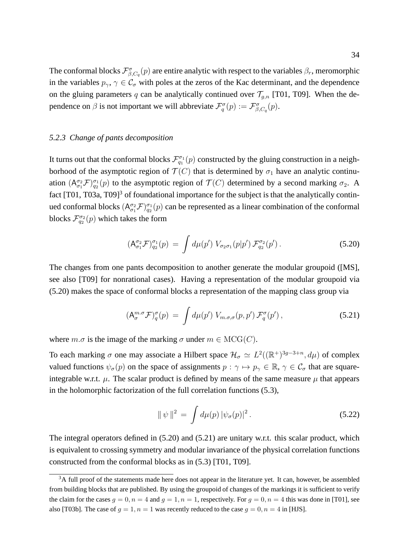The conformal blocks  $\mathcal{F}^{\sigma}_{\beta,C_q}(p)$  are entire analytic with respect to the variables  $\beta_r$ , meromorphic in the variables  $p_{\gamma}, \gamma \in C_{\sigma}$  with poles at the zeros of the Kac determinant, and the dependence on the gluing parameters q can be analytically continued over  $\mathcal{T}_{g,n}$  [T01, T09]. When the dependence on  $\beta$  is not important we will abbreviate  $\mathcal{F}_q^{\sigma}(p) := \mathcal{F}_{\beta, C_q}^{\sigma}(p)$ .

### *5.2.3 Change of pants decomposition*

It turns out that the conformal blocks  $\mathcal{F}_{q_1}^{\sigma_1}(p)$  constructed by the gluing construction in a neighborhood of the asymptotic region of  $\mathcal{T}(C)$  that is determined by  $\sigma_1$  have an analytic continuation  $(A_{\sigma_1}^{\sigma_2} \mathcal{F})_{q_2}^{\sigma_1}(p)$  to the asymptotic region of  $\mathcal{T}(C)$  determined by a second marking  $\sigma_2$ . A fact  $[T01, T03a, T09]$ <sup>3</sup> of foundational importance for the subject is that the analytically continued conformal blocks  $(A_{\sigma_1}^{\sigma_2} \mathcal{F})_{q_2}^{\sigma_1}(p)$  can be represented as a linear combination of the conformal blocks  $\mathcal{F}_{q_2}^{\sigma_2}(p)$  which takes the form

$$
(\mathsf{A}_{\sigma_1}^{\sigma_2} \mathcal{F})_{q_2}^{\sigma_1}(p) = \int d\mu(p') \ V_{\sigma_2 \sigma_1}(p|p') \mathcal{F}_{q_2}^{\sigma_2}(p'). \tag{5.20}
$$

The changes from one pants decomposition to another generate the modular groupoid ([MS], see also [T09] for nonrational cases). Having a representation of the modular groupoid via (5.20) makes the space of conformal blocks a representation of the mapping class group via

$$
\left(A_{\sigma}^{m,\sigma}\mathcal{F}\right)_{q}^{\sigma}(p) = \int d\mu(p') \ V_{m,\sigma,\sigma}(p,p') \mathcal{F}_{q}^{\sigma}(p'), \qquad (5.21)
$$

where  $m.\sigma$  is the image of the marking  $\sigma$  under  $m \in \text{MCG}(C)$ .

To each marking  $\sigma$  one may associate a Hilbert space  $\mathcal{H}_{\sigma} \simeq L^2((\mathbb{R}^+)^{3g-3+n}, d\mu)$  of complex valued functions  $\psi_{\sigma}(p)$  on the space of assignments  $p : \gamma \mapsto p_{\gamma} \in \mathbb{R}$ ,  $\gamma \in \mathcal{C}_{\sigma}$  that are squareintegrable w.r.t.  $\mu$ . The scalar product is defined by means of the same measure  $\mu$  that appears in the holomorphic factorization of the full correlation functions (5.3),

$$
\|\psi\|^2 = \int d\mu(p) |\psi_{\sigma}(p)|^2.
$$
 (5.22)

The integral operators defined in (5.20) and (5.21) are unitary w.r.t. this scalar product, which is equivalent to crossing symmetry and modular invariance of the physical correlation functions constructed from the conformal blocks as in (5.3) [T01, T09].

 $3A$  full proof of the statements made here does not appear in the literature yet. It can, however, be assembled from building blocks that are published. By using the groupoid of changes of the markings it is sufficient to verify the claim for the cases  $q = 0, n = 4$  and  $q = 1, n = 1$ , respectively. For  $q = 0, n = 4$  this was done in [T01], see also [T03b]. The case of  $q = 1, n = 1$  was recently reduced to the case  $q = 0, n = 4$  in [HJS].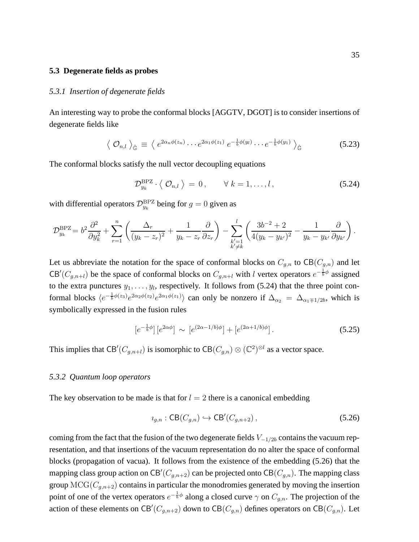#### **5.3 Degenerate fields as probes**

### *5.3.1 Insertion of degenerate fields*

An interesting way to probe the conformal blocks [AGGTV, DGOT] is to consider insertions of degenerate fields like

$$
\langle \mathcal{O}_{n,l} \rangle_{\hat{\mathbb{G}}} \equiv \langle e^{2\alpha_n \phi(z_n)} \cdots e^{2\alpha_1 \phi(z_1)} e^{-\frac{1}{b}\phi(y_l)} \cdots e^{-\frac{1}{b}\phi(y_1)} \rangle_{\hat{\mathbb{G}}} \tag{5.23}
$$

The conformal blocks satisfy the null vector decoupling equations

$$
\mathcal{D}_{y_k}^{\text{BPZ}} \cdot \langle \mathcal{O}_{n,l} \rangle = 0, \qquad \forall \ k = 1, \dots, l,
$$
\n(5.24)

with differential operators  $\mathcal{D}_{y_k}^{\text{BPZ}}$  being for  $g = 0$  given as

$$
\mathcal{D}_{y_k}^{\rm BPZ} = b^2 \frac{\partial^2}{\partial y_k^2} + \sum_{r=1}^n \left( \frac{\Delta_r}{(y_k - z_r)^2} + \frac{1}{y_k - z_r} \frac{\partial}{\partial z_r} \right) - \sum_{\substack{k'=1\\k' \neq k}}^l \left( \frac{3b^{-2} + 2}{4(y_k - y_{k'})^2} - \frac{1}{y_k - y_{k'}} \frac{\partial}{\partial y_{k'}} \right).
$$

Let us abbreviate the notation for the space of conformal blocks on  $C_{g,n}$  to  $CB(C_{g,n})$  and let CB'( $C_{g,n+l}$ ) be the space of conformal blocks on  $C_{g,n+l}$  with l vertex operators  $e^{-\frac{1}{b}\phi}$  assigned to the extra punctures  $y_1, \ldots, y_l$ , respectively. It follows from (5.24) that the three point conformal blocks  $\langle e^{-\frac{1}{b}\phi(z_3)}e^{2\alpha_2\phi(z_2)}e^{2\alpha_1\phi(z_1)}\rangle$  can only be nonzero if  $\Delta_{\alpha_2} = \Delta_{\alpha_1\mp1/2b}$ , which is symbolically expressed in the fusion rules

$$
\left[e^{-\frac{1}{b}\phi}\right]\left[e^{2\alpha\phi}\right] \sim \left[e^{(2\alpha-1/b)\phi}\right] + \left[e^{(2\alpha+1/b)\phi}\right].\tag{5.25}
$$

This implies that CB'( $C_{g,n+l}$ ) is isomorphic to CB( $C_{g,n}$ )  $\otimes$  (C<sup>2</sup>)<sup> $\otimes l$ </sup> as a vector space.

### *5.3.2 Quantum loop operators*

The key observation to be made is that for  $l = 2$  there is a canonical embedding

$$
u_{g,n} : \mathsf{CB}(C_{g,n}) \hookrightarrow \mathsf{CB}'(C_{g,n+2}),\tag{5.26}
$$

coming from the fact that the fusion of the two degenerate fields  $V_{-1/2b}$  contains the vacuum representation, and that insertions of the vacuum representation do no alter the space of conformal blocks (propagation of vacua). It follows from the existence of the embedding (5.26) that the mapping class group action on CB<sup>'</sup>( $C_{g,n+2}$ ) can be projected onto CB( $C_{g,n}$ ). The mapping class group  $MCG(C_{q,n+2})$  contains in particular the monodromies generated by moving the insertion point of one of the vertex operators  $e^{-\frac{1}{b}\phi}$  along a closed curve  $\gamma$  on  $C_{g,n}$ . The projection of the action of these elements on CB<sup>'</sup>( $C_{g,n+2}$ ) down to CB( $C_{g,n}$ ) defines operators on CB( $C_{g,n}$ ). Let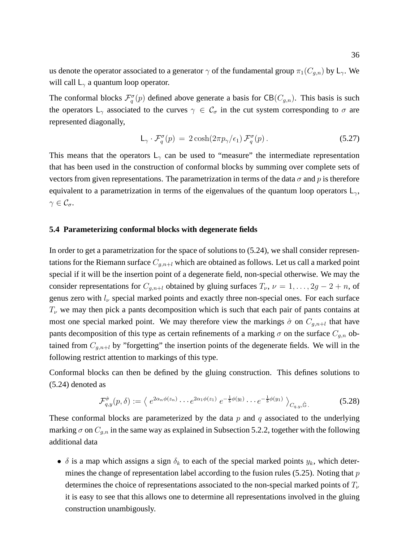us denote the operator associated to a generator  $\gamma$  of the fundamental group  $\pi_1(C_{q,n})$  by  $\mathsf{L}_{\gamma}$ . We will call  $L_{\gamma}$  a quantum loop operator.

The conformal blocks  $\mathcal{F}_q^{\sigma}(p)$  defined above generate a basis for  $CB(C_{g,n})$ . This basis is such the operators  $L_{\gamma}$  associated to the curves  $\gamma \in C_{\sigma}$  in the cut system corresponding to  $\sigma$  are represented diagonally,

$$
\mathsf{L}_{\gamma} \cdot \mathcal{F}_{q}^{\sigma}(p) = 2 \cosh(2\pi p_{\gamma}/\epsilon_{1}) \mathcal{F}_{q}^{\sigma}(p). \tag{5.27}
$$

This means that the operators  $L_{\gamma}$  can be used to "measure" the intermediate representation that has been used in the construction of conformal blocks by summing over complete sets of vectors from given representations. The parametrization in terms of the data  $\sigma$  and p is therefore equivalent to a parametrization in terms of the eigenvalues of the quantum loop operators  $L_{\gamma}$ ,  $\gamma \in \mathcal{C}_{\sigma}.$ 

### **5.4 Parameterizing conformal blocks with degenerate fields**

In order to get a parametrization for the space of solutions to (5.24), we shall consider representations for the Riemann surface  $C_{g,n+l}$  which are obtained as follows. Let us call a marked point special if it will be the insertion point of a degenerate field, non-special otherwise. We may the consider representations for  $C_{q,n+l}$  obtained by gluing surfaces  $T_{\nu}$ ,  $\nu = 1, \dots, 2g - 2 + n$ , of genus zero with  $l_{\nu}$  special marked points and exactly three non-special ones. For each surface  $T_{\nu}$  we may then pick a pants decomposition which is such that each pair of pants contains at most one special marked point. We may therefore view the markings  $\hat{\sigma}$  on  $C_{g,n+l}$  that have pants decomposition of this type as certain refinements of a marking  $\sigma$  on the surface  $C_{g,n}$  obtained from  $C_{g,n+l}$  by "forgetting" the insertion points of the degenerate fields. We will in the following restrict attention to markings of this type.

Conformal blocks can then be defined by the gluing construction. This defines solutions to (5.24) denoted as

$$
\mathcal{F}_{q,y}^{\hat{\sigma}}(p,\delta) := \left\langle e^{2\alpha_n \phi(z_n)} \cdots e^{2\alpha_1 \phi(z_1)} e^{-\frac{1}{b}\phi(y_l)} \cdots e^{-\frac{1}{b}\phi(y_1)} \right\rangle_{C_{q,y},\hat{\mathbb{G}}}.
$$
\n(5.28)

These conformal blocks are parameterized by the data  $p$  and  $q$  associated to the underlying marking  $\sigma$  on  $C_{g,n}$  in the same way as explained in Subsection 5.2.2, together with the following additional data

•  $\delta$  is a map which assigns a sign  $\delta_k$  to each of the special marked points  $y_k$ , which determines the change of representation label according to the fusion rules (5.25). Noting that  $p$ determines the choice of representations associated to the non-special marked points of  $T_{\nu}$ it is easy to see that this allows one to determine all representations involved in the gluing construction unambigously.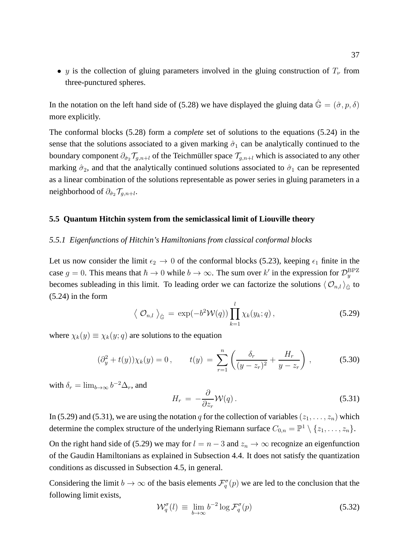• y is the collection of gluing parameters involved in the gluing construction of  $T_{\nu}$  from three-punctured spheres.

In the notation on the left hand side of (5.28) we have displayed the gluing data  $\hat{G} = (\hat{\sigma}, p, \delta)$ more explicitly.

The conformal blocks (5.28) form a *complete* set of solutions to the equations (5.24) in the sense that the solutions associated to a given marking  $\hat{\sigma}_1$  can be analytically continued to the boundary component  $\partial_{\hat{\sigma}_2} \mathcal{T}_{g,n+l}$  of the Teichmüller space  $\mathcal{T}_{g,n+l}$  which is associated to any other marking  $\hat{\sigma}_2$ , and that the analytically continued solutions associated to  $\hat{\sigma}_1$  can be represented as a linear combination of the solutions representable as power series in gluing parameters in a neighborhood of  $\partial_{\hat{\sigma}_2} \mathcal{T}_{g,n+l}$ .

## **5.5 Quantum Hitchin system from the semiclassical limit of Liouville theory**

### *5.5.1 Eigenfunctions of Hitchin's Hamiltonians from classical conformal blocks*

Let us now consider the limit  $\epsilon_2 \rightarrow 0$  of the conformal blocks (5.23), keeping  $\epsilon_1$  finite in the case  $g = 0$ . This means that  $\hbar \to 0$  while  $b \to \infty$ . The sum over k' in the expression for  $\mathcal{D}_y^{\text{BPZ}}$ becomes subleading in this limit. To leading order we can factorize the solutions  $\langle \mathcal{O}_{n,l} \rangle_{\hat{\mathbb{G}}}$  to (5.24) in the form

$$
\langle \mathcal{O}_{n,l} \rangle_{\hat{\mathbb{G}}} = \exp(-b^2 \mathcal{W}(q)) \prod_{k=1}^l \chi_k(y_k; q), \qquad (5.29)
$$

where  $\chi_k(y) \equiv \chi_k(y; q)$  are solutions to the equation

$$
(\partial_y^2 + t(y))\chi_k(y) = 0, \qquad t(y) = \sum_{r=1}^n \left(\frac{\delta_r}{(y - z_r)^2} + \frac{H_r}{y - z_r}\right), \tag{5.30}
$$

with  $\delta_r = \lim_{b \to \infty} b^{-2} \Delta_r$ , and

$$
H_r = -\frac{\partial}{\partial z_r} \mathcal{W}(q) \,. \tag{5.31}
$$

In (5.29) and (5.31), we are using the notation q for the collection of variables  $(z_1, \ldots, z_n)$  which determine the complex structure of the underlying Riemann surface  $C_{0,n} = \mathbb{P}^1 \setminus \{z_1, \ldots, z_n\}$ .

On the right hand side of (5.29) we may for  $l = n - 3$  and  $z_n \to \infty$  recognize an eigenfunction of the Gaudin Hamiltonians as explained in Subsection 4.4. It does not satisfy the quantization conditions as discussed in Subsection 4.5, in general.

Considering the limit  $b \to \infty$  of the basis elements  $\mathcal{F}_q^{\sigma}(p)$  we are led to the conclusion that the following limit exists,

$$
\mathcal{W}_q^{\sigma}(l) \equiv \lim_{b \to \infty} b^{-2} \log \mathcal{F}_q^{\sigma}(p) \tag{5.32}
$$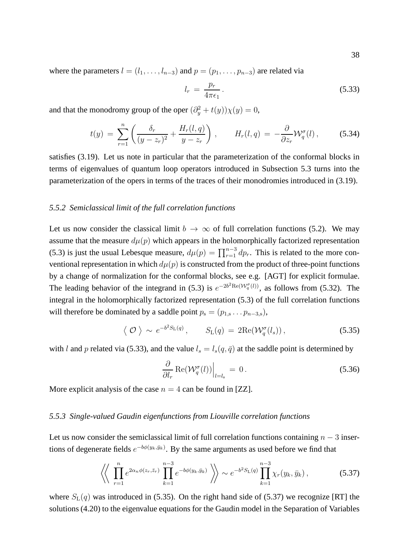where the parameters  $l = (l_1, \ldots, l_{n-3})$  and  $p = (p_1, \ldots, p_{n-3})$  are related via

$$
l_r = \frac{p_r}{4\pi\epsilon_1}.
$$
\n(5.33)

and that the monodromy group of the oper  $(\partial_y^2 + t(y))\chi(y) = 0$ ,

$$
t(y) = \sum_{r=1}^{n} \left( \frac{\delta_r}{(y - z_r)^2} + \frac{H_r(l, q)}{y - z_r} \right), \qquad H_r(l, q) = -\frac{\partial}{\partial z_r} \mathcal{W}_q^{\sigma}(l), \qquad (5.34)
$$

satisfies (3.19). Let us note in particular that the parameterization of the conformal blocks in terms of eigenvalues of quantum loop operators introduced in Subsection 5.3 turns into the parameterization of the opers in terms of the traces of their monodromies introduced in (3.19).

# *5.5.2 Semiclassical limit of the full correlation functions*

Let us now consider the classical limit  $b \to \infty$  of full correlation functions (5.2). We may assume that the measure  $d\mu(p)$  which appears in the holomorphically factorized representation (5.3) is just the usual Lebesque measure,  $d\mu(p) = \prod_{r=1}^{n-3} dp_r$ . This is related to the more conventional representation in which  $d\mu(p)$  is constructed from the product of three-point functions by a change of normalization for the conformal blocks, see e.g. [AGT] for explicit formulae. The leading behavior of the integrand in (5.3) is  $e^{-2b^2 \text{Re}(\mathcal{W}_q^{\sigma}(l))}$ , as follows from (5.32). The integral in the holomorphically factorized representation (5.3) of the full correlation functions will therefore be dominated by a saddle point  $p_s = (p_{1,s} \dots p_{n-3,s}),$ 

$$
\langle \mathcal{O} \rangle \sim e^{-b^2 S_{\mathrm{L}}(q)}, \qquad S_{\mathrm{L}}(q) = 2 \mathrm{Re}(\mathcal{W}_q^{\sigma}(l_s)),
$$
\n
$$
(5.35)
$$

with l and p related via (5.33), and the value  $l_s = l_s(q, \bar{q})$  at the saddle point is determined by

$$
\left. \frac{\partial}{\partial l_r} \operatorname{Re}(\mathcal{W}_q^{\sigma}(l)) \right|_{l=l_s} = 0. \tag{5.36}
$$

More explicit analysis of the case  $n = 4$  can be found in [ZZ].

# *5.5.3 Single-valued Gaudin eigenfunctions from Liouville correlation functions*

Let us now consider the semiclassical limit of full correlation functions containing  $n - 3$  insertions of degenerate fields  $e^{-b\phi(y_k,\bar{y}_k)}$ . By the same arguments as used before we find that

$$
\left\langle \left\langle \prod_{r=1}^{n} e^{2\alpha_n \phi(z_r, \bar{z}_r)} \prod_{k=1}^{n-3} e^{-b\phi(y_k, \bar{y}_k)} \right\rangle \right\rangle \sim e^{-b^2 S_{\rm L}(q)} \prod_{k=1}^{n-3} \chi_r(y_k, \bar{y}_k), \tag{5.37}
$$

where  $S_{\text{L}}(q)$  was introduced in (5.35). On the right hand side of (5.37) we recognize [RT] the solutions (4.20) to the eigenvalue equations for the Gaudin model in the Separation of Variables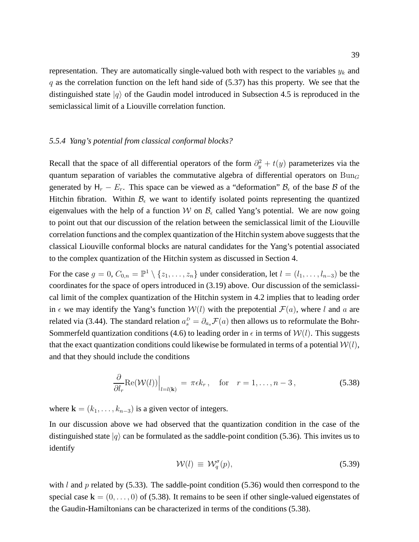representation. They are automatically single-valued both with respect to the variables  $y_k$  and  $q$  as the correlation function on the left hand side of (5.37) has this property. We see that the distinguished state  $|q\rangle$  of the Gaudin model introduced in Subsection 4.5 is reproduced in the semiclassical limit of a Liouville correlation function.

## *5.5.4 Yang's potential from classical conformal blocks?*

Recall that the space of all differential operators of the form  $\partial_y^2 + t(y)$  parameterizes via the quantum separation of variables the commutative algebra of differential operators on  $\text{Bun}_G$ generated by  $H_r - E_r$ . This space can be viewed as a "deformation"  $B_\epsilon$  of the base B of the Hitchin fibration. Within  $\mathcal{B}_{\epsilon}$  we want to identify isolated points representing the quantized eigenvalues with the help of a function W on  $\mathcal{B}_{\epsilon}$  called Yang's potential. We are now going to point out that our discussion of the relation between the semiclassical limit of the Liouville correlation functions and the complex quantization of the Hitchin system above suggests that the classical Liouville conformal blocks are natural candidates for the Yang's potential associated to the complex quantization of the Hitchin system as discussed in Section 4.

For the case  $g = 0$ ,  $C_{0,n} = \mathbb{P}^1 \setminus \{z_1, \ldots, z_n\}$  under consideration, let  $l = (l_1, \ldots, l_{n-3})$  be the coordinates for the space of opers introduced in (3.19) above. Our discussion of the semiclassical limit of the complex quantization of the Hitchin system in 4.2 implies that to leading order in  $\epsilon$  we may identify the Yang's function  $W(l)$  with the prepotential  $\mathcal{F}(a)$ , where l and a are related via (3.44). The standard relation  $a_s^D = \partial_{a_s} \mathcal{F}(a)$  then allows us to reformulate the Bohr-Sommerfeld quantization conditions (4.6) to leading order in  $\epsilon$  in terms of  $W(l)$ . This suggests that the exact quantization conditions could likewise be formulated in terms of a potential  $W(l)$ , and that they should include the conditions

$$
\frac{\partial}{\partial l_r} \text{Re}(\mathcal{W}(l))\Big|_{l=l(\mathbf{k})} = \pi \epsilon k_r, \quad \text{for} \quad r = 1, \dots, n-3,
$$
\n(5.38)

where  $\mathbf{k} = (k_1, \dots, k_{n-3})$  is a given vector of integers.

In our discussion above we had observed that the quantization condition in the case of the distinguished state  $|q\rangle$  can be formulated as the saddle-point condition (5.36). This invites us to identify

$$
\mathcal{W}(l) \equiv \mathcal{W}_q^{\sigma}(p), \tag{5.39}
$$

with  $l$  and  $p$  related by (5.33). The saddle-point condition (5.36) would then correspond to the special case  $k = (0, \ldots, 0)$  of (5.38). It remains to be seen if other single-valued eigenstates of the Gaudin-Hamiltonians can be characterized in terms of the conditions (5.38).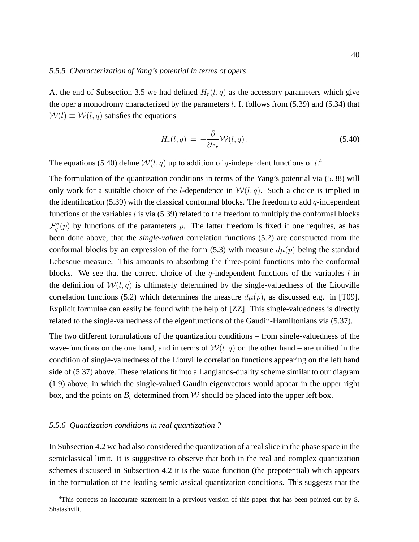# *5.5.5 Characterization of Yang's potential in terms of opers*

At the end of Subsection 3.5 we had defined  $H_r(l, q)$  as the accessory parameters which give the oper a monodromy characterized by the parameters  $l$ . It follows from (5.39) and (5.34) that  $W(l) \equiv W(l, q)$  satisfies the equations

$$
H_r(l,q) = -\frac{\partial}{\partial z_r} \mathcal{W}(l,q). \tag{5.40}
$$

The equations (5.40) define  $W(l, q)$  up to addition of q-independent functions of  $l^4$ .

The formulation of the quantization conditions in terms of the Yang's potential via (5.38) will only work for a suitable choice of the *l*-dependence in  $W(l, q)$ . Such a choice is implied in the identification (5.39) with the classical conformal blocks. The freedom to add  $q$ -independent functions of the variables  $l$  is via (5.39) related to the freedom to multiply the conformal blocks  $\mathcal{F}_q^{\sigma}(p)$  by functions of the parameters p. The latter freedom is fixed if one requires, as has been done above, that the *single-valued* correlation functions (5.2) are constructed from the conformal blocks by an expression of the form (5.3) with measure  $d\mu(p)$  being the standard Lebesque measure. This amounts to absorbing the three-point functions into the conformal blocks. We see that the correct choice of the  $q$ -independent functions of the variables  $l$  in the definition of  $W(l, q)$  is ultimately determined by the single-valuedness of the Liouville correlation functions (5.2) which determines the measure  $d\mu(p)$ , as discussed e.g. in [T09]. Explicit formulae can easily be found with the help of [ZZ]. This single-valuedness is directly related to the single-valuedness of the eigenfunctions of the Gaudin-Hamiltonians via (5.37).

The two different formulations of the quantization conditions – from single-valuedness of the wave-functions on the one hand, and in terms of  $W(l, q)$  on the other hand – are unified in the condition of single-valuedness of the Liouville correlation functions appearing on the left hand side of (5.37) above. These relations fit into a Langlands-duality scheme similar to our diagram (1.9) above, in which the single-valued Gaudin eigenvectors would appear in the upper right box, and the points on  $\mathcal{B}_{\epsilon}$  determined from W should be placed into the upper left box.

# *5.5.6 Quantization conditions in real quantization ?*

In Subsection 4.2 we had also considered the quantization of a real slice in the phase space in the semiclassical limit. It is suggestive to observe that both in the real and complex quantization schemes discuseed in Subsection 4.2 it is the *same* function (the prepotential) which appears in the formulation of the leading semiclassical quantization conditions. This suggests that the

<sup>&</sup>lt;sup>4</sup>This corrects an inaccurate statement in a previous version of this paper that has been pointed out by S. Shatashvili.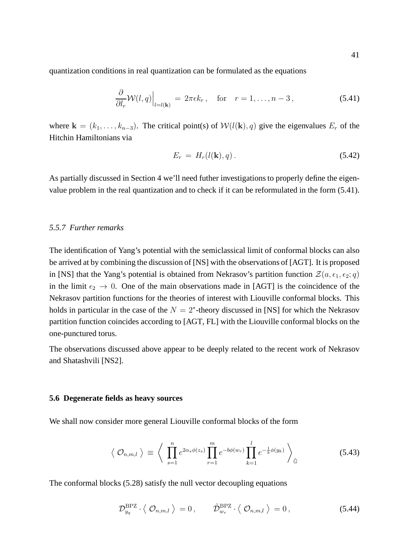quantization conditions in real quantization can be formulated as the equations

$$
\frac{\partial}{\partial l_r} \mathcal{W}(l, q) \Big|_{l=l(\mathbf{k})} = 2\pi \epsilon k_r, \quad \text{for} \quad r = 1, \dots, n-3,
$$
\n(5.41)

where  $\mathbf{k} = (k_1, \ldots, k_{n-3})$ . The critical point(s) of  $\mathcal{W}(l(\mathbf{k}), q)$  give the eigenvalues  $E_r$  of the Hitchin Hamiltonians via

$$
E_r = H_r(l(\mathbf{k}), q). \tag{5.42}
$$

As partially discussed in Section 4 we'll need futher investigations to properly define the eigenvalue problem in the real quantization and to check if it can be reformulated in the form (5.41).

# *5.5.7 Further remarks*

The identification of Yang's potential with the semiclassical limit of conformal blocks can also be arrived at by combining the discussion of [NS] with the observations of [AGT]. It is proposed in [NS] that the Yang's potential is obtained from Nekrasov's partition function  $\mathcal{Z}(a, \epsilon_1, \epsilon_2; q)$ in the limit  $\epsilon_2 \rightarrow 0$ . One of the main observations made in [AGT] is the coincidence of the Nekrasov partition functions for the theories of interest with Liouville conformal blocks. This holds in particular in the case of the  $N = 2^*$ -theory discussed in [NS] for which the Nekrasov partition function coincides according to [AGT, FL] with the Liouville conformal blocks on the one-punctured torus.

The observations discussed above appear to be deeply related to the recent work of Nekrasov and Shatashvili [NS2].

# **5.6 Degenerate fields as heavy sources**

We shall now consider more general Liouville conformal blocks of the form

$$
\langle \mathcal{O}_{n,m,l} \rangle \equiv \left\langle \prod_{s=1}^{n} e^{2\alpha_s \phi(z_s)} \prod_{r=1}^{m} e^{-b\phi(w_r)} \prod_{k=1}^{l} e^{-\frac{1}{b}\phi(y_k)} \right\rangle_{\hat{\mathbb{G}}} \tag{5.43}
$$

The conformal blocks (5.28) satisfy the null vector decoupling equations

$$
\mathcal{D}_{y_q}^{\text{BPZ}} \cdot \langle \mathcal{O}_{n,m,l} \rangle = 0, \qquad \tilde{\mathcal{D}}_{w_r}^{\text{BPZ}} \cdot \langle \mathcal{O}_{n,m,l} \rangle = 0, \qquad (5.44)
$$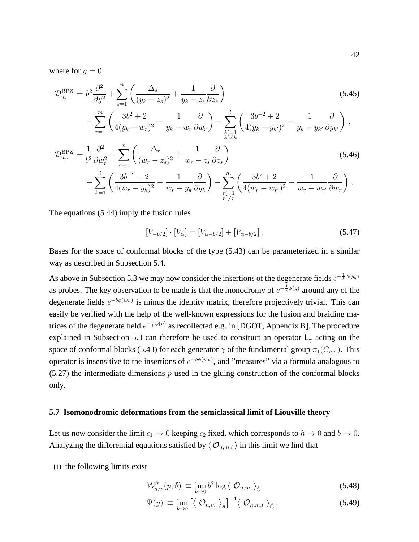where for  $q = 0$ 

$$
\mathcal{D}_{y_k}^{\text{BPZ}} = b^2 \frac{\partial^2}{\partial y^2} + \sum_{s=1}^n \left( \frac{\Delta_s}{(y_k - z_s)^2} + \frac{1}{y_k - z_s} \frac{\partial}{\partial z_s} \right) \n- \sum_{r=1}^m \left( \frac{3b^2 + 2}{4(y_k - w_r)^2} - \frac{1}{y_k - w_r} \frac{\partial}{\partial w_r} \right) - \sum_{\substack{k'=1\\k' \neq k}}^l \left( \frac{3b^{-2} + 2}{4(y_k - y_{k'})^2} - \frac{1}{y_k - y_{k'}} \frac{\partial}{\partial y_{k'}} \right) ,
$$
\n(5.45)

$$
\tilde{\mathcal{D}}_{w_r}^{\text{BPZ}} = \frac{1}{b^2} \frac{\partial^2}{\partial w_r^2} + \sum_{s=1}^n \left( \frac{\Delta_r}{(w_r - z_s)^2} + \frac{1}{w_r - z_s} \frac{\partial}{\partial z_s} \right) \n- \sum_{k=1}^l \left( \frac{3b^{-2} + 2}{4(w_r - y_k)^2} - \frac{1}{w_r - y_k} \frac{\partial}{\partial y_k} \right) - \sum_{\substack{r'=1 \\ r' \neq r}}^m \left( \frac{3b^2 + 2}{4(w_r - w_{r'})^2} - \frac{1}{w_r - w_{r'}} \frac{\partial}{\partial w_r} \right).
$$
\n(5.46)

The equations (5.44) imply the fusion rules

$$
[V_{-b/2}] \cdot [V_{\alpha}] = [V_{\alpha - b/2}] + [V_{\alpha - b/2}]. \tag{5.47}
$$

Bases for the space of conformal blocks of the type (5.43) can be parameterized in a similar way as described in Subsection 5.4.

As above in Subsection 5.3 we may now consider the insertions of the degenerate fields  $e^{-\frac{1}{b}\phi(y_q)}$ as probes. The key observation to be made is that the monodromy of  $e^{-\frac{1}{b}\phi(y)}$  around any of the degenerate fields  $e^{-b\phi(w_k)}$  is minus the identity matrix, therefore projectively trivial. This can easily be verified with the help of the well-known expressions for the fusion and braiding matrices of the degenerate field  $e^{-\frac{1}{b}\phi(y)}$  as recollected e.g. in [DGOT, Appendix B]. The procedure explained in Subsection 5.3 can therefore be used to construct an operator  $L_{\gamma}$  acting on the space of conformal blocks (5.43) for each generator  $\gamma$  of the fundamental group  $\pi_1(C_{q,n})$ . This operator is insensitive to the insertions of  $e^{-b\phi(w_k)}$ , and "measures" via a formula analogous to  $(5.27)$  the intermediate dimensions p used in the gluing construction of the conformal blocks only.

# **5.7 Isomonodromic deformations from the semiclassical limit of Liouville theory**

Let us now consider the limit  $\epsilon_1 \to 0$  keeping  $\epsilon_2$  fixed, which corresponds to  $\hbar \to 0$  and  $b \to 0$ . Analyzing the differential equations satisfied by  $\langle O_{n,m,l} \rangle$  in this limit we find that

(i) the following limits exist

$$
\mathcal{W}^{\hat{\sigma}}_{q,w}(p,\delta) \equiv \lim_{b \to 0} b^2 \log \left\langle \mathcal{O}_{n,m} \right\rangle_{\hat{\mathbb{G}}} \tag{5.48}
$$

$$
\Psi(y) \equiv \lim_{b \to \infty} \left[ \langle \mathcal{O}_{n,m} \rangle_{\hat{\sigma}} \right]^{-1} \langle \mathcal{O}_{n,m,l} \rangle_{\hat{\mathbb{G}}}, \tag{5.49}
$$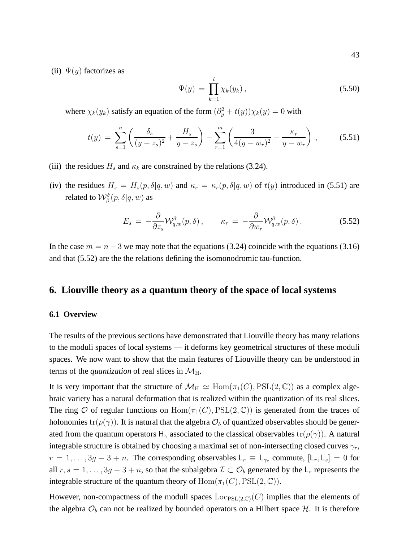$$
\Psi(y) = \prod_{k=1}^{l} \chi_k(y_k), \qquad (5.50)
$$

where  $\chi_k(y_k)$  satisfy an equation of the form  $(\partial_y^2 + t(y))\chi_k(y) = 0$  with

$$
t(y) = \sum_{s=1}^{n} \left( \frac{\delta_s}{(y - z_s)^2} + \frac{H_s}{y - z_s} \right) - \sum_{r=1}^{m} \left( \frac{3}{4(y - w_r)^2} - \frac{\kappa_r}{y - w_r} \right), \quad (5.51)
$$

- (iii) the residues  $H_s$  and  $\kappa_k$  are constrained by the relations (3.24).
- (iv) the residues  $H_s = H_s(p, \delta | q, w)$  and  $\kappa_r = \kappa_r(p, \delta | q, w)$  of  $t(y)$  introduced in (5.51) are related to  $\mathcal{W}_{\beta}^{\hat{\sigma}}(p,\delta|q,w)$  as

$$
E_s = -\frac{\partial}{\partial z_s} \mathcal{W}_{q,w}^{\hat{\sigma}}(p,\delta) , \qquad \kappa_r = -\frac{\partial}{\partial w_r} \mathcal{W}_{q,w}^{\hat{\sigma}}(p,\delta) . \tag{5.52}
$$

In the case  $m = n - 3$  we may note that the equations (3.24) coincide with the equations (3.16) and that (5.52) are the the relations defining the isomonodromic tau-function.

# **6. Liouville theory as a quantum theory of the space of local systems**

#### **6.1 Overview**

The results of the previous sections have demonstrated that Liouville theory has many relations to the moduli spaces of local systems — it deforms key geometrical structures of these moduli spaces. We now want to show that the main features of Liouville theory can be understood in terms of the *quantization* of real slices in  $\mathcal{M}_{\text{H}}$ .

It is very important that the structure of  $\mathcal{M}_{\text{H}} \simeq \text{Hom}(\pi_1(C), \text{PSL}(2, \mathbb{C}))$  as a complex algebraic variety has a natural deformation that is realized within the quantization of its real slices. The ring O of regular functions on  $Hom(\pi_1(C), PSL(2, \mathbb{C}))$  is generated from the traces of holonomies tr( $\rho(\gamma)$ ). It is natural that the algebra  $\mathcal{O}_b$  of quantized observables should be generated from the quantum operators H<sub>γ</sub> associated to the classical observables  $tr(\rho(\gamma))$ . A natural integrable structure is obtained by choosing a maximal set of non-intersecting closed curves  $\gamma_r$ ,  $r = 1, \ldots, 3g - 3 + n$ . The corresponding observables  $\mathsf{L}_r \equiv \mathsf{L}_{\gamma_r}$  commute,  $[\mathsf{L}_r, \mathsf{L}_s] = 0$  for all  $r, s = 1, \ldots, 3g - 3 + n$ , so that the subalgebra  $\mathcal{I} \subset \mathcal{O}_b$  generated by the  $\mathsf{L}_r$  represents the integrable structure of the quantum theory of  $\text{Hom}(\pi_1(C), \text{PSL}(2, \mathbb{C}))$ .

However, non-compactness of the moduli spaces  $\text{Loc}_{PSL(2,\mathbb{C})}(C)$  implies that the elements of the algebra  $\mathcal{O}_b$  can not be realized by bounded operators on a Hilbert space  $\mathcal{H}$ . It is therefore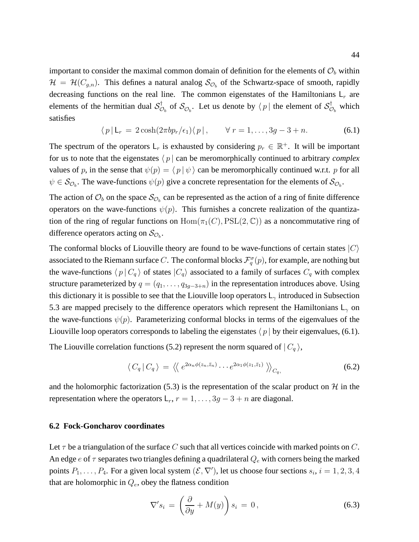important to consider the maximal common domain of definition for the elements of  $\mathcal{O}_b$  within  $\mathcal{H} = \mathcal{H}(C_{g,n})$ . This defines a natural analog  $\mathcal{S}_{\mathcal{O}_b}$  of the Schwartz-space of smooth, rapidly decreasing functions on the real line. The common eigenstates of the Hamiltonians  $L_r$  are elements of the hermitian dual  $\mathcal{S}_{\mathcal{C}}^{\dagger}$  $\mathcal{O}_b$  of  $\mathcal{S}_{\mathcal{O}_b}$ . Let us denote by  $\langle p |$  the element of  $\mathcal{S}_{\mathcal{O}}^{\dagger}$  $\stackrel{\tau}{\mathcal{O}}_b$  which satisfies

$$
\langle p | \mathsf{L}_r = 2 \cosh(2\pi b p_r/\epsilon_1) \langle p |, \qquad \forall \ r = 1, \dots, 3g - 3 + n. \tag{6.1}
$$

The spectrum of the operators  $L_r$  is exhausted by considering  $p_r \in \mathbb{R}^+$ . It will be important for us to note that the eigenstates  $\langle p |$  can be meromorphically continued to arbitrary *complex* values of p, in the sense that  $\psi(p) = \langle p | \psi \rangle$  can be meromorphically continued w.r.t. p for all  $\psi \in S_{\mathcal{O}_b}$ . The wave-functions  $\psi(p)$  give a concrete representation for the elements of  $\mathcal{S}_{\mathcal{O}_b}$ .

The action of  $\mathcal{O}_b$  on the space  $\mathcal{S}_{\mathcal{O}_b}$  can be represented as the action of a ring of finite difference operators on the wave-functions  $\psi(p)$ . This furnishes a concrete realization of the quantization of the ring of regular functions on  $Hom(\pi_1(C), PSL(2, \mathbb{C}))$  as a noncommutative ring of difference operators acting on  $\mathcal{S}_{\mathcal{O}_b}$ .

The conformal blocks of Liouville theory are found to be wave-functions of certain states  $|C\rangle$ associated to the Riemann surface C. The conformal blocks  $\mathcal{F}^\sigma_q(p),$  for example, are nothing but the wave-functions  $\langle p | C_q \rangle$  of states  $| C_q \rangle$  associated to a family of surfaces  $C_q$  with complex structure parameterized by  $q = (q_1, \ldots, q_{3g-3+n})$  in the representation introduces above. Using this dictionary it is possible to see that the Liouville loop operators  $L_{\gamma}$  introduced in Subsection 5.3 are mapped precisely to the difference operators which represent the Hamiltonians  $L_{\gamma}$  on the wave-functions  $\psi(p)$ . Parameterizing conformal blocks in terms of the eigenvalues of the Liouville loop operators corresponds to labeling the eigenstates  $\langle p |$  by their eigenvalues, (6.1).

The Liouville correlation functions (5.2) represent the norm squared of  $|C_q\rangle$ ,

$$
\langle C_q | C_q \rangle = \langle \langle e^{2\alpha_n \phi(z_n, \bar{z}_n)} \cdots e^{2\alpha_1 \phi(z_1, \bar{z}_1)} \rangle \rangle_{C_q}, \tag{6.2}
$$

and the holomorphic factorization (5.3) is the representation of the scalar product on  $H$  in the representation where the operators  $L_r$ ,  $r = 1, \ldots, 3g - 3 + n$  are diagonal.

# **6.2 Fock-Goncharov coordinates**

Let  $\tau$  be a triangulation of the surface C such that all vertices coincide with marked points on C. An edge  $e$  of  $\tau$  separates two triangles defining a quadrilateral  $Q_e$  with corners being the marked points  $P_1, \ldots, P_4$ . For a given local system  $(\mathcal{E}, \nabla')$ , let us choose four sections  $s_i$ ,  $i = 1, 2, 3, 4$ that are holomorphic in  $Q_e$ , obey the flatness condition

$$
\nabla' s_i = \left(\frac{\partial}{\partial y} + M(y)\right) s_i = 0, \qquad (6.3)
$$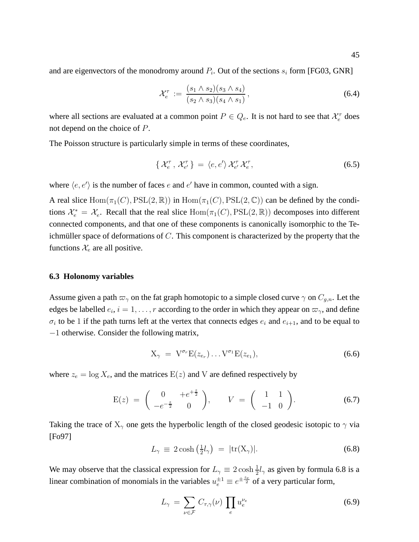and are eigenvectors of the monodromy around  $P_i$ . Out of the sections  $s_i$  form [FG03, GNR]

$$
\mathcal{X}_e^{\tau} := \frac{(s_1 \wedge s_2)(s_3 \wedge s_4)}{(s_2 \wedge s_3)(s_4 \wedge s_1)},
$$
\n(6.4)

where all sections are evaluated at a common point  $P \in Q_e$ . It is not hard to see that  $\mathcal{X}_e^{\tau}$  does not depend on the choice of P.

The Poisson structure is particularly simple in terms of these coordinates,

$$
\left\{ \mathcal{X}_{e}^{\tau}, \mathcal{X}_{e'}^{\tau} \right\} = \left\langle e, e' \right\rangle \mathcal{X}_{e'}^{\tau} \mathcal{X}_{e}^{\tau}, \tag{6.5}
$$

where  $\langle e, e' \rangle$  is the number of faces e and e' have in common, counted with a sign.

A real slice  $Hom(\pi_1(C), PSL(2, \mathbb{R}))$  in  $Hom(\pi_1(C), PSL(2, \mathbb{C}))$  can be defined by the conditions  $\mathcal{X}_e^* = \mathcal{X}_e$ . Recall that the real slice  $Hom(\pi_1(C), PSL(2, \mathbb{R}))$  decomposes into different connected components, and that one of these components is canonically isomorphic to the Teichmüller space of deformations of  $C$ . This component is characterized by the property that the functions  $\mathcal{X}_e$  are all positive.

#### **6.3 Holonomy variables**

Assume given a path  $\varpi_{\gamma}$  on the fat graph homotopic to a simple closed curve  $\gamma$  on  $C_{q,n}$ . Let the edges be labelled  $e_i$ ,  $i = 1, \ldots, r$  according to the order in which they appear on  $\varpi_{\gamma}$ , and define  $\sigma_i$  to be 1 if the path turns left at the vertex that connects edges  $e_i$  and  $e_{i+1}$ , and to be equal to −1 otherwise. Consider the following matrix,

$$
X_{\gamma} = V^{\sigma_r} E(z_{e_r}) \dots V^{\sigma_1} E(z_{e_1}), \qquad (6.6)
$$

where  $z_e = \log X_e$ , and the matrices  $E(z)$  and V are defined respectively by

$$
E(z) = \begin{pmatrix} 0 & +e^{+\frac{z}{2}} \\ -e^{-\frac{z}{2}} & 0 \end{pmatrix}, \qquad V = \begin{pmatrix} 1 & 1 \\ -1 & 0 \end{pmatrix}.
$$
 (6.7)

Taking the trace of  $X_{\gamma}$  one gets the hyperbolic length of the closed geodesic isotopic to  $\gamma$  via [Fo97]

$$
L_{\gamma} \equiv 2 \cosh\left(\frac{1}{2}l_{\gamma}\right) = |\text{tr}(\mathbf{X}_{\gamma})|.
$$
 (6.8)

We may observe that the classical expression for  $L_{\gamma} \equiv 2 \cosh \frac{1}{2} l_{\gamma}$  as given by formula 6.8 is a linear combination of monomials in the variables  $u_e^{\pm 1} \equiv e^{\pm \frac{z_e}{2}}$  of a very particular form,

$$
L_{\gamma} = \sum_{\nu \in \mathcal{F}} C_{\tau, \gamma}(\nu) \prod_{e} u_e^{\nu_e}
$$
 (6.9)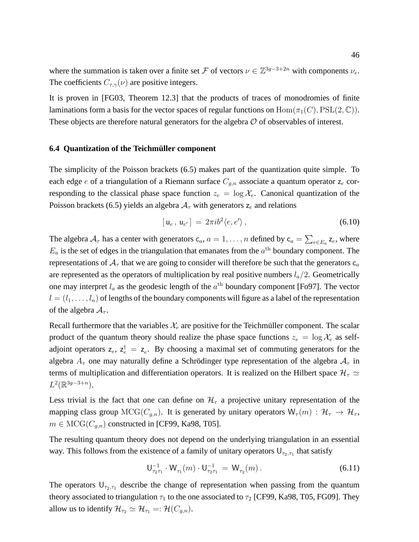where the summation is taken over a finite set F of vectors  $\nu \in \mathbb{Z}^{3g-3+2n}$  with components  $\nu_e$ . The coefficients  $C_{\tau,\gamma}(\nu)$  are positive integers.

It is proven in [FG03, Theorem 12.3] that the products of traces of monodromies of finite laminations form a basis for the vector spaces of regular functions on  $\text{Hom}(\pi_1(C), \text{PSL}(2, \mathbb{C}))$ . These objects are therefore natural generators for the algebra  $O$  of observables of interest.

# **6.4 Quantization of the Teichmüller component**

The simplicity of the Poisson brackets (6.5) makes part of the quantization quite simple. To each edge e of a triangulation of a Riemann surface  $C_{q,n}$  associate a quantum operator  $z_e$  corresponding to the classical phase space function  $z_e = \log \mathcal{X}_e$ . Canonical quantization of the Poisson brackets (6.5) yields an algebra  $A<sub>\tau</sub>$  with generators  $z_e$  and relations

$$
[\mathbf{u}_e, \mathbf{u}_{e'}] = 2\pi i b^2 \langle e, e' \rangle, \qquad (6.10)
$$

The algebra  $A_{\tau}$  has a center with generators  $c_a$ ,  $a = 1, ..., n$  defined by  $c_a = \sum_{e \in E_a} z_e$ , where  $E_a$  is the set of edges in the triangulation that emanates from the  $a<sup>th</sup>$  boundary component. The representations of  $A_\tau$  that we are going to consider will therefore be such that the generators  $c_a$ are represented as the operators of multiplication by real positive numbers  $l_a/2$ . Geometrically one may interpret  $l_a$  as the geodesic length of the  $a<sup>th</sup>$  boundary component [Fo97]. The vector  $l = (l_1, \ldots, l_n)$  of lengths of the boundary components will figure as a label of the representation of the algebra  $A_{\tau}$ .

Recall furthermore that the variables  $\mathcal{X}_e$  are positive for the Teichmüller component. The scalar product of the quantum theory should realize the phase space functions  $z_e = \log \mathcal{X}_e$  as selfadjoint operators  $z_e$ ,  $z_e^{\dagger} = z_e$ . By choosing a maximal set of commuting generators for the algebra  $A_{\tau}$  one may naturally define a Schrödinger type representation of the algebra  $A_{\tau}$  in terms of multiplication and differentiation operators. It is realized on the Hilbert space  $\mathcal{H}_{\tau} \simeq$  $L^2(\mathbb{R}^{3g-3+n}).$ 

Less trivial is the fact that one can define on  $\mathcal{H}_{\tau}$  a projective unitary representation of the mapping class group  $MCG(C_{g,n})$ . It is generated by unitary operators  $W_{\tau}(m): \mathcal{H}_{\tau} \to \mathcal{H}_{\tau}$ ,  $m \in \text{MCG}(C_{q,n})$  constructed in [CF99, Ka98, T05].

The resulting quantum theory does not depend on the underlying triangulation in an essential way. This follows from the existence of a family of unitary operators  $U_{\tau_2,\tau_1}$  that satisfy

$$
\mathsf{U}_{\tau_2\tau_1}^{-1} \cdot \mathsf{W}_{\tau_1}(m) \cdot \mathsf{U}_{\tau_2\tau_1}^{-1} = \mathsf{W}_{\tau_2}(m) \,. \tag{6.11}
$$

The operators  $U_{\tau_2,\tau_1}$  describe the change of representation when passing from the quantum theory associated to triangulation  $\tau_1$  to the one associated to  $\tau_2$  [CF99, Ka98, T05, FG09]. They allow us to identify  $\mathcal{H}_{\tau_2} \simeq \mathcal{H}_{\tau_1} =: \mathcal{H}(C_{g,n}).$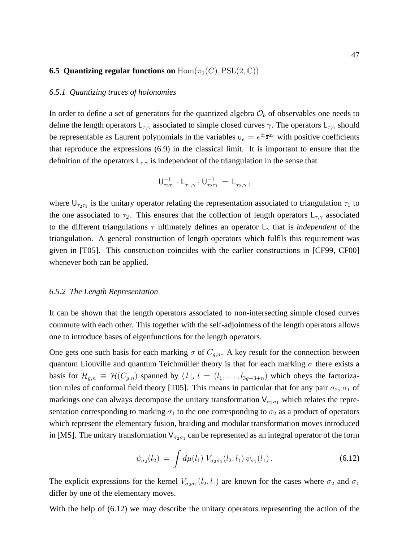### **6.5 Quantizing regular functions on**  $\text{Hom}(\pi_1(C), \text{PSL}(2, \mathbb{C}))$

## *6.5.1 Quantizing traces of holonomies*

In order to define a set of generators for the quantized algebra  $\mathcal{O}_b$  of observables one needs to define the length operators  $L_{\tau,\gamma}$  associated to simple closed curves  $\gamma$ . The operators  $L_{\tau,\gamma}$  should be representable as Laurent polynomials in the variables  $u_e = e^{\pm \frac{1}{2}z_e}$  with positive coefficients that reproduce the expressions (6.9) in the classical limit. It is important to ensure that the definition of the operators  $L_{\tau,\gamma}$  is independent of the triangulation in the sense that

$$
{\mathsf U}_{\tau_2\tau_1}^{-1}\cdot{\mathsf L}_{\tau_1,\gamma}\cdot{\mathsf U}_{\tau_2\tau_1}^{-1}\,=\,{\mathsf L}_{\tau_2,\gamma}\,,
$$

where  $U_{\tau_2\tau_1}$  is the unitary operator relating the representation associated to triangulation  $\tau_1$  to the one associated to  $\tau_2$ . This ensures that the collection of length operators  $L_{\tau,\gamma}$  associated to the different triangulations  $\tau$  ultimately defines an operator  $L_{\gamma}$  that is *independent* of the triangulation. A general construction of length operators which fulfils this requirement was given in [T05]. This construction coincides with the earlier constructions in [CF99, CF00] whenever both can be applied.

#### *6.5.2 The Length Representation*

It can be shown that the length operators associated to non-intersecting simple closed curves commute with each other. This together with the self-adjointness of the length operators allows one to introduce bases of eigenfunctions for the length operators.

One gets one such basis for each marking  $\sigma$  of  $C_{q,n}$ . A key result for the connection between quantum Liouville and quantum Teichmüller theory is that for each marking  $\sigma$  there exists a basis for  $\mathcal{H}_{q,n} \equiv \mathcal{H}(C_{q,n})$  spanned by  $\langle l |, l = (l_1, \ldots, l_{3q-3+n})$  which obeys the factorization rules of conformal field theory [T05]. This means in particular that for any pair  $\sigma_2$ ,  $\sigma_1$  of markings one can always decompose the unitary transformation  $V_{\sigma_2\sigma_1}$  which relates the representation corresponding to marking  $\sigma_1$  to the one corresponding to  $\sigma_2$  as a product of operators which represent the elementary fusion, braiding and modular transformation moves introduced in [MS]. The unitary transformation  $V_{\sigma_2\sigma_1}$  can be represented as an integral operator of the form

$$
\psi_{\sigma_2}(l_2) = \int d\mu(l_1) \ V_{\sigma_2\sigma_1}(l_2, l_1) \psi_{\sigma_1}(l_1).
$$
 (6.12)

The explicit expressions for the kernel  $V_{\sigma_2\sigma_1}(l_2, l_1)$  are known for the cases where  $\sigma_2$  and  $\sigma_1$ differ by one of the elementary moves.

With the help of (6.12) we may describe the unitary operators representing the action of the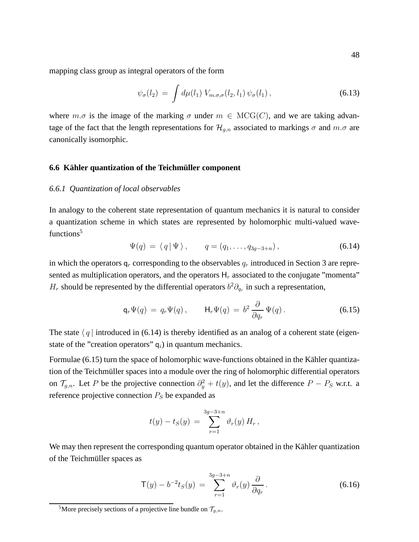mapping class group as integral operators of the form

$$
\psi_{\sigma}(l_2) = \int d\mu(l_1) \ V_{m.\sigma,\sigma}(l_2, l_1) \ \psi_{\sigma}(l_1), \tag{6.13}
$$

where  $m.\sigma$  is the image of the marking  $\sigma$  under  $m \in \mathrm{MCG}(C)$ , and we are taking advantage of the fact that the length representations for  $\mathcal{H}_{q,n}$  associated to markings  $\sigma$  and  $m.\sigma$  are canonically isomorphic.

#### **6.6 Kähler quantization of the Teichmüller component**

#### *6.6.1 Quantization of local observables*

In analogy to the coherent state representation of quantum mechanics it is natural to consider a quantization scheme in which states are represented by holomorphic multi-valued wavefunctions<sup>5</sup>

$$
\Psi(q) = \langle q | \Psi \rangle, \qquad q = (q_1, \dots, q_{3g-3+n}), \qquad (6.14)
$$

in which the operators  $q_r$  corresponding to the observables  $q_r$  introduced in Section 3 are represented as multiplication operators, and the operators  $H_r$  associated to the conjugate "momenta"  $H_r$  should be represented by the differential operators  $b^2 \partial_{q_r}$  in such a representation,

$$
\mathsf{q}_r \Psi(q) = q_r \Psi(q), \qquad \mathsf{H}_r \Psi(q) = b^2 \frac{\partial}{\partial q_r} \Psi(q).
$$
 (6.15)

The state  $\langle q |$  introduced in (6.14) is thereby identified as an analog of a coherent state (eigenstate of the "creation operators"  $q_i$ ) in quantum mechanics.

Formulae  $(6.15)$  turn the space of holomorphic wave-functions obtained in the Kähler quantization of the Teichmüller spaces into a module over the ring of holomorphic differential operators on  $\mathcal{T}_{g,n}$ . Let P be the projective connection  $\partial_y^2 + t(y)$ , and let the difference  $P - P_S$  w.r.t. a reference projective connection  $P_S$  be expanded as

$$
t(y) - t_S(y) = \sum_{r=1}^{3g-3+n} \vartheta_r(y) H_r,
$$

We may then represent the corresponding quantum operator obtained in the Kähler quantization of the Teichmüller spaces as

$$
\mathsf{T}(y) - b^{-2}t_S(y) = \sum_{r=1}^{3g-3+n} \vartheta_r(y) \frac{\partial}{\partial q_r}.
$$
\n(6.16)

<sup>&</sup>lt;sup>5</sup>More precisely sections of a projective line bundle on  $\mathcal{T}_{q,n}$ .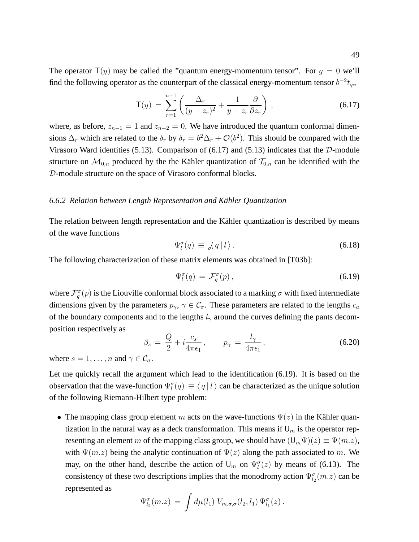$$
\mathsf{T}(y) = \sum_{r=1}^{n-1} \left( \frac{\Delta_r}{(y - z_r)^2} + \frac{1}{y - z_r} \frac{\partial}{\partial z_r} \right), \tag{6.17}
$$

where, as before,  $z_{n-1} = 1$  and  $z_{n-2} = 0$ . We have introduced the quantum conformal dimensions  $\Delta_r$  which are related to the  $\delta_r$  by  $\delta_r = b^2 \Delta_r + \mathcal{O}(b^2)$ . This should be compared with the Virasoro Ward identities (5.13). Comparison of (6.17) and (5.13) indicates that the  $D$ -module structure on  $\mathcal{M}_{0,n}$  produced by the the Kähler quantization of  $\mathcal{T}_{0,n}$  can be identified with the D-module structure on the space of Virasoro conformal blocks.

#### *6.6.2 Relation between Length Representation and Kahler Quantization ¨*

The relation between length representation and the Kähler quantization is described by means of the wave functions

$$
\Psi_l^{\sigma}(q) \equiv \, _{\sigma}\langle q \, | \, l \, \rangle \,. \tag{6.18}
$$

The following characterization of these matrix elements was obtained in [T03b]:

$$
\Psi_l^{\sigma}(q) = \mathcal{F}_q^{\sigma}(p) \,, \tag{6.19}
$$

where  $\mathcal{F}^\sigma_q(p)$  is the Liouville conformal block associated to a marking  $\sigma$  with fixed intermediate dimensions given by the parameters  $p_{\gamma}, \gamma \in C_{\sigma}$ . These parameters are related to the lengths  $c_a$ of the boundary components and to the lengths  $l_{\gamma}$  around the curves defining the pants decomposition respectively as

$$
\beta_s = \frac{Q}{2} + i \frac{c_s}{4\pi\epsilon_1}, \qquad p_\gamma = \frac{l_\gamma}{4\pi\epsilon_1}, \tag{6.20}
$$

where  $s = 1, \ldots, n$  and  $\gamma \in \mathcal{C}_{\sigma}$ .

Let me quickly recall the argument which lead to the identification (6.19). It is based on the observation that the wave-function  $\Psi_l^{\sigma}(q) \equiv \langle q | l \rangle$  can be characterized as the unique solution of the following Riemann-Hilbert type problem:

• The mapping class group element m acts on the wave-functions  $\Psi(z)$  in the Kähler quantization in the natural way as a deck transformation. This means if  $U_m$  is the operator representing an element m of the mapping class group, we should have  $(U_m\Psi)(z) \equiv \Psi(m.z)$ , with  $\Psi(m,z)$  being the analytic continuation of  $\Psi(z)$  along the path associated to m. We may, on the other hand, describe the action of  $\mathsf{U}_m$  on  $\Psi_l^{\sigma}(z)$  by means of (6.13). The consistency of these two descriptions implies that the monodromy action  $\Psi_{l_2}^{\sigma}(m,z)$  can be represented as

$$
\Psi_{l_2}^{\sigma}(m.z) = \int d\mu(l_1) V_{m.\sigma,\sigma}(l_2,l_1) \Psi_{l_1}^{\sigma}(z).
$$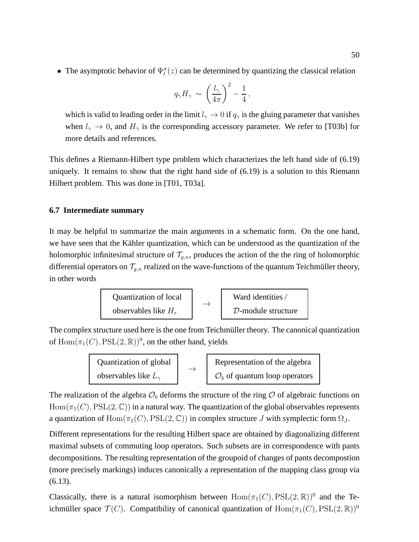• The asymptotic behavior of  $\Psi_l^{\sigma}(z)$  can be determined by quantizing the classical relation

$$
q_{\gamma}H_{\gamma} \sim \left(\frac{l_{\gamma}}{4\pi}\right)^2 - \frac{1}{4},
$$

which is valid to leading order in the limit  $l_{\gamma} \to 0$  if  $q_{\gamma}$  is the gluing parameter that vanishes when  $l_{\gamma} \to 0$ , and  $H_{\gamma}$  is the corresponding accessory parameter. We refer to [T03b] for more details and references.

This defines a Riemann-Hilbert type problem which characterizes the left hand side of (6.19) uniquely. It remains to show that the right hand side of (6.19) is a solution to this Riemann Hilbert problem. This was done in [T01, T03a].

# **6.7 Intermediate summary**

It may be helpful to summarize the main arguments in a schematic form. On the one hand, we have seen that the Kähler quantization, which can be understood as the quantization of the holomorphic infinitesimal structure of  $\mathcal{T}_{g,n}$ , produces the action of the the ring of holomorphic differential operators on  $\mathcal{T}_{q,n}$  realized on the wave-functions of the quantum Teichmüller theory, in other words



The complex structure used here is the one from Teichmüller theory. The canonical quantization of  $\text{Hom}(\pi_1(C), \text{PSL}(2, \mathbb{R}))^0$ , on the other hand, yields

| Quantization of global        |  | Representation of the algebra             |
|-------------------------------|--|-------------------------------------------|
| observables like $L_{\gamma}$ |  | $\mathcal{O}_b$ of quantum loop operators |

The realization of the algebra  $\mathcal{O}_b$  deforms the structure of the ring  $\mathcal O$  of algebraic functions on  $Hom(\pi_1(C), PSL(2, \mathbb{C}))$  in a natural way. The quantization of the global observables represents a quantization of Hom $(\pi_1(C), \text{PSL}(2, \mathbb{C}))$  in complex structure J with symplectic form  $\Omega_J$ .

Different representations for the resulting Hilbert space are obtained by diagonalizing different maximal subsets of commuting loop operators. Such subsets are in correspondence with pants decompositions. The resulting representation of the groupoid of changes of pants decompostion (more precisely markings) induces canonically a representation of the mapping class group via (6.13).

Classically, there is a natural isomorphism between  $Hom(\pi_1(C), PSL(2, \mathbb{R}))^0$  and the Teichmüller space  $\mathcal{T}(C)$ . Compatibility of canonical quantization of  $\text{Hom}(\pi_1(C), \text{PSL}(2, \mathbb{R}))^0$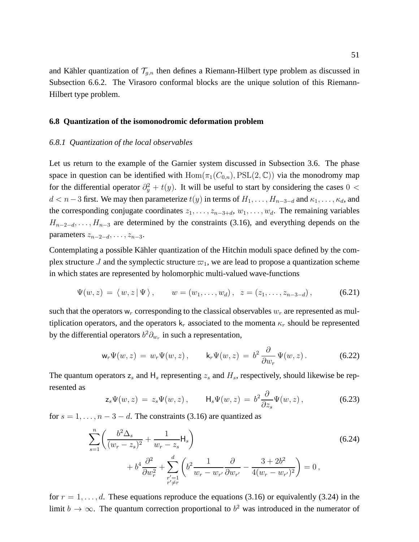and Kähler quantization of  $\mathcal{T}_{q,n}$  then defines a Riemann-Hilbert type problem as discussed in Subsection 6.6.2. The Virasoro conformal blocks are the unique solution of this Riemann-Hilbert type problem.

## **6.8 Quantization of the isomonodromic deformation problem**

#### *6.8.1 Quantization of the local observables*

Let us return to the example of the Garnier system discussed in Subsection 3.6. The phase space in question can be identified with  $Hom(\pi_1(C_{0,n}), PSL(2, \mathbb{C}))$  via the monodromy map for the differential operator  $\partial_y^2 + t(y)$ . It will be useful to start by considering the cases 0 <  $d < n-3$  first. We may then parameterize  $t(y)$  in terms of  $H_1, \ldots, H_{n-3-d}$  and  $\kappa_1, \ldots, \kappa_d$ , and the corresponding conjugate coordinates  $z_1, \ldots, z_{n-3+d}, w_1, \ldots, w_d$ . The remaining variables  $H_{n-2-d}, \ldots, H_{n-3}$  are determined by the constraints (3.16), and everything depends on the parameters  $z_{n-2-d}, \ldots, z_{n-3}$ .

Contemplating a possible Kähler quantization of the Hitchin moduli space defined by the complex structure J and the symplectic structure  $\varpi_1$ , we are lead to propose a quantization scheme in which states are represented by holomorphic multi-valued wave-functions

$$
\Psi(w, z) = \langle w, z | \Psi \rangle, \qquad w = (w_1, \dots, w_d), \quad z = (z_1, \dots, z_{n-3-d}), \tag{6.21}
$$

such that the operators  $w_r$  corresponding to the classical observables  $w_r$  are represented as multiplication operators, and the operators  $k_r$  associated to the momenta  $\kappa_r$  should be represented by the differential operators  $b^2 \partial_{w_r}$  in such a representation,

$$
\mathsf{w}_r \Psi(w, z) = w_r \Psi(w, z), \qquad \mathsf{k}_r \Psi(w, z) = b^2 \frac{\partial}{\partial w_r} \Psi(w, z).
$$
 (6.22)

The quantum operators  $z_s$  and  $H_s$  representing  $z_s$  and  $H_s$ , respectively, should likewise be represented as ∂

$$
\mathsf{z}_s \Psi(w, z) = z_s \Psi(w, z), \qquad \mathsf{H}_s \Psi(w, z) = b^2 \frac{\partial}{\partial z_s} \Psi(w, z), \tag{6.23}
$$

for  $s = 1, \ldots, n - 3 - d$ . The constraints (3.16) are quantized as

$$
\sum_{s=1}^{n} \left( \frac{b^2 \Delta_s}{(w_r - z_s)^2} + \frac{1}{w_r - z_s} \mathsf{H}_s \right)
$$
\n
$$
+ b^4 \frac{\partial^2}{\partial w_r^2} + \sum_{\substack{r'=1 \\ r' \neq r}}^{d} \left( b^2 \frac{1}{w_r - w_{r'}} \frac{\partial}{\partial w_{r'}} - \frac{3 + 2b^2}{4(w_r - w_{r'})^2} \right) = 0,
$$
\n(6.24)

for  $r = 1, \ldots, d$ . These equations reproduce the equations (3.16) or equivalently (3.24) in the limit  $b \to \infty$ . The quantum correction proportional to  $b^2$  was introduced in the numerator of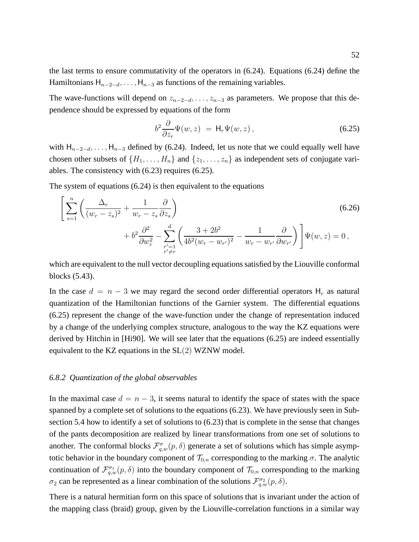the last terms to ensure commutativity of the operators in (6.24). Equations (6.24) define the Hamiltonians  $H_{n-2-d}, \ldots, H_{n-3}$  as functions of the remaining variables.

The wave-functions will depend on  $z_{n-2-d}, \ldots, z_{n-3}$  as parameters. We propose that this dependence should be expressed by equations of the form

$$
b^2 \frac{\partial}{\partial z_r} \Psi(w, z) = \mathsf{H}_r \Psi(w, z), \qquad (6.25)
$$

with  $H_{n-2-d}, \ldots, H_{n-3}$  defined by (6.24). Indeed, let us note that we could equally well have chosen other subsets of  $\{H_1, \ldots, H_n\}$  and  $\{z_1, \ldots, z_n\}$  as independent sets of conjugate variables. The consistency with (6.23) requires (6.25).

The system of equations (6.24) is then equivalent to the equations

$$
\left[\sum_{s=1}^{n} \left(\frac{\Delta_r}{(w_r - z_s)^2} + \frac{1}{w_r - z_s} \frac{\partial}{\partial z_s}\right) + b^2 \frac{\partial^2}{\partial w_r^2} - \sum_{\substack{r'=1 \\ r' \neq r}}^{d} \left(\frac{3 + 2b^2}{4b^2 (w_r - w_{r'})^2} - \frac{1}{w_r - w_{r'}} \frac{\partial}{\partial w_{r'}}\right)\right] \Psi(w, z) = 0,
$$
\n(6.26)

which are equivalent to the null vector decoupling equations satisfied by the Liouville conformal blocks (5.43).

In the case  $d = n - 3$  we may regard the second order differential operators  $H_r$  as natural quantization of the Hamiltonian functions of the Garnier system. The differential equations (6.25) represent the change of the wave-function under the change of representation induced by a change of the underlying complex structure, analogous to the way the KZ equations were derived by Hitchin in [Hi90]. We will see later that the equations (6.25) are indeed essentially equivalent to the KZ equations in the SL(2) WZNW model.

#### *6.8.2 Quantization of the global observables*

In the maximal case  $d = n - 3$ , it seems natural to identify the space of states with the space spanned by a complete set of solutions to the equations (6.23). We have previously seen in Subsection 5.4 how to identify a set of solutions to (6.23) that is complete in the sense that changes of the pants decomposition are realized by linear transformations from one set of solutions to another. The conformal blocks  $\mathcal{F}_{q,w}^{\sigma}(p,\delta)$  generate a set of solutions which has simple asymptotic behavior in the boundary component of  $\mathcal{T}_{0,n}$  corresponding to the marking  $\sigma$ . The analytic continuation of  $\mathcal{F}_{q,w}^{\sigma_1}(p,\delta)$  into the boundary component of  $\mathcal{T}_{0,n}$  corresponding to the marking  $\sigma_2$  can be represented as a linear combination of the solutions  $\mathcal{F}_{q,w}^{\sigma_2}(p,\delta)$ .

There is a natural hermitian form on this space of solutions that is invariant under the action of the mapping class (braid) group, given by the Liouville-correlation functions in a similar way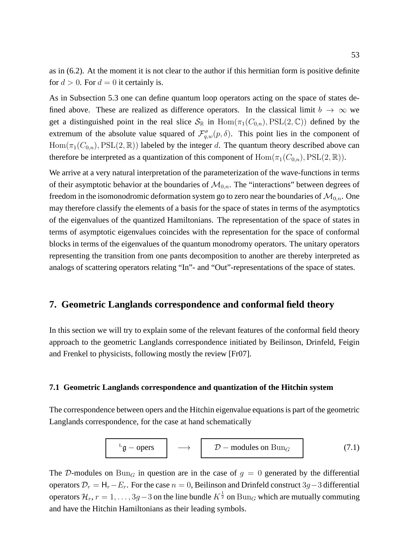as in (6.2). At the moment it is not clear to the author if this hermitian form is positive definite for  $d > 0$ . For  $d = 0$  it certainly is.

As in Subsection 5.3 one can define quantum loop operators acting on the space of states defined above. These are realized as difference operators. In the classical limit  $b \to \infty$  we get a distinguished point in the real slice  $S_{\mathbb{R}}$  in  $\text{Hom}(\pi_1(C_{0,n}), \text{PSL}(2, \mathbb{C}))$  defined by the extremum of the absolute value squared of  $\mathcal{F}_{q,w}^{\sigma}(p,\delta)$ . This point lies in the component of  $Hom(\pi_1(C_{0,n}), PSL(2,\mathbb{R}))$  labeled by the integer d. The quantum theory described above can therefore be interpreted as a quantization of this component of  $\text{Hom}(\pi_1(C_{0,n}), \text{PSL}(2,\mathbb{R}))$ .

We arrive at a very natural interpretation of the parameterization of the wave-functions in terms of their asymptotic behavior at the boundaries of  $\mathcal{M}_{0,n}$ . The "interactions" between degrees of freedom in the isomonodromic deformation system go to zero near the boundaries of  $\mathcal{M}_{0,n}$ . One may therefore classify the elements of a basis for the space of states in terms of the asymptotics of the eigenvalues of the quantized Hamiltonians. The representation of the space of states in terms of asymptotic eigenvalues coincides with the representation for the space of conformal blocks in terms of the eigenvalues of the quantum monodromy operators. The unitary operators representing the transition from one pants decomposition to another are thereby interpreted as analogs of scattering operators relating "In"- and "Out"-representations of the space of states.

# **7. Geometric Langlands correspondence and conformal field theory**

In this section we will try to explain some of the relevant features of the conformal field theory approach to the geometric Langlands correspondence initiated by Beilinson, Drinfeld, Feigin and Frenkel to physicists, following mostly the review [Fr07].

# **7.1 Geometric Langlands correspondence and quantization of the Hitchin system**

The correspondence between opers and the Hitchin eigenvalue equations is part of the geometric Langlands correspondence, for the case at hand schematically

$$
L_{\mathfrak{g}-\text{opers}} \longrightarrow \mathcal{D}-\text{modules on } \text{Bun}_G \qquad (7.1)
$$

The D-modules on  $Bun<sub>G</sub>$  in question are in the case of  $g = 0$  generated by the differential operators  $\mathcal{D}_r = H_r - E_r$ . For the case  $n = 0$ , Beilinson and Drinfeld construct 3g – 3 differential operators  $\mathcal{H}_r$ ,  $r = 1, \ldots, 3g-3$  on the line bundle  $K^{\frac{1}{2}}$  on  $\text{Bun}_G$  which are mutually commuting and have the Hitchin Hamiltonians as their leading symbols.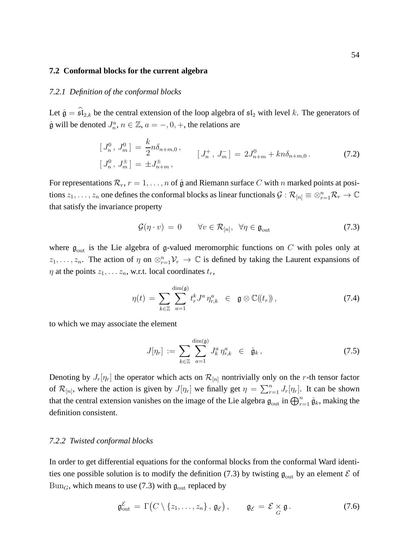#### **7.2 Conformal blocks for the current algebra**

## *7.2.1 Definition of the conformal blocks*

Let  $\hat{\mathfrak{g}} = \hat{\mathfrak{sl}}_{2,k}$  be the central extension of the loop algebra of  $\mathfrak{sl}_2$  with level k. The generators of  $\hat{\mathfrak{g}}$  will be denoted  $J_n^a$ ,  $n \in \mathbb{Z}$ ,  $a = -1, 0, +$ , the relations are

$$
\begin{aligned}\n[J_n^0, J_m^0] &= \frac{k}{2} n \delta_{n+m,0} \,, \\
[J_n^+, J_m^-] &= 2J_{n+m}^0 + k n \delta_{n+m,0} \,. \tag{7.2} \\
[J_n^0, J_m^{\pm}] &= \pm J_{n+m}^{\pm} \,,\n\end{aligned}
$$

For representations  $\mathcal{R}_r$ ,  $r = 1, \ldots, n$  of  $\hat{\mathfrak{g}}$  and Riemann surface C with n marked points at positions  $z_1,\ldots,z_n$  one defines the conformal blocks as linear functionals  $\mathcal{G}:\mathcal{R}_{[n]}\equiv\otimes_{r=1}^n\mathcal{R}_r\to\mathbb{C}$ that satisfy the invariance property

$$
\mathcal{G}(\eta \cdot v) = 0 \qquad \forall v \in \mathcal{R}_{[n]}, \ \forall \eta \in \mathfrak{g}_{\text{out}} \tag{7.3}
$$

where  $\mathfrak{g}_{\text{out}}$  is the Lie algebra of g-valued meromorphic functions on C with poles only at  $z_1, \ldots, z_n$ . The action of  $\eta$  on  $\otimes_{r=1}^n V_r \to \mathbb{C}$  is defined by taking the Laurent expansions of  $\eta$  at the points  $z_1, \ldots z_n$ , w.r.t. local coordinates  $t_r$ ,

$$
\eta(t) = \sum_{k \in \mathbb{Z}} \sum_{a=1}^{\dim(\mathfrak{g})} t_r^k J^a \eta_{r,k}^a \in \mathfrak{g} \otimes \mathbb{C}(\!(t_r)\!), \tag{7.4}
$$

to which we may associate the element

$$
J[\eta_r] := \sum_{k \in \mathbb{Z}} \sum_{a=1}^{\dim(\mathfrak{g})} J_k^a \eta_{r,k}^a \in \hat{\mathfrak{g}}_k, \qquad (7.5)
$$

Denoting by  $J_r[\eta_r]$  the operator which acts on  $\mathcal{R}_{[n]}$  nontrivially only on the r-th tensor factor of  $\mathcal{R}_{[n]}$ , where the action is given by  $J[\eta_r]$  we finally get  $\eta = \sum_{r=1}^n J_r[\eta_r]$ . It can be shown that the central extension vanishes on the image of the Lie algebra  $\mathfrak{g}_{out}$  in  $\bigoplus_{r=1}^n \hat{\mathfrak{g}}_k$ , making the definition consistent.

### *7.2.2 Twisted conformal blocks*

In order to get differential equations for the conformal blocks from the conformal Ward identities one possible solution is to modify the definition (7.3) by twisting  $\mathfrak{g}_{\text{out}}$  by an element  $\mathcal E$  of  $Bun_G$ , which means to use (7.3) with  $\mathfrak{g}_{\text{out}}$  replaced by

$$
\mathfrak{g}_{\text{out}}^{\mathcal{E}} = \Gamma(C \setminus \{z_1, \ldots, z_n\}, \mathfrak{g}_{\mathcal{E}}), \qquad \mathfrak{g}_{\mathcal{E}} = \mathcal{E} \underset{G}{\times} \mathfrak{g}.
$$
 (7.6)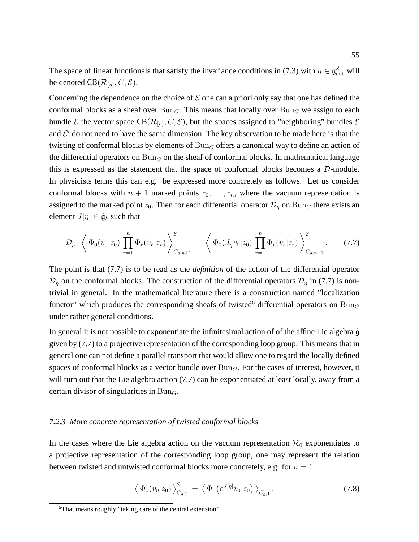The space of linear functionals that satisfy the invariance conditions in (7.3) with  $\eta \in \mathfrak{g}_{\text{out}}^{\mathcal{E}}$  will be denoted  $\text{CB}(\mathcal{R}_{[n]},C,\mathcal{E}).$ 

Concerning the dependence on the choice of  $\mathcal E$  one can a priori only say that one has defined the conformal blocks as a sheaf over  $Bun_G$ . This means that locally over  $Bun_G$  we assign to each bundle  $\mathcal E$  the vector space CB( $\mathcal R_{[n]}, C, \mathcal E$ ), but the spaces assigned to "neighboring" bundles  $\mathcal E$ and  $\mathcal{E}'$  do not need to have the same dimension. The key observation to be made here is that the twisting of conformal blocks by elements of  $Bun<sub>G</sub>$  offers a canonical way to define an action of the differential operators on  $Bun<sub>G</sub>$  on the sheaf of conformal blocks. In mathematical language this is expressed as the statement that the space of conformal blocks becomes a D-module. In physicists terms this can e.g. be expressed more concretely as follows. Let us consider conformal blocks with  $n + 1$  marked points  $z_0, \ldots, z_n$ , where the vacuum representation is assigned to the marked point  $z_0$ . Then for each differential operator  $\mathcal{D}_\eta$  on  $Bun_G$  there exists an element  $J[\eta] \in \hat{\mathfrak{g}}_k$  such that

$$
\mathcal{D}_{\eta} \cdot \left\langle \Phi_0(v_0|z_0) \prod_{r=1}^n \Phi_r(v_r|z_r) \right\rangle_{C_{g,n+1}}^{\mathcal{E}} = \left\langle \Phi_0(J_{\eta}v_0|z_0) \prod_{r=1}^n \Phi_r(v_r|z_r) \right\rangle_{C_{g,n+1}}^{\mathcal{E}}.
$$
 (7.7)

The point is that (7.7) is to be read as the *definition* of the action of the differential operator  $\mathcal{D}_\eta$  on the conformal blocks. The construction of the differential operators  $\mathcal{D}_\eta$  in (7.7) is nontrivial in general. In the mathematical literature there is a construction named "localization functor" which produces the corresponding sheafs of twisted<sup>6</sup> differential operators on  $Bun_G$ under rather general conditions.

In general it is not possible to exponentiate the infinitesimal action of of the affine Lie algebra  $\hat{\mathfrak{g}}$ given by (7.7) to a projective representation of the corresponding loop group. This means that in general one can not define a parallel transport that would allow one to regard the locally defined spaces of conformal blocks as a vector bundle over  $Bun<sub>G</sub>$ . For the cases of interest, however, it will turn out that the Lie algebra action (7.7) can be exponentiated at least locally, away from a certain divisor of singularities in  $Bun_G$ .

# *7.2.3 More concrete representation of twisted conformal blocks*

In the cases where the Lie algebra action on the vacuum representation  $\mathcal{R}_0$  exponentiates to a projective representation of the corresponding loop group, one may represent the relation between twisted and untwisted conformal blocks more concretely, e.g. for  $n = 1$ 

$$
\left\langle \Phi_0(v_0|z_0) \right\rangle_{C_{g,1}}^{\mathcal{E}} = \left\langle \Phi_0(e^{J[\eta]}v_0|z_0) \right\rangle_{C_{g,1}},\tag{7.8}
$$

<sup>&</sup>lt;sup>6</sup>That means roughly "taking care of the central extension"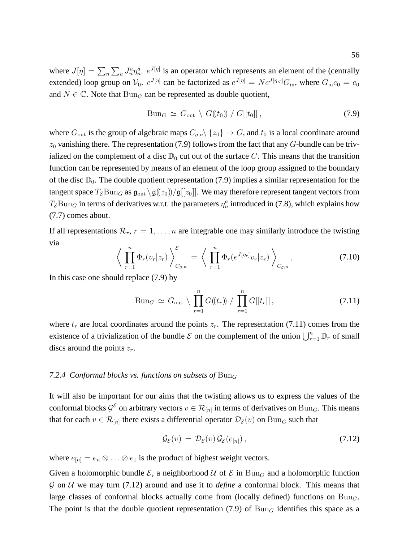where  $J[\eta] = \sum_n \sum_a J_n^a \eta_n^a$ .  $e^{J[\eta]}$  is an operator which represents an element of the (centrally extended) loop group on  $V_0$ .  $e^{J[\eta]}$  can be factorized as  $e^{J[\eta]} = N e^{J[\eta <]} G_{\text{in}}$ , where  $G_{\text{in}} e_0 = e_0$ and  $N \in \mathbb{C}$ . Note that  $Bun_G$  can be represented as double quotient,

$$
Bun_G \simeq G_{out} \setminus G(\!(t_0)\!)/G[[t_0]]\,,\tag{7.9}
$$

where  $G_{\text{out}}$  is the group of algebraic maps  $C_{g,n} \setminus \{z_0\} \to G$ , and  $t_0$  is a local coordinate around  $z_0$  vanishing there. The representation (7.9) follows from the fact that any  $G$ -bundle can be trivialized on the complement of a disc  $\mathbb{D}_0$  cut out of the surface C. This means that the transition function can be represented by means of an element of the loop group assigned to the boundary of the disc  $\mathbb{D}_0$ . The double quotient representation (7.9) implies a similar representation for the tangent space  $T_{\mathcal{E}}\text{Bun}_G$  as  $\mathfrak{g}_{\text{out}}\setminus\mathfrak{g}(\langle z_0\rangle)/\mathfrak{g}[[z_0]]$ . We may therefore represent tangent vectors from  $T_{\mathcal{E}}$ Bun<sub>G</sub> in terms of derivatives w.r.t. the parameters  $\eta_n^a$  introduced in (7.8), which explains how (7.7) comes about.

If all representations  $\mathcal{R}_r$ ,  $r = 1, \ldots, n$  are integrable one may similarly introduce the twisting via

$$
\left\langle \prod_{r=1}^{n} \Phi_r(v_r|z_r) \right\rangle_{C_{g,n}}^{\mathcal{E}} = \left\langle \prod_{r=1}^{n} \Phi_r(e^{J[\eta_r]}v_r|z_r) \right\rangle_{C_{g,n}}, \tag{7.10}
$$

In this case one should replace (7.9) by

$$
Bun_G \simeq G_{\text{out}} \setminus \prod_{r=1}^n G(\!(t_r)\!) \ / \ \prod_{r=1}^n G[[t_r]] \,, \tag{7.11}
$$

where  $t_r$  are local coordinates around the points  $z_r$ . The representation (7.11) comes from the existence of a trivialization of the bundle  $\mathcal E$  on the complement of the union  $\bigcup_{r=1}^n \mathbb D_r$  of small discs around the points  $z_r$ .

## 7.2.4 Conformal blocks vs. functions on subsets of  $Bun_G$

It will also be important for our aims that the twisting allows us to express the values of the conformal blocks  $\mathcal{G}^{\mathcal{E}}$  on arbitrary vectors  $v \in \mathcal{R}_{[n]}$  in terms of derivatives on  $\text{Bun}_G$ . This means that for each  $v \in \mathcal{R}_{[n]}$  there exists a differential operator  $\mathcal{D}_{\mathcal{E}}(v)$  on  $\text{Bun}_G$  such that

$$
\mathcal{G}_{\mathcal{E}}(v) = \mathcal{D}_{\mathcal{E}}(v) \mathcal{G}_{\mathcal{E}}(e_{[n]}), \qquad (7.12)
$$

where  $e_{[n]} = e_n \otimes \ldots \otimes e_1$  is the product of highest weight vectors.

Given a holomorphic bundle  $\mathcal{E}$ , a neighborhood  $\mathcal{U}$  of  $\mathcal{E}$  in  $Bun_G$  and a holomorphic function  $\mathcal G$  on  $\mathcal U$  we may turn (7.12) around and use it to *define* a conformal block. This means that large classes of conformal blocks actually come from (locally defined) functions on  $Bun<sub>G</sub>$ . The point is that the double quotient representation (7.9) of  $Bun<sub>G</sub>$  identifies this space as a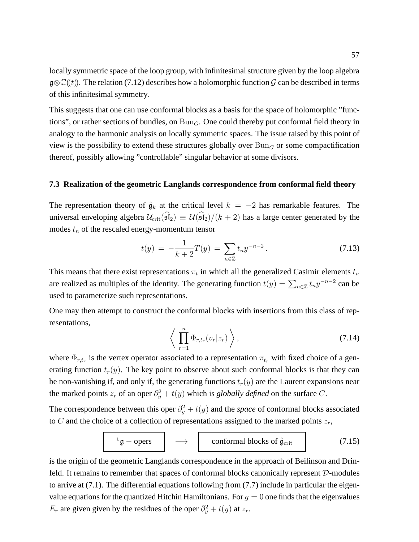locally symmetric space of the loop group, with infinitesimal structure given by the loop algebra  $\mathfrak{g}\otimes\mathbb{C}(\mathfrak{t})$ . The relation (7.12) describes how a holomorphic function G can be described in terms of this infinitesimal symmetry.

This suggests that one can use conformal blocks as a basis for the space of holomorphic "functions", or rather sections of bundles, on  $Bun_G$ . One could thereby put conformal field theory in analogy to the harmonic analysis on locally symmetric spaces. The issue raised by this point of view is the possibility to extend these structures globally over  $Bun<sub>G</sub>$  or some compactification thereof, possibly allowing "controllable" singular behavior at some divisors.

# **7.3 Realization of the geometric Langlands correspondence from conformal field theory**

The representation theory of  $\hat{\mathfrak{g}}_k$  at the critical level  $k = -2$  has remarkable features. The universal enveloping algebra  $\mathcal{U}_{\text{crit}}(\widehat{\mathfrak{sl}}_2) \equiv \mathcal{U}(\widehat{\mathfrak{sl}}_2)/(k+2)$  has a large center generated by the modes  $t_n$  of the rescaled energy-momentum tensor

$$
t(y) = -\frac{1}{k+2}T(y) = \sum_{n \in \mathbb{Z}} t_n y^{-n-2}.
$$
 (7.13)

This means that there exist representations  $\pi_t$  in which all the generalized Casimir elements  $t_n$ are realized as multiples of the identity. The generating function  $t(y) = \sum_{n \in \mathbb{Z}} t_n y^{-n-2}$  can be used to parameterize such representations.

One may then attempt to construct the conformal blocks with insertions from this class of representations,

$$
\left\langle \prod_{r=1}^{n} \Phi_{r,t_r}(v_r|z_r) \right\rangle, \tag{7.14}
$$

where  $\Phi_{r,t_r}$  is the vertex operator associated to a representation  $\pi_{t_r}$  with fixed choice of a generating function  $t_r(y)$ . The key point to observe about such conformal blocks is that they can be non-vanishing if, and only if, the generating functions  $t_r(y)$  are the Laurent expansions near the marked points  $z_r$  of an oper  $\partial_y^2 + t(y)$  which is *globally defined* on the surface C.

The correspondence between this oper  $\partial_y^2 + t(y)$  and the *space* of conformal blocks associated to C and the choice of a collection of representations assigned to the marked points  $z_r$ ,

$$
L_{\mathfrak{g}-\text{opers}} \longrightarrow \text{conformal blocks of } \hat{\mathfrak{g}}_{\text{crit}} \qquad (7.15)
$$

is the origin of the geometric Langlands correspondence in the approach of Beilinson and Drinfeld. It remains to remember that spaces of conformal blocks canonically represent D-modules to arrive at (7.1). The differential equations following from (7.7) include in particular the eigenvalue equations for the quantized Hitchin Hamiltonians. For  $q = 0$  one finds that the eigenvalues  $E_r$  are given given by the residues of the oper  $\partial_y^2 + t(y)$  at  $z_r$ .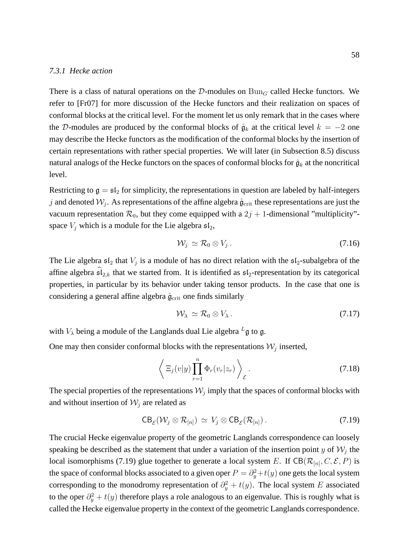#### *7.3.1 Hecke action*

There is a class of natural operations on the D-modules on  $Bun_G$  called Hecke functors. We refer to [Fr07] for more discussion of the Hecke functors and their realization on spaces of conformal blocks at the critical level. For the moment let us only remark that in the cases where the D-modules are produced by the conformal blocks of  $\hat{g}_k$  at the critical level  $k = -2$  one may describe the Hecke functors as the modification of the conformal blocks by the insertion of certain representations with rather special properties. We will later (in Subsection 8.5) discuss natural analogs of the Hecke functors on the spaces of conformal blocks for  $\hat{g}_k$  at the noncritical level.

Restricting to  $g = \mathfrak{sl}_2$  for simplicity, the representations in question are labeled by half-integers j and denoted  $\mathcal{W}_j$ . As representations of the affine algebra  $\hat{\mathfrak{g}}_{\rm crit}$  these representations are just the vacuum representation  $\mathcal{R}_0$ , but they come equipped with a  $2j + 1$ -dimensional "multiplicity"space  $V_i$  which is a module for the Lie algebra  $\mathfrak{sl}_2$ ,

$$
\mathcal{W}_j \simeq \mathcal{R}_0 \otimes V_j \,. \tag{7.16}
$$

The Lie algebra  $\mathfrak{sl}_2$  that  $V_j$  is a module of has no direct relation with the  $\mathfrak{sl}_2$ -subalgebra of the affine algebra  $\widehat{\mathfrak{sl}}_{2,k}$  that we started from. It is identified as  $\mathfrak{sl}_2$ -representation by its categorical properties, in particular by its behavior under taking tensor products. In the case that one is considering a general affine algebra  $\hat{\mathfrak{g}}_{\text{crit}}$  one finds similarly

$$
\mathcal{W}_{\lambda} \simeq \mathcal{R}_0 \otimes V_{\lambda} \,. \tag{7.17}
$$

with  $V_{\lambda}$  being a module of the Langlands dual Lie algebra  $L_{\mathfrak{g}}$  to g.

One may then consider conformal blocks with the representations  $W_j$  inserted,

$$
\left\langle \Xi_j(v|y) \prod_{r=1}^n \Phi_r(v_r|z_r) \right\rangle_{\mathcal{E}}.
$$
\n(7.18)

The special properties of the representations  $\mathcal{W}_j$  imply that the spaces of conformal blocks with and without insertion of  $W_i$  are related as

$$
CB_{\mathcal{E}}(\mathcal{W}_j \otimes \mathcal{R}_{[n]}) \simeq V_j \otimes CB_{\mathcal{E}}(\mathcal{R}_{[n]}).
$$
\n(7.19)

The crucial Hecke eigenvalue property of the geometric Langlands correspondence can loosely speaking be described as the statement that under a variation of the insertion point y of  $\mathcal{W}_j$  the local isomorphisms (7.19) glue together to generate a local system E. If  $CB(\mathcal{R}_{[n]}, C, \mathcal{E}, P)$  is the space of conformal blocks associated to a given oper  $P = \partial_y^2 + t(y)$  one gets the local system corresponding to the monodromy representation of  $\partial_y^2 + t(y)$ . The local system E associated to the oper  $\partial_y^2 + t(y)$  therefore plays a role analogous to an eigenvalue. This is roughly what is called the Hecke eigenvalue property in the context of the geometric Langlands correspondence.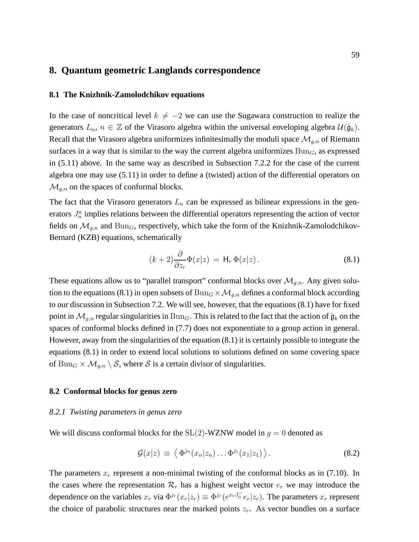# **8. Quantum geometric Langlands correspondence**

## **8.1 The Knizhnik-Zamolodchikov equations**

In the case of noncritical level  $k \neq -2$  we can use the Sugawara construction to realize the generators  $L_n$ ,  $n \in \mathbb{Z}$  of the Virasoro algebra within the universal enveloping algebra  $\mathcal{U}(\hat{\mathfrak{g}}_k)$ . Recall that the Virasoro algebra uniformizes infinitesimally the moduli space  $\mathcal{M}_{q,n}$  of Riemann surfaces in a way that is similar to the way the current algebra uniformizes  $Bun<sub>G</sub>$ , as expressed in (5.11) above. In the same way as described in Subsection 7.2.2 for the case of the current algebra one may use (5.11) in order to define a (twisted) action of the differential operators on  $\mathcal{M}_{g,n}$  on the spaces of conformal blocks.

The fact that the Virasoro generators  $L_n$  can be expressed as bilinear expressions in the generators  $J_n^a$  implies relations between the differential operators representing the action of vector fields on  $\mathcal{M}_{g,n}$  and  $\text{Bun}_G$ , respectively, which take the form of the Knizhnik-Zamolodchikov-Bernard (KZB) equations, schematically

$$
(k+2)\frac{\partial}{\partial z_r}\Phi(x|z) = \mathsf{H}_r \, \Phi(x|z) \,. \tag{8.1}
$$

These equations allow us to "parallel transport" conformal blocks over  $\mathcal{M}_{g,n}$ . Any given solution to the equations (8.1) in open subsets of  $Bun_G \times \mathcal{M}_{g,n}$  defines a conformal block according to our discussion in Subsection 7.2. We will see, however, that the equations (8.1) have for fixed point in  $\mathcal{M}_{q,n}$  regular singularities in  $Bun_G$ . This is related to the fact that the action of  $\hat{\mathfrak{g}}_k$  on the spaces of conformal blocks defined in (7.7) does not exponentiate to a group action in general. However, away from the singularities of the equation (8.1) it is certainly possible to integrate the equations (8.1) in order to extend local solutions to solutions defined on some covering space of  $Bun_G \times \mathcal{M}_{g,n} \setminus \mathcal{S}$ , where  $\mathcal S$  is a certain divisor of singularities.

# **8.2 Conformal blocks for genus zero**

## *8.2.1 Twisting parameters in genus zero*

We will discuss conformal blocks for the  $SL(2)$ -WZNW model in  $g = 0$  denoted as

$$
\mathcal{G}(x|z) \equiv \left\langle \Phi^{j_n}(x_n|z_n) \dots \Phi^{j_1}(x_1|z_1) \right\rangle. \tag{8.2}
$$

The parameters  $x_r$  represent a non-minimal twisting of the conformal blocks as in (7.10). In the cases where the representation  $\mathcal{R}_r$  has a highest weight vector  $e_r$  we may introduce the dependence on the variables  $x_r$  via  $\Phi^{j_r}(x_r|z_r) \equiv \Phi^{j_r}(e^{x_r J_0^-} e_r|z_r)$ . The parameters  $x_r$  represent the choice of parabolic structures near the marked points  $z_r$ . As vector bundles on a surface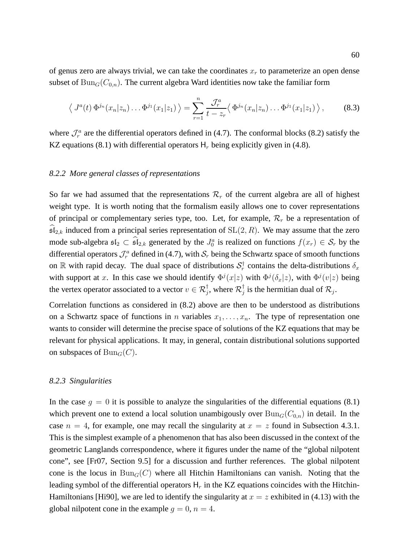of genus zero are always trivial, we can take the coordinates  $x_r$  to parameterize an open dense subset of  $Bun_G(C_{0,n})$ . The current algebra Ward identities now take the familiar form

$$
\langle J^{a}(t) \, \Phi^{j_{n}}(x_{n}|z_{n}) \dots \Phi^{j_{1}}(x_{1}|z_{1}) \,\rangle = \sum_{r=1}^{n} \frac{\mathcal{J}_{r}^{a}}{t-z_{r}} \langle \, \Phi^{j_{n}}(x_{n}|z_{n}) \dots \Phi^{j_{1}}(x_{1}|z_{1}) \,\rangle\,,\tag{8.3}
$$

where  $\mathcal{J}_r^a$  are the differential operators defined in (4.7). The conformal blocks (8.2) satisfy the KZ equations (8.1) with differential operators  $H_r$  being explicitly given in (4.8).

### *8.2.2 More general classes of representations*

So far we had assumed that the representations  $\mathcal{R}_r$  of the current algebra are all of highest weight type. It is worth noting that the formalism easily allows one to cover representations of principal or complementary series type, too. Let, for example,  $\mathcal{R}_r$  be a representation of  $\widehat{\mathfrak{sl}}_{2,k}$  induced from a principal series representation of  $SL(2, R)$ . We may assume that the zero mode sub-algebra  $\mathfrak{sl}_2 \subset \mathfrak{sl}_{2,k}$  generated by the  $J_0^a$  is realized on functions  $f(x_r) \in \mathcal{S}_r$  by the differential operators  $\mathcal{J}_r^a$  defined in (4.7), with  $\mathcal{S}_r$  being the Schwartz space of smooth functions on  $\mathbb R$  with rapid decay. The dual space of distributions  $S_r^{\dagger}$  contains the delta-distributions  $\delta_x$ with support at x. In this case we should identify  $\Phi^{j}(x|z)$  with  $\Phi^{j}(\delta_{x}|z)$ , with  $\Phi^{j}(v|z)$  being the vertex operator associated to a vector  $v \in \mathcal{R}_j^{\dagger}$ , where  $\mathcal{R}_j^{\dagger}$  $j$  is the hermitian dual of  $\mathcal{R}_j$ .

Correlation functions as considered in (8.2) above are then to be understood as distributions on a Schwartz space of functions in n variables  $x_1, \ldots, x_n$ . The type of representation one wants to consider will determine the precise space of solutions of the KZ equations that may be relevant for physical applications. It may, in general, contain distributional solutions supported on subspaces of  $Bun_G(C)$ .

#### *8.2.3 Singularities*

In the case  $g = 0$  it is possible to analyze the singularities of the differential equations (8.1) which prevent one to extend a local solution unambigously over  $\text{Bun}_G(C_{0,n})$  in detail. In the case  $n = 4$ , for example, one may recall the singularity at  $x = z$  found in Subsection 4.3.1. This is the simplest example of a phenomenon that has also been discussed in the context of the geometric Langlands correspondence, where it figures under the name of the "global nilpotent cone", see [Fr07, Section 9.5] for a discussion and further references. The global nilpotent cone is the locus in  $Bun_G(C)$  where all Hitchin Hamiltonians can vanish. Noting that the leading symbol of the differential operators  $H_r$  in the KZ equations coincides with the Hitchin-Hamiltonians [Hi90], we are led to identify the singularity at  $x = z$  exhibited in (4.13) with the global nilpotent cone in the example  $q = 0$ ,  $n = 4$ .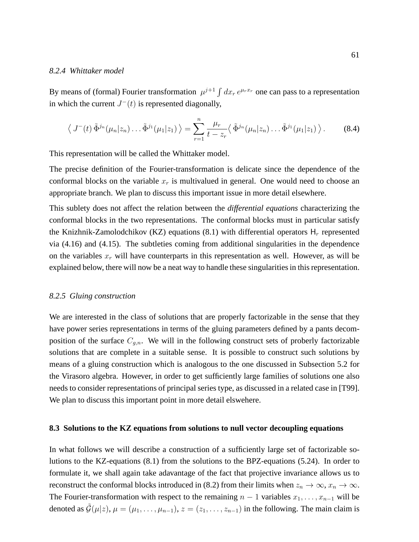#### *8.2.4 Whittaker model*

By means of (formal) Fourier transformation  $\mu^{j+1} \int dx_r e^{\mu_r x_r}$  one can pass to a representation in which the current  $J^{-}(t)$  is represented diagonally,

$$
\langle J^{-}(t)\tilde{\Phi}^{j_{n}}(\mu_{n}|z_{n})\dots\tilde{\Phi}^{j_{1}}(\mu_{1}|z_{1})\rangle = \sum_{r=1}^{n} \frac{\mu_{r}}{t-z_{r}}\langle \tilde{\Phi}^{j_{n}}(\mu_{n}|z_{n})\dots\tilde{\Phi}^{j_{1}}(\mu_{1}|z_{1})\rangle.
$$
 (8.4)

This representation will be called the Whittaker model.

The precise definition of the Fourier-transformation is delicate since the dependence of the conformal blocks on the variable  $x_r$  is multivalued in general. One would need to choose an appropriate branch. We plan to discuss this important issue in more detail elsewhere.

This sublety does not affect the relation between the *differential equations* characterizing the conformal blocks in the two representations. The conformal blocks must in particular satisfy the Knizhnik-Zamolodchikov (KZ) equations (8.1) with differential operators  $H_r$  represented via (4.16) and (4.15). The subtleties coming from additional singularities in the dependence on the variables  $x_r$  will have counterparts in this representation as well. However, as will be explained below, there will now be a neat way to handle these singularities in this representation.

#### *8.2.5 Gluing construction*

We are interested in the class of solutions that are properly factorizable in the sense that they have power series representations in terms of the gluing parameters defined by a pants decomposition of the surface  $C_{g,n}$ . We will in the following construct sets of proberly factorizable solutions that are complete in a suitable sense. It is possible to construct such solutions by means of a gluing construction which is analogous to the one discussed in Subsection 5.2 for the Virasoro algebra. However, in order to get sufficiently large families of solutions one also needs to consider representations of principal series type, as discussed in a related case in [T99]. We plan to discuss this important point in more detail elswehere.

# **8.3 Solutions to the KZ equations from solutions to null vector decoupling equations**

In what follows we will describe a construction of a sufficiently large set of factorizable solutions to the KZ-equations (8.1) from the solutions to the BPZ-equations (5.24). In order to formulate it, we shall again take adavantage of the fact that projective invariance allows us to reconstruct the conformal blocks introduced in (8.2) from their limits when  $z_n \to \infty$ ,  $x_n \to \infty$ . The Fourier-transformation with respect to the remaining  $n - 1$  variables  $x_1, \ldots, x_{n-1}$  will be denoted as  $\tilde{\mathcal{G}}(\mu|z)$ ,  $\mu = (\mu_1, \ldots, \mu_{n-1}), z = (z_1, \ldots, z_{n-1})$  in the following. The main claim is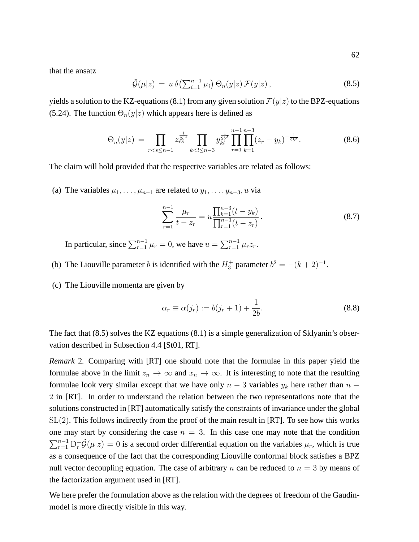that the ansatz

$$
\tilde{\mathcal{G}}(\mu|z) = u \,\delta\big(\sum_{i=1}^{n-1} \mu_i\big) \,\Theta_n(y|z) \,\mathcal{F}(y|z) \,,\tag{8.5}
$$

yields a solution to the KZ-equations (8.1) from any given solution  $\mathcal{F}(y|z)$  to the BPZ-equations (5.24). The function  $\Theta_n(y|z)$  which appears here is defined as

$$
\Theta_n(y|z) = \prod_{r < s \leq n-1} z_{rs}^{\frac{1}{2b^2}} \prod_{k < l \leq n-3} y_{kl}^{\frac{1}{2b^2}} \prod_{r=1}^{n-1} \prod_{k=1}^{n-3} (z_r - y_k)^{-\frac{1}{2b^2}}. \tag{8.6}
$$

The claim will hold provided that the respective variables are related as follows:

(a) The variables  $\mu_1, \ldots, \mu_{n-1}$  are related to  $y_1, \ldots, y_{n-3}, u$  via

$$
\sum_{r=1}^{n-1} \frac{\mu_r}{t - z_r} = u \frac{\prod_{k=1}^{n-3} (t - y_k)}{\prod_{r=1}^{n-1} (t - z_r)}.
$$
\n(8.7)

In particular, since  $\sum_{r=1}^{n-1} \mu_r = 0$ , we have  $u = \sum_{r=1}^{n-1} \mu_r z_r$ .

- (b) The Liouville parameter *b* is identified with the  $H_3^+$  parameter  $b^2 = -(k+2)^{-1}$ .
- (c) The Liouville momenta are given by

$$
\alpha_r \equiv \alpha(j_r) := b(j_r + 1) + \frac{1}{2b}.\tag{8.8}
$$

The fact that (8.5) solves the KZ equations (8.1) is a simple generalization of Sklyanin's observation described in Subsection 4.4 [St01, RT].

*Remark* 2*.* Comparing with [RT] one should note that the formulae in this paper yield the formulae above in the limit  $z_n \to \infty$  and  $x_n \to \infty$ . It is interesting to note that the resulting formulae look very similar except that we have only  $n-3$  variables  $y_k$  here rather than  $n-$ 2 in [RT]. In order to understand the relation between the two representations note that the solutions constructed in [RT] automatically satisfy the constraints of invariance under the global  $SL(2)$ . This follows indirectly from the proof of the main result in [RT]. To see how this works one may start by considering the case  $n = 3$ . In this case one may note that the condition  $\sum_{r=1}^{n-1} D_r^+ \tilde{\mathcal{G}}(\mu | z) = 0$  is a second order differential equation on the variables  $\mu_r$ , which is true as a consequence of the fact that the corresponding Liouville conformal block satisfies a BPZ null vector decoupling equation. The case of arbitrary n can be reduced to  $n = 3$  by means of the factorization argument used in [RT].

We here prefer the formulation above as the relation with the degrees of freedom of the Gaudinmodel is more directly visible in this way.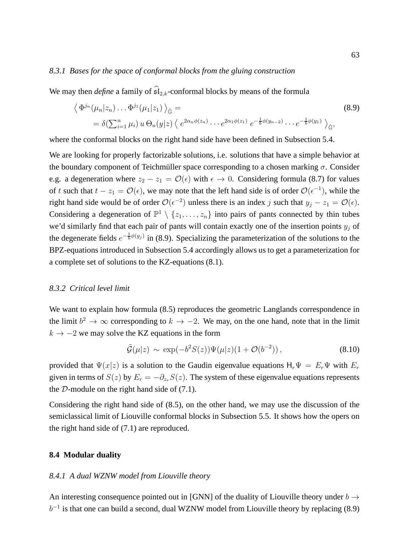## *8.3.1 Bases for the space of conformal blocks from the gluing construction*

We may then *define* a family of  $\widehat{\mathfrak{sl}}_{2,k}$ -conformal blocks by means of the formula

$$
\langle \Phi^{j_n}(\mu_n|z_n)\dots\Phi^{j_1}(\mu_1|z_1)\rangle_{\hat{\mathbb{G}}} =
$$
\n
$$
= \delta(\sum_{i=1}^n \mu_i) u \Theta_n(y|z) \langle e^{2\alpha_n \phi(z_n)} \dots e^{2\alpha_1 \phi(z_1)} e^{-\frac{1}{b}\phi(y_{n-2})} \dots e^{-\frac{1}{b}\phi(y_1)}\rangle_{\hat{\mathbb{G}}},
$$
\n(8.9)

where the conformal blocks on the right hand side have been defined in Subsection 5.4.

We are looking for properly factorizable solutions, i.e. solutions that have a simple behavior at the boundary component of Teichmüller space corresponding to a chosen marking  $\sigma$ . Consider e.g. a degeneration where  $z_2 - z_1 = \mathcal{O}(\epsilon)$  with  $\epsilon \to 0$ . Considering formula (8.7) for values of t such that  $t - z_1 = \mathcal{O}(\epsilon)$ , we may note that the left hand side is of order  $\mathcal{O}(\epsilon^{-1})$ , while the right hand side would be of order  $\mathcal{O}(\epsilon^{-2})$  unless there is an index j such that  $y_j - z_1 = \mathcal{O}(\epsilon)$ . Considering a degeneration of  $\mathbb{P}^1 \setminus \{z_1, \ldots, z_n\}$  into pairs of pants connected by thin tubes we'd similarly find that each pair of pants will contain exactly one of the insertion points  $y_i$  of the degenerate fields  $e^{-\frac{1}{b}\phi(y_j)}$  in (8.9). Specializing the parameterization of the solutions to the BPZ-equations introduced in Subsection 5.4 accordingly allows us to get a parameterization for a complete set of solutions to the KZ-equations (8.1).

# *8.3.2 Critical level limit*

We want to explain how formula  $(8.5)$  reproduces the geometric Langlands correspondence in the limit  $b^2 \to \infty$  corresponding to  $k \to -2$ . We may, on the one hand, note that in the limit  $k \rightarrow -2$  we may solve the KZ equations in the form

$$
\tilde{\mathcal{G}}(\mu|z) \sim \exp(-b^2 S(z)) \Psi(\mu|z) (1 + \mathcal{O}(b^{-2})),
$$
\n(8.10)

provided that  $\Psi(x|z)$  is a solution to the Gaudin eigenvalue equations  $H_r\Psi = E_r\Psi$  with  $E_r$ given in terms of  $S(z)$  by  $E_r = -\partial_{z_r}S(z)$ . The system of these eigenvalue equations represents the  $D$ -module on the right hand side of  $(7.1)$ .

Considering the right hand side of (8.5), on the other hand, we may use the discussion of the semiclassical limit of Liouville conformal blocks in Subsection 5.5. It shows how the opers on the right hand side of (7.1) are reproduced.

# **8.4 Modular duality**

# *8.4.1 A dual WZNW model from Liouville theory*

An interesting consequence pointed out in [GNN] of the duality of Liouville theory under  $b \rightarrow$  $b^{-1}$  is that one can build a second, dual WZNW model from Liouville theory by replacing (8.9)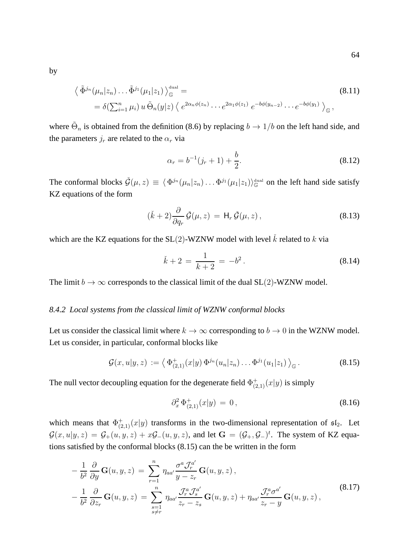by

$$
\langle \tilde{\Phi}^{j_n}(\mu_n|z_n)\dots\tilde{\Phi}^{j_1}(\mu_1|z_1)\rangle_{\mathbb{G}}^{\text{dual}} =
$$
\n
$$
= \delta(\sum_{i=1}^n \mu_i) u \tilde{\Theta}_n(y|z) \langle e^{2\alpha_n \phi(z_n)} \dots e^{2\alpha_1 \phi(z_1)} e^{-b\phi(y_{n-2})} \dots e^{-b\phi(y_1)} \rangle_{\mathbb{G}},
$$
\n(8.11)

where  $\tilde{\Theta}_n$  is obtained from the definition (8.6) by replacing  $b \to 1/b$  on the left hand side, and the parameters  $j_r$  are related to the  $\alpha_r$  via

$$
\alpha_r = b^{-1}(j_r + 1) + \frac{b}{2}.\tag{8.12}
$$

The conformal blocks  $\check{G}(\mu, z) \equiv \langle \Phi^{j_n}(\mu_n | z_n) \dots \Phi^{j_1}(\mu_1 | z_1) \rangle_{\mathbb{G}}^{\text{dual}}$  on the left hand side satisfy KZ equations of the form

$$
(\check{k} + 2) \frac{\partial}{\partial q_r} \check{\mathcal{G}}(\mu, z) = \mathsf{H}_r \check{\mathcal{G}}(\mu, z), \qquad (8.13)
$$

which are the KZ equations for the  $SL(2)$ -WZNW model with level  $\check{k}$  related to k via

$$
\check{k} + 2 = \frac{1}{k+2} = -b^2. \tag{8.14}
$$

The limit  $b \to \infty$  corresponds to the classical limit of the dual SL(2)-WZNW model.

# *8.4.2 Local systems from the classical limit of WZNW conformal blocks*

Let us consider the classical limit where  $k \to \infty$  corresponding to  $b \to 0$  in the WZNW model. Let us consider, in particular, conformal blocks like

$$
\mathcal{G}(x, u|y, z) := \left\langle \Phi_{(2,1)}^+(x|y) \, \Phi^{j_n}(u_n|z_n) \dots \Phi^{j_1}(u_1|z_1) \right\rangle_{\mathbb{G}}.
$$
\n(8.15)

The null vector decoupling equation for the degenerate field  $\Phi^+_{(2,1)}(x|y)$  is simply

$$
\partial_x^2 \, \Phi^+_{(2,1)}(x|y) \, = \, 0 \,, \tag{8.16}
$$

which means that  $\Phi^+_{(2,1)}(x|y)$  transforms in the two-dimensional representation of  $\mathfrak{sl}_2$ . Let  $\mathcal{G}(x, u|y, z) = \mathcal{G}_+(u, y, z) + x\mathcal{G}_-(u, y, z)$ , and let  $\mathbf{G} = (\mathcal{G}_+, \mathcal{G}_-)^t$ . The system of KZ equations satisfied by the conformal blocks (8.15) can the be written in the form

$$
-\frac{1}{b^2} \frac{\partial}{\partial y} \mathbf{G}(u, y, z) = \sum_{r=1}^n \eta_{aa'} \frac{\sigma^a \mathcal{J}_r^{a'}}{y - z_r} \mathbf{G}(u, y, z),
$$
  

$$
-\frac{1}{b^2} \frac{\partial}{\partial z_r} \mathbf{G}(u, y, z) = \sum_{\substack{s=1 \ s \neq r}}^n \eta_{aa'} \frac{\mathcal{J}_r^a \mathcal{J}_s^{a'}}{z_r - z_s} \mathbf{G}(u, y, z) + \eta_{aa'} \frac{\mathcal{J}_r^a \sigma^{a'}}{z_r - y} \mathbf{G}(u, y, z),
$$
(8.17)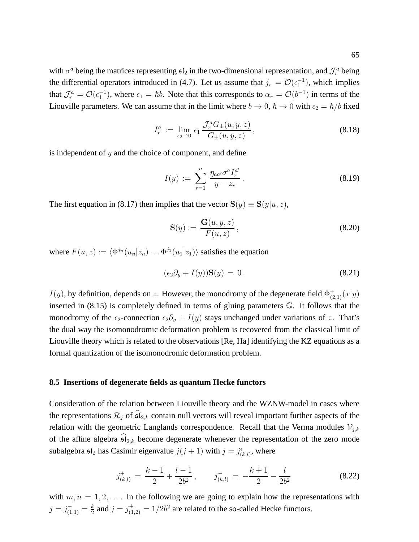with  $\sigma^a$  being the matrices representing  $\mathfrak{sl}_2$  in the two-dimensional representation, and  $\mathcal{J}^a_r$  being the differential operators introduced in (4.7). Let us assume that  $j_r = \mathcal{O}(\epsilon_1^{-1})$ , which implies that  $\mathcal{J}_r^a = \mathcal{O}(\epsilon_1^{-1})$ , where  $\epsilon_1 = \hbar b$ . Note that this corresponds to  $\alpha_r = \mathcal{O}(b^{-1})$  in terms of the Liouville parameters. We can assume that in the limit where  $b \to 0$ ,  $\hbar \to 0$  with  $\epsilon_2 = \hbar/b$  fixed

$$
I_r^a := \lim_{\epsilon_2 \to 0} \epsilon_1 \frac{\mathcal{J}_r^a G_\pm(u, y, z)}{G_\pm(u, y, z)}, \qquad (8.18)
$$

is independent of  $y$  and the choice of component, and define

$$
I(y) := \sum_{r=1}^{n} \frac{\eta_{aa'} \sigma^a I_r^{a'}}{y - z_r}.
$$
 (8.19)

The first equation in (8.17) then implies that the vector  $S(y) \equiv S(y|u, z)$ ,

$$
\mathbf{S}(y) := \frac{\mathbf{G}(u, y, z)}{F(u, z)},
$$
\n(8.20)

where  $F(u, z) := \langle \Phi^{j_n}(u_n | z_n) \dots \Phi^{j_1}(u_1 | z_1) \rangle$  satisfies the equation

$$
(\epsilon_2 \partial_y + I(y))\mathbf{S}(y) = 0.
$$
\n(8.21)

 $I(y)$ , by definition, depends on z. However, the monodromy of the degenerate field  $\Phi^+_{(2,1)}(x|y)$ inserted in (8.15) is completely defined in terms of gluing parameters G. It follows that the monodromy of the  $\epsilon_2$ -connection  $\epsilon_2\partial_y + I(y)$  stays unchanged under variations of z. That's the dual way the isomonodromic deformation problem is recovered from the classical limit of Liouville theory which is related to the observations [Re, Ha] identifying the KZ equations as a formal quantization of the isomonodromic deformation problem.

## **8.5 Insertions of degenerate fields as quantum Hecke functors**

Consideration of the relation between Liouville theory and the WZNW-model in cases where the representations  $\mathcal{R}_j$  of  $\widehat{\mathfrak{sl}}_{2,k}$  contain null vectors will reveal important further aspects of the relation with the geometric Langlands correspondence. Recall that the Verma modules  $\mathcal{V}_{j,k}$ of the affine algebra  $\widehat{\mathfrak{sl}}_{2,k}$  become degenerate whenever the representation of the zero mode subalgebra  $\mathfrak{sl}_2$  has Casimir eigenvalue  $j(j+1)$  with  $j = j^{\epsilon}_{(k,l)}$ , where

$$
j_{(k,l)}^{+} = \frac{k-1}{2} + \frac{l-1}{2b^2}, \qquad j_{(k,l)}^{-} = -\frac{k+1}{2} - \frac{l}{2b^2}
$$
(8.22)

with  $m, n = 1, 2, \ldots$  In the following we are going to explain how the representations with  $j=j^-_{(1,1)}=\frac{k}{2}$  $\frac{k}{2}$  and  $j = j_{(1,2)}^+ = 1/2b^2$  are related to the so-called Hecke functors.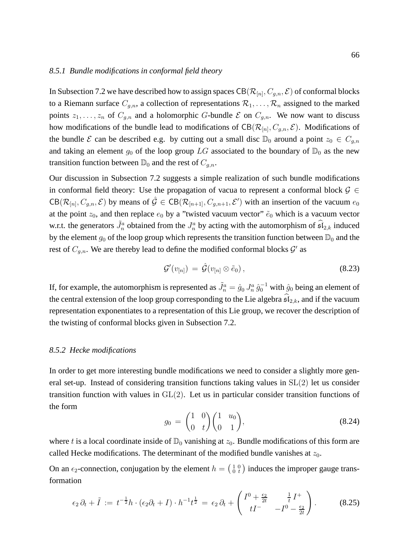### *8.5.1 Bundle modifications in conformal field theory*

In Subsection 7.2 we have described how to assign spaces  $\text{CB}(\mathcal{R}_{[n]},C_{g,n},\mathcal{E})$  of conformal blocks to a Riemann surface  $C_{g,n}$ , a collection of representations  $\mathcal{R}_1, \ldots, \mathcal{R}_n$  assigned to the marked points  $z_1, \ldots, z_n$  of  $C_{g,n}$  and a holomorphic G-bundle  $\mathcal E$  on  $C_{g,n}$ . We now want to discuss how modifications of the bundle lead to modifications of  $CB(\mathcal{R}_{[n]}, C_{g,n}, \mathcal{E})$ . Modifications of the bundle E can be described e.g. by cutting out a small disc  $\mathbb{D}_0$  around a point  $z_0 \in C_{q,n}$ and taking an element  $g_0$  of the loop group LG associated to the boundary of  $\mathbb{D}_0$  as the new transition function between  $\mathbb{D}_0$  and the rest of  $C_{q,n}$ .

Our discussion in Subsection 7.2 suggests a simple realization of such bundle modifications in conformal field theory: Use the propagation of vacua to represent a conformal block  $\mathcal{G} \in$  $CB(\mathcal{R}_{[n]}, C_{g,n}, \mathcal{E})$  by means of  $\hat{\mathcal{G}} \in CB(\mathcal{R}_{[n+1]}, C_{g,n+1}, \mathcal{E}')$  with an insertion of the vacuum  $e_0$ at the point  $z_0$ , and then replace  $e_0$  by a "twisted vacuum vector"  $\tilde{e}_0$  which is a vacuum vector w.r.t. the generators  $\tilde{J}_n^a$  obtained from the  $J_n^a$  by acting with the automorphism of  $\widehat{\mathfrak{sl}}_{2,k}$  induced by the element  $g_0$  of the loop group which represents the transition function between  $\mathbb{D}_0$  and the rest of  $C_{g,n}$ . We are thereby lead to define the modified conformal blocks  $\mathcal{G}'$  as

$$
\mathcal{G}'(v_{[n]}) = \hat{\mathcal{G}}(v_{[n]} \otimes \tilde{e}_0), \qquad (8.23)
$$

If, for example, the automorphism is represented as  $\tilde{J}_n^a = \hat{g}_0 J_n^a \, \hat{g}_0^{-1}$  with  $\hat{g}_0$  being an element of the central extension of the loop group corresponding to the Lie algebra  $\mathfrak{sl}_{2,k}$ , and if the vacuum representation exponentiates to a representation of this Lie group, we recover the description of the twisting of conformal blocks given in Subsection 7.2.

#### *8.5.2 Hecke modifications*

In order to get more interesting bundle modifications we need to consider a slightly more general set-up. Instead of considering transition functions taking values in  $SL(2)$  let us consider transition function with values in GL(2). Let us in particular consider transition functions of the form

$$
g_0 = \begin{pmatrix} 1 & 0 \\ 0 & t \end{pmatrix} \begin{pmatrix} 1 & u_0 \\ 0 & 1 \end{pmatrix},\tag{8.24}
$$

where t is a local coordinate inside of  $\mathbb{D}_0$  vanishing at  $z_0$ . Bundle modifications of this form are called Hecke modifications. The determinant of the modified bundle vanishes at  $z_0$ .

On an  $\epsilon_2$ -connection, conjugation by the element  $h = \begin{pmatrix} 1 & 0 \\ 0 & t \end{pmatrix}$  induces the improper gauge transformation

$$
\epsilon_2 \, \partial_t + \tilde{I} \, := \, t^{-\frac{1}{2}} h \cdot (\epsilon_2 \partial_t + I) \cdot h^{-1} t^{\frac{1}{2}} \, = \, \epsilon_2 \, \partial_t + \begin{pmatrix} I^0 + \frac{\epsilon_2}{2t} & \frac{1}{t} \, I^+ \\ tI^- & -I^0 - \frac{\epsilon_2}{2t} \end{pmatrix} . \tag{8.25}
$$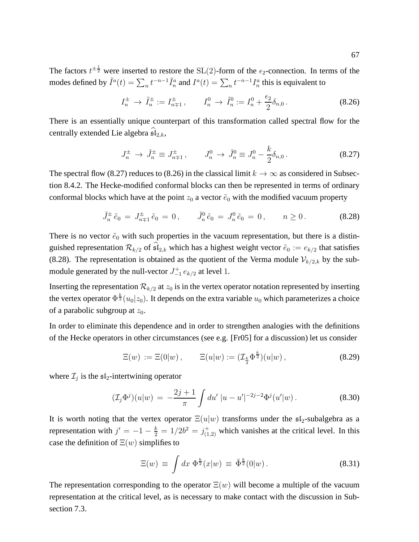The factors  $t^{\pm \frac{1}{2}}$  were inserted to restore the SL(2)-form of the  $\epsilon_2$ -connection. In terms of the modes defined by  $\tilde{I}^a(t) = \sum_n t^{-n-1} \tilde{I}^a_n$  and  $I^a(t) = \sum_n t^{-n-1} I^a_n$  this is equivalent to

$$
I_n^{\pm} \to \tilde{I}_n^{\pm} := I_{n+1}^{\pm}, \qquad I_n^0 \to \tilde{I}_n^0 := I_n^0 + \frac{\epsilon_2}{2} \delta_{n,0} \,. \tag{8.26}
$$

There is an essentially unique counterpart of this transformation called spectral flow for the centrally extended Lie algebra  $\widehat{\mathfrak{sl}}_{2,k}$ ,

$$
J_n^{\pm} \to \tilde{J}_n^{\pm} \equiv J_{n+1}^{\pm} , \qquad J_n^0 \to \tilde{J}_n^0 \equiv J_n^0 - \frac{k}{2} \delta_{n,0} . \tag{8.27}
$$

The spectral flow (8.27) reduces to (8.26) in the classical limit  $k \to \infty$  as considered in Subsection 8.4.2. The Hecke-modified conformal blocks can then be represented in terms of ordinary conformal blocks which have at the point  $z_0$  a vector  $\tilde{e}_0$  with the modified vacuum property

$$
\tilde{J}_n^{\pm} \tilde{e}_0 = J_{n+1}^{\pm} \tilde{e}_0 = 0, \qquad \tilde{J}_n^0 \tilde{e}_0 = J_n^0 \tilde{e}_0 = 0, \qquad n \ge 0.
$$
 (8.28)

There is no vector  $\tilde{e}_0$  with such properties in the vacuum representation, but there is a distinguished representation  $\mathcal{R}_{k/2}$  of  $\widehat{\mathfrak{sl}}_{2,k}$  which has a highest weight vector  $\widetilde{e}_0 := e_{k/2}$  that satisfies (8.28). The representation is obtained as the quotient of the Verma module  $\mathcal{V}_{k/2,k}$  by the submodule generated by the null-vector  $J_{-1}^+$   $e_{k/2}$  at level 1.

Inserting the representation  $\mathcal{R}_{k/2}$  at  $z_0$  is in the vertex operator notation represented by inserting the vertex operator  $\Phi^{\frac{k}{2}}(u_0|z_0)$ . It depends on the extra variable  $u_0$  which parameterizes a choice of a parabolic subgroup at  $z_0$ .

In order to eliminate this dependence and in order to strengthen analogies with the definitions of the Hecke operators in other circumstances (see e.g. [Fr05] for a discussion) let us consider

$$
\Xi(w) := \Xi(0|w) , \qquad \Xi(u|w) := (\mathcal{I}_{\frac{k}{2}} \Phi^{\frac{k}{2}})(u|w) , \qquad (8.29)
$$

where  $\mathcal{I}_j$  is the  $\mathfrak{sl}_2$ -intertwining operator

$$
(\mathcal{I}_j \Phi^j)(u|w) = -\frac{2j+1}{\pi} \int du' \, |u - u'|^{-2j-2} \Phi^j(u'|w) \,. \tag{8.30}
$$

It is worth noting that the vertex operator  $\Xi(u|w)$  transforms under the  $\mathfrak{sl}_2$ -subalgebra as a representation with  $j' = -1 - \frac{k}{2} = 1/2b^2 = j^+_{(1,2)}$  which vanishes at the critical level. In this case the definition of  $\Xi(w)$  simplifies to

$$
\Xi(w) \equiv \int dx \, \Phi^{\frac{k}{2}}(x|w) \equiv \tilde{\Phi}^{\frac{k}{2}}(0|w). \tag{8.31}
$$

The representation corresponding to the operator  $\Xi(w)$  will become a multiple of the vacuum representation at the critical level, as is necessary to make contact with the discussion in Subsection 7.3.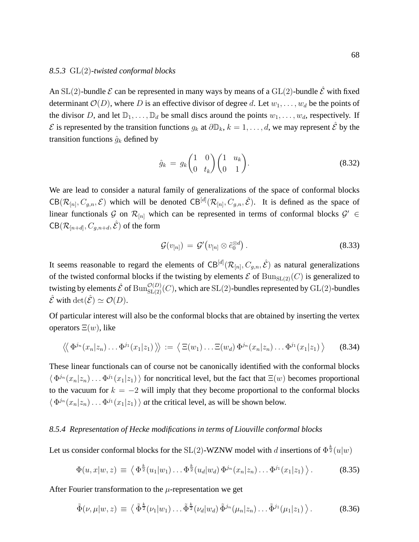#### *8.5.3* GL(2)*-twisted conformal blocks*

An SL(2)-bundle  $\mathcal E$  can be represented in many ways by means of a GL(2)-bundle  $\hat{\mathcal E}$  with fixed determinant  $\mathcal{O}(D)$ , where D is an effective divisor of degree d. Let  $w_1, \ldots, w_d$  be the points of the divisor D, and let  $\mathbb{D}_1, \ldots, \mathbb{D}_d$  be small discs around the points  $w_1, \ldots, w_d$ , respectively. If  $\mathcal E$  is represented by the transition functions  $g_k$  at  $\partial\mathbb{D}_k$ ,  $k = 1, \ldots, d$ , we may represent  $\hat{\mathcal E}$  by the transition functions  $\hat{g}_k$  defined by

$$
\hat{g}_k = g_k \begin{pmatrix} 1 & 0 \\ 0 & t_k \end{pmatrix} \begin{pmatrix} 1 & u_k \\ 0 & 1 \end{pmatrix} . \tag{8.32}
$$

We are lead to consider a natural family of generalizations of the space of conformal blocks  $CB(\mathcal{R}_{[n]}, C_{g,n}, \mathcal{E})$  which will be denoted  $CB^{[d]}(\mathcal{R}_{[n]}, C_{g,n}, \hat{\mathcal{E}})$ . It is defined as the space of linear functionals  $\mathcal{G}$  on  $\mathcal{R}_{[n]}$  which can be represented in terms of conformal blocks  $\mathcal{G}' \in$  $\mathsf{CB}(\mathcal{R}_{[n+d]},C_{g,n+d},\hat{\mathcal{E}})$  of the form

$$
\mathcal{G}(v_{[n]}) = \mathcal{G}'\big(v_{[n]} \otimes \tilde{e}_0^{\otimes d}\big) \,.
$$

It seems reasonable to regard the elements of CB<sup>[d]</sup> $(\mathcal{R}_{[n]}, C_{g,n}, \hat{\mathcal{E}})$  as natural generalizations of the twisted conformal blocks if the twisting by elements  $\mathcal E$  of  $\text{Bun}_{\text{SL}(2)}(C)$  is generalized to twisting by elements  $\hat{\mathcal{E}}$  of  $\mathrm{Bun}_{\mathrm{SL}(2)}^{\mathcal{O}(D)}(C)$ , which are  $\mathrm{SL}(2)$ -bundles represented by  $\mathrm{GL}(2)$ -bundles  $\hat{\mathcal{E}}$  with  $\det(\hat{\mathcal{E}}) \simeq \mathcal{O}(D)$ .

Of particular interest will also be the conformal blocks that are obtained by inserting the vertex operators  $\Xi(w)$ , like

$$
\langle \langle \Phi^{j_n}(x_n|z_n)\dots\Phi^{j_1}(x_1|z_1)\rangle \rangle := \langle \Xi(w_1)\dots\Xi(w_d)\Phi^{j_n}(x_n|z_n)\dots\Phi^{j_1}(x_1|z_1)\rangle \qquad (8.34)
$$

These linear functionals can of course not be canonically identified with the conformal blocks  $\langle \Phi^{j_n}(x_n|z_n)\dots\Phi^{j_1}(x_1|z_1)\rangle$  for noncritical level, but the fact that  $\Xi(w)$  becomes proportional to the vacuum for  $k = -2$  will imply that they become proportional to the conformal blocks  $\langle \Phi^{j_n}(x_n|z_n)\dots\Phi^{j_1}(x_1|z_1)\rangle$  *at* the critical level, as will be shown below.

# *8.5.4 Representation of Hecke modifications in terms of Liouville conformal blocks*

Let us consider conformal blocks for the SL(2)-WZNW model with d insertions of  $\Phi^{\frac{k}{2}}(u|w)$ 

$$
\Phi(u, x | w, z) \equiv \left\langle \Phi^{\frac{k}{2}}(u_1 | w_1) \dots \Phi^{\frac{k}{2}}(u_d | w_d) \Phi^{j_n}(x_n | z_n) \dots \Phi^{j_1}(x_1 | z_1) \right\rangle. \tag{8.35}
$$

After Fourier transformation to the  $\mu$ -representation we get

$$
\tilde{\Phi}(\nu,\mu|w,z) \equiv \left\langle \tilde{\Phi}^{\frac{k}{2}}(\nu_1|w_1)\dots\tilde{\Phi}^{\frac{k}{2}}(\nu_d|w_d)\tilde{\Phi}^{j_n}(\mu_n|z_n)\dots\tilde{\Phi}^{j_1}(\mu_1|z_1) \right\rangle. \tag{8.36}
$$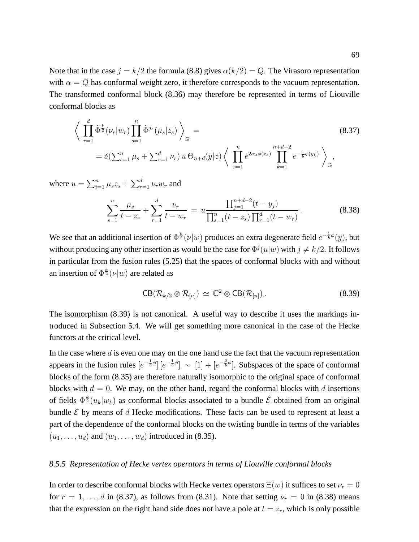Note that in the case  $j = k/2$  the formula (8.8) gives  $\alpha(k/2) = Q$ . The Virasoro representation with  $\alpha = Q$  has conformal weight zero, it therefore corresponds to the vacuum representation. The transformed conformal block (8.36) may therefore be represented in terms of Liouville conformal blocks as

$$
\left\langle \prod_{r=1}^{d} \tilde{\Phi}^{\frac{k}{2}}(\nu_r | w_r) \prod_{s=1}^{n} \tilde{\Phi}^{j_s}(\mu_s | z_s) \right\rangle_{\mathbb{G}} =
$$
\n
$$
= \delta(\sum_{s=1}^{n} \mu_s + \sum_{r=1}^{d} \nu_r) u \Theta_{n+d}(y|z) \left\langle \prod_{s=1}^{n} e^{2\alpha_s \phi(z_s)} \prod_{k=1}^{n+d-2} e^{-\frac{1}{b}\phi(y_k)} \right\rangle_{\mathbb{G}},
$$
\n(8.37)

where  $u = \sum_{i=1}^{n} \mu_s z_s + \sum_{r=1}^{d} \nu_r w_r$  and

$$
\sum_{s=1}^{n} \frac{\mu_s}{t - z_s} + \sum_{r=1}^{d} \frac{\nu_r}{t - w_r} = u \frac{\prod_{j=1}^{n+d-2} (t - y_j)}{\prod_{s=1}^{n} (t - z_s) \prod_{r=1}^{d} (t - w_r)}.
$$
(8.38)

We see that an additional insertion of  $\Phi^{\frac{k}{2}}(\nu|w)$  produces an extra degenerate field  $e^{-\frac{1}{b}\phi}(y)$ , but without producing any other insertion as would be the case for  $\Phi^{j}(u|w)$  with  $j\neq k/2$ . It follows in particular from the fusion rules (5.25) that the spaces of conformal blocks with and without an insertion of  $\Phi^{\frac{k}{2}}(\nu|w)$  are related as

$$
CB(\mathcal{R}_{k/2} \otimes \mathcal{R}_{[n]}) \simeq \mathbb{C}^2 \otimes CB(\mathcal{R}_{[n]}).
$$
 (8.39)

The isomorphism (8.39) is not canonical. A useful way to describe it uses the markings introduced in Subsection 5.4. We will get something more canonical in the case of the Hecke functors at the critical level.

In the case where  $d$  is even one may on the one hand use the fact that the vacuum representation appears in the fusion rules  $[e^{-\frac{1}{b}\phi}]$   $[e^{-\frac{1}{b}\phi}] \sim [1] + [e^{-\frac{2}{b}\phi}]$ . Subspaces of the space of conformal blocks of the form (8.35) are therefore naturally isomorphic to the original space of conformal blocks with  $d = 0$ . We may, on the other hand, regard the conformal blocks with d insertions of fields  $\Phi^{\frac{k}{2}}(u_k|w_k)$  as conformal blocks associated to a bundle  $\hat{\mathcal{E}}$  obtained from an original bundle  $\mathcal E$  by means of d Hecke modifications. These facts can be used to represent at least a part of the dependence of the conformal blocks on the twisting bundle in terms of the variables  $(u_1, \ldots, u_d)$  and  $(w_1, \ldots, w_d)$  introduced in (8.35).

# *8.5.5 Representation of Hecke vertex operators in terms of Liouville conformal blocks*

In order to describe conformal blocks with Hecke vertex operators  $\Xi(w)$  it suffices to set  $\nu_r = 0$ for  $r = 1, \ldots, d$  in (8.37), as follows from (8.31). Note that setting  $\nu_r = 0$  in (8.38) means that the expression on the right hand side does not have a pole at  $t = z_r$ , which is only possible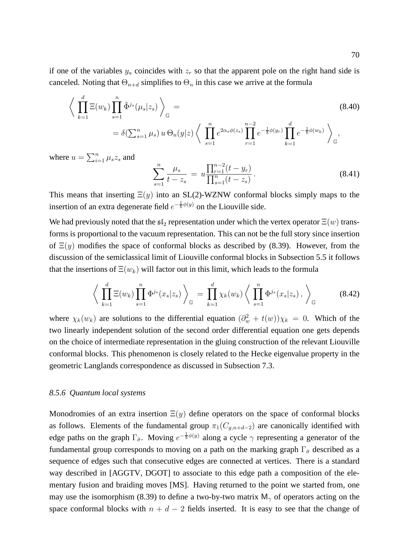if one of the variables  $y_a$  coincides with  $z_r$  so that the apparent pole on the right hand side is canceled. Noting that  $\Theta_{n+d}$  simplifies to  $\Theta_n$  in this case we arrive at the formula

$$
\left\langle \prod_{k=1}^{d} \Xi(w_k) \prod_{s=1}^{n} \tilde{\Phi}^{j_s}(\mu_s | z_s) \right\rangle_{\mathbb{G}} =
$$
\n
$$
= \delta(\sum_{s=1}^{n} \mu_s) u \Theta_n(y | z) \left\langle \prod_{s=1}^{n} e^{2\alpha_s \phi(z_s)} \prod_{r=1}^{n-2} e^{-\frac{1}{b}\phi(y_r)} \prod_{k=1}^{d} e^{-\frac{1}{b}\phi(w_k)} \right\rangle_{\mathbb{G}},
$$
\n(8.40)

where  $u = \sum_{i=1}^{n} \mu_s z_s$  and

$$
\sum_{s=1}^{n} \frac{\mu_s}{t - z_s} = u \frac{\prod_{r=1}^{n-2} (t - y_r)}{\prod_{s=1}^{n} (t - z_s)}.
$$
\n(8.41)

This means that inserting  $\Xi(y)$  into an SL(2)-WZNW conformal blocks simply maps to the insertion of an extra degenerate field  $e^{-\frac{1}{b}\phi(y)}$  on the Liouville side.

We had previously noted that the  $\mathfrak{sl}_2$  representation under which the vertex operator  $\Xi(w)$  transforms is proportional to the vacuum representation. This can not be the full story since insertion of  $\Xi(y)$  modifies the space of conformal blocks as described by (8.39). However, from the discussion of the semiclassical limit of Liouville conformal blocks in Subsection 5.5 it follows that the insertions of  $\Xi(w_k)$  will factor out in this limit, which leads to the formula

$$
\left\langle \prod_{k=1}^{d} \Xi(w_k) \prod_{s=1}^{n} \Phi^{j_s}(x_s|z_s) \right\rangle_{\mathbb{G}} = \prod_{k=1}^{d} \chi_k(w_k) \left\langle \prod_{s=1}^{n} \Phi^{j_s}(x_s|z_s) \right\rangle_{\mathbb{G}} \tag{8.42}
$$

where  $\chi_k(w_k)$  are solutions to the differential equation  $(\partial_w^2 + t(w))\chi_k = 0$ . Which of the two linearly independent solution of the second order differential equation one gets depends on the choice of intermediate representation in the gluing construction of the relevant Liouville conformal blocks. This phenomenon is closely related to the Hecke eigenvalue property in the geometric Langlands correspondence as discussed in Subsection 7.3.

## *8.5.6 Quantum local systems*

Monodromies of an extra insertion  $\Xi(y)$  define operators on the space of conformal blocks as follows. Elements of the fundamental group  $\pi_1(C_{q,n+d-2})$  are canonically identified with edge paths on the graph  $\Gamma_{\hat{\sigma}}$ . Moving  $e^{-\frac{1}{b}\phi(y)}$  along a cycle  $\gamma$  representing a generator of the fundamental group corresponds to moving on a path on the marking graph  $\Gamma_{\hat{\sigma}}$  described as a sequence of edges such that consecutive edges are connected at vertices. There is a standard way described in [AGGTV, DGOT] to associate to this edge path a composition of the elementary fusion and braiding moves [MS]. Having returned to the point we started from, one may use the isomorphism (8.39) to define a two-by-two matrix  $M_{\gamma}$  of operators acting on the space conformal blocks with  $n + d - 2$  fields inserted. It is easy to see that the change of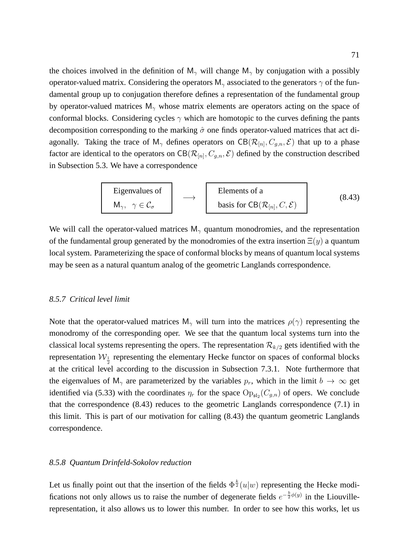the choices involved in the definition of  $M_{\gamma}$  will change  $M_{\gamma}$  by conjugation with a possibly operator-valued matrix. Considering the operators  $M_{\gamma}$  associated to the generators  $\gamma$  of the fundamental group up to conjugation therefore defines a representation of the fundamental group by operator-valued matrices  $M_{\gamma}$  whose matrix elements are operators acting on the space of conformal blocks. Considering cycles  $\gamma$  which are homotopic to the curves defining the pants decomposition corresponding to the marking  $\hat{\sigma}$  one finds operator-valued matrices that act diagonally. Taking the trace of  $M_{\gamma}$  defines operators on  $CB(\mathcal{R}_{[n]}, C_{g,n}, \mathcal{E})$  that up to a phase factor are identical to the operators on  $CB(\mathcal{R}_{[n]}, C_{g,n}, \mathcal{E})$  defined by the construction described in Subsection 5.3. We have a correspondence

Eigenvalues of  
\n
$$
M_{\gamma}, \gamma \in C_{\sigma}
$$
\n $\longrightarrow$ \n $\longrightarrow$ \n $\longrightarrow$ \n $\longrightarrow$ \n $\longrightarrow$ \n $\longrightarrow$ \n $\longrightarrow$ \n $\longrightarrow$ \n $\longrightarrow$ \n $\longrightarrow$ \n $\longrightarrow$ \n $\longrightarrow$ \n $\longrightarrow$ \n $\longrightarrow$ \n $\longrightarrow$ \n $\longrightarrow$ \n $\longrightarrow$ \n $\longrightarrow$ \n $\longrightarrow$ \n $\longrightarrow$ \n $\longrightarrow$ \n $\longrightarrow$ \n $\longrightarrow$ \n $\longrightarrow$ \n $\longrightarrow$ \n $\longrightarrow$ \n $\longrightarrow$ \n $\longrightarrow$ \n $\longrightarrow$ \n $\longrightarrow$ \n $\longrightarrow$ \n $\longrightarrow$ \n $\longrightarrow$ \n $\longrightarrow$ \n $\longrightarrow$ \n $\longrightarrow$ \n $\longrightarrow$ \n $\longrightarrow$ \n $\longrightarrow$ \n $\longrightarrow$ \n $\longrightarrow$ \n $\longrightarrow$ \n $\longrightarrow$ \n $\longrightarrow$ \n $\longrightarrow$ \n $\longrightarrow$ \n $\longrightarrow$ \n $\longrightarrow$ \n $\longrightarrow$ \n $\longrightarrow$ \n $\longrightarrow$ \n $\longrightarrow$ \n $\longrightarrow$ \n $\longrightarrow$ \n $\longrightarrow$ \n $\longrightarrow$ \n $\longrightarrow$ \n $\longrightarrow$ \n $\longrightarrow$ \n $\longrightarrow$ \n $\longrightarrow$ \n $\longrightarrow$ \n $\longrightarrow$ \n $\longrightarrow$ \n $\longrightarrow$ \n $\longrightarrow$ \n $\longrightarrow$ \n $\longrightarrow$ \n $\longrightarrow$ \n $\longrightarrow$ \n $\longrightarrow$ \n $\longrightarrow$ \n $\longrightarrow$ \n $\longrightarrow$ \n $\longrightarrow$ \n $\longrightarrow$ \n $\longrightarrow$ \n $\longrightarrow$ \n $\longrightarrow$ \n $\longrightarrow$ \n $\longrightarrow$ \n $\longrightarrow$ \n $\longrightarrow$ \n $\longrightarrow$ \n $\longrightarrow$ \n $\longrightarrow$ \n $\longrightarrow$ \n $\longrightarrow$ \n $\longrightarrow$ \n $\longrightarrow$ \n $\longrightarrow$ \n $\longrightarrow$ \n $\longrightarrow$ 

We will call the operator-valued matrices  $M_{\gamma}$  quantum monodromies, and the representation of the fundamental group generated by the monodromies of the extra insertion  $\Xi(y)$  a quantum local system. Parameterizing the space of conformal blocks by means of quantum local systems may be seen as a natural quantum analog of the geometric Langlands correspondence.

## *8.5.7 Critical level limit*

Note that the operator-valued matrices  $M_{\gamma}$  will turn into the matrices  $\rho(\gamma)$  representing the monodromy of the corresponding oper. We see that the quantum local systems turn into the classical local systems representing the opers. The representation  $\mathcal{R}_{k/2}$  gets identified with the representation  $\mathcal{W}_{\frac{1}{2}}$  representing the elementary Hecke functor on spaces of conformal blocks at the critical level according to the discussion in Subsection 7.3.1. Note furthermore that the eigenvalues of M<sub>γ</sub> are parameterized by the variables  $p_r$ , which in the limit  $b \to \infty$  get identified via (5.33) with the coordinates  $\eta_r$  for the space  $\text{Op}_{\mathfrak{sl}_2}(C_{g,n})$  of opers. We conclude that the correspondence  $(8.43)$  reduces to the geometric Langlands correspondence  $(7.1)$  in this limit. This is part of our motivation for calling (8.43) the quantum geometric Langlands correspondence.

# *8.5.8 Quantum Drinfeld-Sokolov reduction*

Let us finally point out that the insertion of the fields  $\Phi^{\frac{k}{2}}(u|w)$  representing the Hecke modifications not only allows us to raise the number of degenerate fields  $e^{-\frac{b}{2}\phi(y)}$  in the Liouvillerepresentation, it also allows us to lower this number. In order to see how this works, let us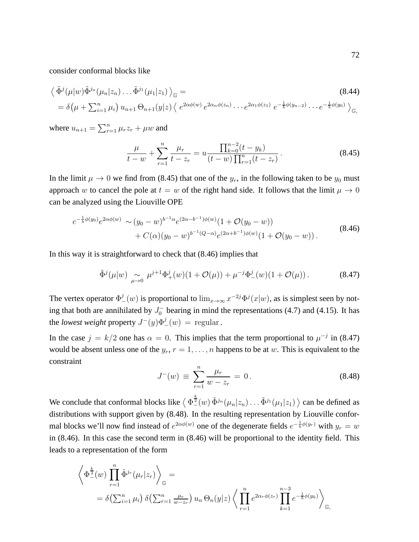consider conformal blocks like

$$
\langle \tilde{\Phi}^{j}(\mu|w)\tilde{\Phi}^{j_{n}}(\mu_{n}|z_{n})\dots\tilde{\Phi}^{j_{1}}(\mu_{1}|z_{1})\rangle_{\mathbb{G}} =
$$
\n
$$
= \delta(\mu + \sum_{i=1}^{n} \mu_{i}) u_{n+1} \Theta_{n+1}(y|z) \langle e^{2\alpha\phi(w)} e^{2\alpha_{n}\phi(z_{n})} \dots e^{2\alpha_{1}\phi(z_{1})} e^{-\frac{1}{b}\phi(y_{n-2})} \dots e^{-\frac{1}{b}\phi(y_{0})}\rangle_{\mathbb{G}},
$$
\n(8.44)

where  $u_{n+1} = \sum_{r=1}^{n} \mu_r z_r + \mu w$  and

$$
\frac{\mu}{t-w} + \sum_{r=1}^{n} \frac{\mu_r}{t-z_r} = u \frac{\prod_{k=0}^{n-2} (t - y_k)}{(t - w) \prod_{r=1}^{n} (t - z_r)}.
$$
\n(8.45)

In the limit  $\mu \to 0$  we find from (8.45) that one of the  $y_r$ , in the following taken to be  $y_0$  must approach w to cancel the pole at  $t = w$  of the right hand side. It follows that the limit  $\mu \to 0$ can be analyzed using the Liouville OPE

$$
e^{-\frac{1}{b}\phi(y_0)}e^{2\alpha\phi(w)} \sim (y_0 - w)^{b^{-1}\alpha}e^{(2\alpha - b^{-1})\phi(w)}(1 + \mathcal{O}(y_0 - w)) + C(\alpha)(y_0 - w)^{b^{-1}(Q - \alpha)}e^{(2\alpha + b^{-1})\phi(w)}(1 + \mathcal{O}(y_0 - w)).
$$
\n(8.46)

In this way it is straightforward to check that (8.46) implies that

$$
\tilde{\Phi}^j(\mu|w) \underset{\mu \to 0}{\sim} \mu^{j+1} \Phi^j_+(w) (1 + \mathcal{O}(\mu)) + \mu^{-j} \Phi^j_-(w) (1 + \mathcal{O}(\mu)). \tag{8.47}
$$

The vertex operator  $\Phi_{-}^{j}(w)$  is proportional to  $\lim_{x\to\infty} x^{-2j} \Phi^{j}(x|w)$ , as is simplest seen by noting that both are annihilated by  $J_0^-$  bearing in mind the representations (4.7) and (4.15). It has the *lowest weight* property  $J^-(y)\Phi^j_-(w) = \text{regular}$ .

In the case  $j = k/2$  one has  $\alpha = 0$ . This implies that the term proportional to  $\mu^{-j}$  in (8.47) would be absent unless one of the  $y_r$ ,  $r = 1, \ldots, n$  happens to be at w. This is equivalent to the constraint

$$
J^{-}(w) \equiv \sum_{r=1}^{n} \frac{\mu_r}{w - z_r} = 0.
$$
 (8.48)

We conclude that conformal blocks like  $\langle \Phi_{-}^{\frac{k}{2}}(w) \tilde{\Phi}^{j_n}(\mu_n | z_n) \dots \tilde{\Phi}^{j_1}(\mu_1 | z_1) \rangle$  can be defined as distributions with support given by (8.48). In the resulting representation by Liouville conformal blocks we'll now find instead of  $e^{2\alpha\phi(w)}$  one of the degenerate fields  $e^{-\frac{1}{b}\phi(y_r)}$  with  $y_r = w$ in (8.46). In this case the second term in (8.46) will be proportional to the identity field. This leads to a representation of the form

$$
\left\langle \Phi_{-}^{\frac{k}{2}}(w) \prod_{r=1}^{n} \tilde{\Phi}^{jr}(\mu_r | z_r) \right\rangle_{\mathbb{G}} =
$$
  
=  $\delta \left( \sum_{i=1}^{n} \mu_i \right) \delta \left( \sum_{r=1}^{n} \frac{\mu_r}{w - z_r} \right) u_n \Theta_n(y | z) \left\langle \prod_{r=1}^{n} e^{2\alpha_r \phi(z_r)} \prod_{k=1}^{n-3} e^{-\frac{1}{b} \phi(y_k)} \right\rangle_{\mathbb{G}},$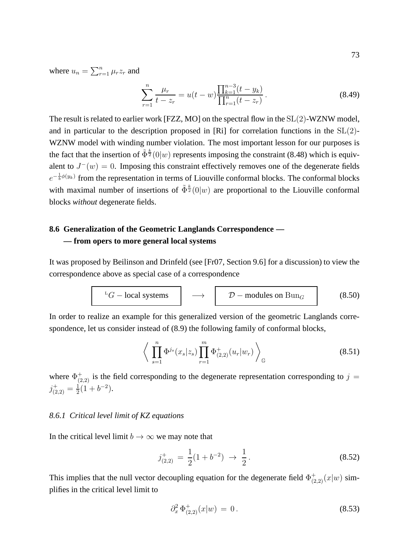where  $u_n = \sum_{r=1}^n \mu_r z_r$  and

$$
\sum_{r=1}^{n} \frac{\mu_r}{t - z_r} = u(t - w) \frac{\prod_{k=1}^{n-3} (t - y_k)}{\prod_{r=1}^{n} (t - z_r)}.
$$
\n(8.49)

The result is related to earlier work [FZZ, MO] on the spectral flow in the SL(2)-WZNW model, and in particular to the description proposed in [Ri] for correlation functions in the SL(2)- WZNW model with winding number violation. The most important lesson for our purposes is the fact that the insertion of  $\tilde{\Phi}^{\frac{k}{2}}(0|w)$  represents imposing the constraint (8.48) which is equivalent to  $J^-(w) = 0$ . Imposing this constraint effectively removes one of the degenerate fields  $e^{-\frac{1}{b}\phi(y_k)}$  from the representation in terms of Liouville conformal blocks. The conformal blocks with maximal number of insertions of  $\tilde{\Phi}^{\frac{k}{2}}(0|w)$  are proportional to the Liouville conformal blocks *without* degenerate fields.

# **8.6 Generalization of the Geometric Langlands Correspondence — — from opers to more general local systems**

It was proposed by Beilinson and Drinfeld (see [Fr07, Section 9.6] for a discussion) to view the correspondence above as special case of a correspondence

$$
{}^{L}G-\text{local systems} \longrightarrow D-\text{modules on } \text{Bun}_G \qquad (8.50)
$$

In order to realize an example for this generalized version of the geometric Langlands correspondence, let us consider instead of (8.9) the following family of conformal blocks,

$$
\left\langle \prod_{s=1}^{n} \Phi^{j_s}(x_s|z_s) \prod_{r=1}^{m} \Phi^+_{(2,2)}(u_r|w_r) \right\rangle_{\mathbb{G}} \tag{8.51}
$$

where  $\Phi^+_{(2,2)}$  is the field corresponding to the degenerate representation corresponding to  $j =$  $j^+_{(2,2)} = \frac{1}{2}$  $\frac{1}{2}(1+b^{-2}).$ 

### *8.6.1 Critical level limit of KZ equations*

In the critical level limit  $b \to \infty$  we may note that

$$
j_{(2,2)}^{+} = \frac{1}{2}(1+b^{-2}) \rightarrow \frac{1}{2}.
$$
\n(8.52)

This implies that the null vector decoupling equation for the degenerate field  $\Phi^+_{(2,2)}(x|w)$  simplifies in the critical level limit to

$$
\partial_x^2 \, \Phi_{(2,2)}^+(x|w) \, = \, 0 \,. \tag{8.53}
$$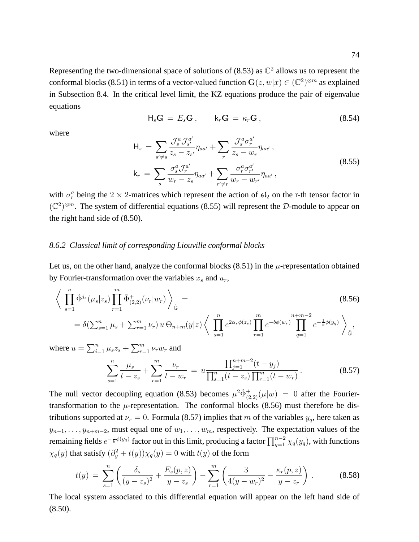Representing the two-dimensional space of solutions of (8.53) as  $\mathbb{C}^2$  allows us to represent the conformal blocks (8.51) in terms of a vector-valued function  $\mathbf{G}(z, w|x) \in (\mathbb{C}^2)^{\otimes m}$  as explained in Subsection 8.4. In the critical level limit, the KZ equations produce the pair of eigenvalue equations

$$
\mathsf{H}_s \mathbf{G} = E_s \mathbf{G} \,, \qquad \mathsf{k}_r \mathbf{G} = \kappa_r \mathbf{G} \,, \tag{8.54}
$$

where

$$
\mathsf{H}_{s} = \sum_{s' \neq s} \frac{\mathcal{J}_{s}^{a} \mathcal{J}_{s'}^{a'}}{z_{s} - z_{s'}} \eta_{aa'} + \sum_{r} \frac{\mathcal{J}_{s}^{a} \sigma_{r}^{a'}}{z_{s} - w_{r}} \eta_{aa'},
$$
\n
$$
\mathsf{k}_{r} = \sum_{s} \frac{\sigma_{s}^{a} \mathcal{J}_{r}^{a'}}{w_{r} - z_{s}} \eta_{aa'} + \sum_{r' \neq r} \frac{\sigma_{r}^{a} \sigma_{r'}^{a'}}{w_{r} - w_{r'}} \eta_{aa'},
$$
\n(8.55)

with  $\sigma_r^a$  being the 2  $\times$  2-matrices which represent the action of  $\mathfrak{sl}_2$  on the r-th tensor factor in  $(\mathbb{C}^2)^{\otimes m}$ . The system of differential equations (8.55) will represent the D-module to appear on the right hand side of (8.50).

### *8.6.2 Classical limit of corresponding Liouville conformal blocks*

Let us, on the other hand, analyze the conformal blocks  $(8.51)$  in the  $\mu$ -representation obtained by Fourier-transformation over the variables  $x_s$  and  $u_r$ ,

$$
\left\langle \prod_{s=1}^{n} \tilde{\Phi}^{j_s}(\mu_s|z_s) \prod_{r=1}^{m} \tilde{\Phi}^+_{(2,2)}(\nu_r|w_r) \right\rangle_{\hat{\mathbb{G}}} =
$$
\n
$$
= \delta(\sum_{s=1}^{n} \mu_s + \sum_{r=1}^{m} \nu_r) u \Theta_{n+m}(y|z) \left\langle \prod_{s=1}^{n} e^{2\alpha_s \phi(z_s)} \prod_{r=1}^{m} e^{-b\phi(w_r)} \prod_{q=1}^{n+m-2} e^{-\frac{1}{b}\phi(y_q)} \right\rangle_{\hat{\mathbb{G}}} ,
$$
\n(8.56)

where  $u = \sum_{i=1}^{n} \mu_s z_s + \sum_{r=1}^{m} \nu_r w_r$  and

$$
\sum_{s=1}^{n} \frac{\mu_s}{t - z_s} + \sum_{r=1}^{m} \frac{\nu_r}{t - w_r} = u \frac{\prod_{j=1}^{n+m-2} (t - y_j)}{\prod_{s=1}^{n} (t - z_s) \prod_{r=1}^{m} (t - w_r)}.
$$
(8.57)

The null vector decoupling equation (8.53) becomes  $\mu^2 \tilde{\Phi}^+_{(2,2)}(\mu|w) = 0$  after the Fouriertransformation to the  $\mu$ -representation. The conformal blocks (8.56) must therefore be distributions supported at  $\nu_r = 0$ . Formula (8.57) implies that m of the variables  $y_q$ , here taken as  $y_{n-1}, \ldots, y_{n+m-2}$ , must equal one of  $w_1, \ldots, w_m$ , respectively. The expectation values of the remaining fields  $e^{-\frac{1}{b}\phi(y_q)}$  factor out in this limit, producing a factor  $\prod_{q=1}^{n-2}\chi_q(y_q)$ , with functions  $\chi_q(y)$  that satisfy  $(\partial_y^2 + t(y))\chi_q(y) = 0$  with  $t(y)$  of the form

$$
t(y) = \sum_{s=1}^{n} \left( \frac{\delta_s}{(y - z_s)^2} + \frac{E_s(p, z)}{y - z_s} \right) - \sum_{r=1}^{m} \left( \frac{3}{4(y - w_r)^2} - \frac{\kappa_r(p, z)}{y - z_r} \right).
$$
 (8.58)

The local system associated to this differential equation will appear on the left hand side of (8.50).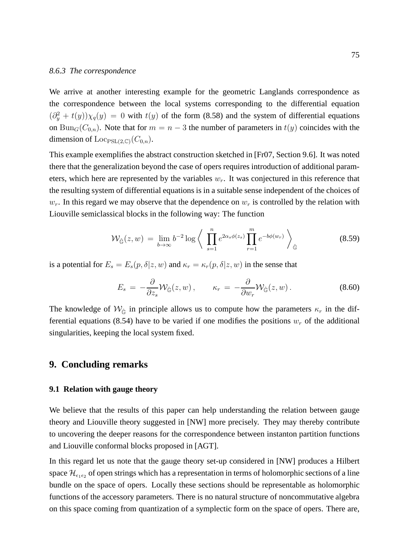#### *8.6.3 The correspondence*

We arrive at another interesting example for the geometric Langlands correspondence as the correspondence between the local systems corresponding to the differential equation  $(\partial_y^2 + t(y))\chi_q(y) = 0$  with  $t(y)$  of the form (8.58) and the system of differential equations on Bun<sub>G</sub>( $C_{0,n}$ ). Note that for  $m = n - 3$  the number of parameters in  $t(y)$  coincides with the dimension of  $\mathrm{Loc}_{\mathrm{PSL}(2,\mathbb{C})}(C_{0,n}).$ 

This example exemplifies the abstract construction sketched in [Fr07, Section 9.6]. It was noted there that the generalization beyond the case of opers requires introduction of additional parameters, which here are represented by the variables  $w<sub>r</sub>$ . It was conjectured in this reference that the resulting system of differential equations is in a suitable sense independent of the choices of  $w_r$ . In this regard we may observe that the dependence on  $w_r$  is controlled by the relation with Liouville semiclassical blocks in the following way: The function

$$
\mathcal{W}_{\hat{\mathbb{G}}}(z,w) = \lim_{b \to \infty} b^{-2} \log \left\langle \prod_{s=1}^{n} e^{2\alpha_s \phi(z_s)} \prod_{r=1}^{m} e^{-b\phi(w_r)} \right\rangle_{\hat{\mathbb{G}}} \tag{8.59}
$$

is a potential for  $E_s = E_s(p, \delta | z, w)$  and  $\kappa_r = \kappa_r(p, \delta | z, w)$  in the sense that

$$
E_s = -\frac{\partial}{\partial z_s} \mathcal{W}_{\hat{\mathbb{G}}}(z, w) , \qquad \kappa_r = -\frac{\partial}{\partial w_r} \mathcal{W}_{\hat{\mathbb{G}}}(z, w) . \tag{8.60}
$$

The knowledge of  $W_{\hat{G}}$  in principle allows us to compute how the parameters  $\kappa_r$  in the differential equations (8.54) have to be varied if one modifies the positions  $w_r$  of the additional singularities, keeping the local system fixed.

### **9. Concluding remarks**

#### **9.1 Relation with gauge theory**

We believe that the results of this paper can help understanding the relation between gauge theory and Liouville theory suggested in [NW] more precisely. They may thereby contribute to uncovering the deeper reasons for the correspondence between instanton partition functions and Liouville conformal blocks proposed in [AGT].

In this regard let us note that the gauge theory set-up considered in [NW] produces a Hilbert space  $\mathcal{H}_{\epsilon_1\epsilon_2}$  of open strings which has a representation in terms of holomorphic sections of a line bundle on the space of opers. Locally these sections should be representable as holomorphic functions of the accessory parameters. There is no natural structure of noncommutative algebra on this space coming from quantization of a symplectic form on the space of opers. There are,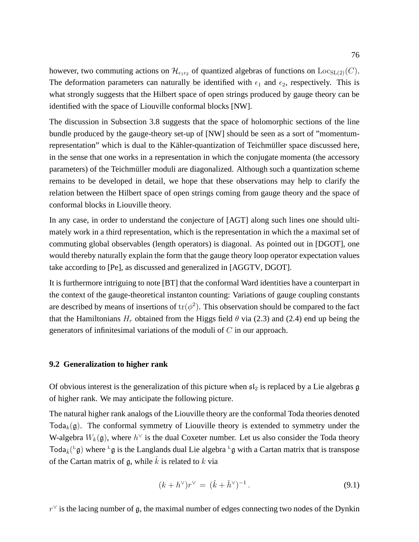however, two commuting actions on  $\mathcal{H}_{\epsilon_1\epsilon_2}$  of quantized algebras of functions on  $\text{Loc}_{SL(2)}(C)$ . The deformation parameters can naturally be identified with  $\epsilon_1$  and  $\epsilon_2$ , respectively. This is what strongly suggests that the Hilbert space of open strings produced by gauge theory can be identified with the space of Liouville conformal blocks [NW].

The discussion in Subsection 3.8 suggests that the space of holomorphic sections of the line bundle produced by the gauge-theory set-up of [NW] should be seen as a sort of "momentumrepresentation" which is dual to the Kähler-quantization of Teichmüller space discussed here, in the sense that one works in a representation in which the conjugate momenta (the accessory parameters) of the Teichmüller moduli are diagonalized. Although such a quantization scheme remains to be developed in detail, we hope that these observations may help to clarify the relation between the Hilbert space of open strings coming from gauge theory and the space of conformal blocks in Liouville theory.

In any case, in order to understand the conjecture of [AGT] along such lines one should ultimately work in a third representation, which is the representation in which the a maximal set of commuting global observables (length operators) is diagonal. As pointed out in [DGOT], one would thereby naturally explain the form that the gauge theory loop operator expectation values take according to [Pe], as discussed and generalized in [AGGTV, DGOT].

It is furthermore intriguing to note [BT] that the conformal Ward identities have a counterpart in the context of the gauge-theoretical instanton counting: Variations of gauge coupling constants are described by means of insertions of  $\text{tr}(\phi^2)$ . This observation should be compared to the fact that the Hamiltonians  $H_r$  obtained from the Higgs field  $\theta$  via (2.3) and (2.4) end up being the generators of infinitesimal variations of the moduli of  $C$  in our approach.

### **9.2 Generalization to higher rank**

Of obvious interest is the generalization of this picture when  $\mathfrak{sl}_2$  is replaced by a Lie algebras g of higher rank. We may anticipate the following picture.

The natural higher rank analogs of the Liouville theory are the conformal Toda theories denoted Toda<sub>k</sub> $(g)$ . The conformal symmetry of Liouville theory is extended to symmetry under the W-algebra  $W_k(\mathfrak{g})$ , where  $h^{\vee}$  is the dual Coxeter number. Let us also consider the Toda theory Toda $_{\check{k}}({}^{\text{L}}\mathfrak{g})$  where  ${}^{\text{L}}\mathfrak{g}$  is the Langlands dual Lie algebra  ${}^{\text{L}}\mathfrak{g}$  with a Cartan matrix that is transpose of the Cartan matrix of g, while  $\dot{k}$  is related to k via

$$
(k + h^{\vee})r^{\vee} = (\check{k} + \check{h}^{\vee})^{-1}.
$$
\n(9.1)

 $r^{\vee}$  is the lacing number of g, the maximal number of edges connecting two nodes of the Dynkin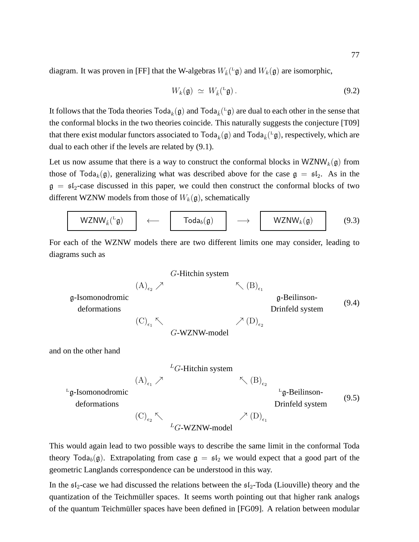diagram. It was proven in [FF] that the W-algebras  $W_{\tilde{k}}({}^L\mathfrak{g})$  and  $W_k(\mathfrak{g})$  are isomorphic,

$$
W_k(\mathfrak{g}) \simeq W_{\check{k}}({}^{\mathfrak{L}}\mathfrak{g}). \tag{9.2}
$$

It follows that the Toda theories  $\text{Total}_k(\mathfrak{g})$  and  $\text{Total}_k(\mathfrak{g})$  are dual to each other in the sense that the conformal blocks in the two theories coincide. This naturally suggests the conjecture [T09] that there exist modular functors associated to  $\text{Total}_k(\mathfrak{g})$  and  $\text{Total}_{k}(\mathfrak{g})$ , respectively, which are dual to each other if the levels are related by (9.1).

Let us now assume that there is a way to construct the conformal blocks in  $WZNW_k(g)$  from those of Toda<sub>k</sub>(g), generalizing what was described above for the case  $g = \mathfrak{sl}_2$ . As in the  $g = sI_2$ -case discussed in this paper, we could then construct the conformal blocks of two different WZNW models from those of  $W_k(\mathfrak{g})$ , schematically

$$
WZNW_{\check{k}}(^{L}\mathfrak{g}) \qquad \longleftarrow \qquad \boxed{\quad \mathsf{Toda}_{b}(\mathfrak{g}) \qquad \longrightarrow \qquad \boxed{\quad WZNW_{k}(\mathfrak{g}) \qquad (9.3)}
$$

For each of the WZNW models there are two different limits one may consider, leading to diagrams such as

$$
G-Hitchin system
$$
\n
$$
(A)_{\epsilon_2} \nearrow
$$
\n
$$
\begin{array}{ccc}\n\text{g-Isomonodromic} & & \text{g-Beilinson-} \\
\text{deformations} & & \text{GrWZNW-model} \\
\text{and on the other hand}\n\end{array}
$$
\n
$$
(9.4)
$$
\n
$$
G-WZNW-model
$$
\n
$$
I \propto \text{GUT-11}
$$
\n
$$
(9.4)
$$

$$
{}^{L}G
$$
-Hitchin system  
\n
$$
{}^{L}(\text{B})_{\epsilon_{2}}
$$
\n
$$
{}^{L}\text{g-Isomonodromic}
$$
\n
$$
{}^{L}\text{g-Beilinson-}\n \text{Lg-Beilinson-}\n \text{Drinfeld system}
$$
\n
$$
(\text{C})_{\epsilon_{2}} \sim \text{C}_{\text{G-WZNW-model}}
$$
\n
$$
{}^{L}(\text{D})_{\epsilon_{1}}
$$
\n
$$
{}^{L}(\text{D})_{\epsilon_{2}}
$$
\n
$$
{}^{L}(\text{D})_{\epsilon_{1}}
$$
\n
$$
{}^{L}(\text{D})_{\epsilon_{2}}
$$
\n
$$
{}^{L}(\text{D})_{\epsilon_{2}}
$$
\n
$$
{}^{L}(\text{D})_{\epsilon_{1}}
$$
\n
$$
{}^{L}(\text{D})_{\epsilon_{2}}
$$
\n
$$
{}^{L}(\text{D})_{\epsilon_{2}}
$$
\n
$$
{}^{L}(\text{D})_{\epsilon_{2}}
$$
\n
$$
{}^{L}(\text{D})_{\epsilon_{1}}
$$
\n
$$
{}^{L}(\text{D})_{\epsilon_{2}}
$$
\n
$$
{}^{L}(\text{D})_{\epsilon_{2}}
$$
\n
$$
{}^{L}(\text{D})_{\epsilon_{2}}
$$
\n
$$
{}^{L}(\text{D})_{\epsilon_{1}}
$$
\n
$$
{}^{L}(\text{D})_{\epsilon_{2}}
$$
\n
$$
{}^{L}(\text{D})_{\epsilon_{2}}
$$
\n
$$
{}^{L}(\text{D})_{\epsilon_{2}}
$$
\n
$$
{}^{L}(\text{D})_{\epsilon_{2}}
$$
\n
$$
{}^{L}(\text{D})_{\epsilon_{2}}
$$
\n
$$
{}^{L}(\text{D})_{\epsilon_{2}}
$$
\n
$$
{}^{L}(\text{D})_{\epsilon_{2}}
$$
\n
$$
{}^{L}(\text{D})_{\epsilon_{2}}
$$
\n
$$
{}^{L}(\text{D})_{\epsilon_{2}}
$$
\n
$$
{}^{L}(\text{D})_{\epsilon_{2}}
$$
\n
$$
{}^{L}(\text{D})_{\epsilon_{2}}
$$
\n
$$
{}^{L}(\text{D})_{\epsilon_{
$$

This would again lead to two possible ways to describe the same limit in the conformal Toda theory Toda<sub>b</sub>(g). Extrapolating from case  $g = \mathfrak{sl}_2$  we would expect that a good part of the geometric Langlands correspondence can be understood in this way.

In the  $sI_2$ -case we had discussed the relations between the  $sI_2$ -Toda (Liouville) theory and the quantization of the Teichmüller spaces. It seems worth pointing out that higher rank analogs of the quantum Teichmüller spaces have been defined in [FG09]. A relation between modular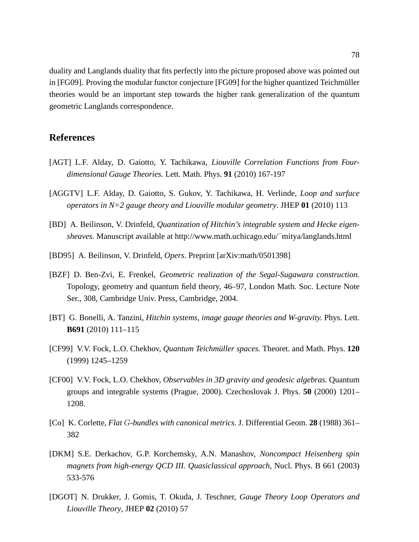duality and Langlands duality that fits perfectly into the picture proposed above was pointed out in [FG09]. Proving the modular functor conjecture [FG09] for the higher quantized Teichmüller theories would be an important step towards the higher rank generalization of the quantum geometric Langlands correspondence.

## **References**

- [AGT] L.F. Alday, D. Gaiotto, Y. Tachikawa, *Liouville Correlation Functions from Fourdimensional Gauge Theories.* Lett. Math. Phys. **91** (2010) 167-197
- [AGGTV] L.F. Alday, D. Gaiotto, S. Gukov, Y. Tachikawa, H. Verlinde, *Loop and surface operators in N=2 gauge theory and Liouville modular geometry*. JHEP **01** (2010) 113
- [BD] A. Beilinson, V. Drinfeld, *Quantization of Hitchin's integrable system and Hecke eigensheaves*. Manuscript available at http://www.math.uchicago.edu/˜mitya/langlands.html
- [BD95] A. Beilinson, V. Drinfeld, *Opers*. Preprint [arXiv:math/0501398]
- [BZF] D. Ben-Zvi, E. Frenkel, *Geometric realization of the Segal-Sugawara construction.* Topology, geometry and quantum field theory, 46–97, London Math. Soc. Lecture Note Ser., 308, Cambridge Univ. Press, Cambridge, 2004.
- [BT] G. Bonelli, A. Tanzini, *Hitchin systems, image gauge theories and W-gravity.* Phys. Lett. **B691** (2010) 111–115
- [CF99] V.V. Fock, L.O. Chekhov, *Quantum Teichmüller spaces*. Theoret. and Math. Phys. 120 (1999) 1245–1259
- [CF00] V.V. Fock, L.O. Chekhov, *Observables in 3D gravity and geodesic algebras.* Quantum groups and integrable systems (Prague, 2000). Czechoslovak J. Phys. **50** (2000) 1201– 1208.
- [Co] K. Corlette, *Flat* G*-bundles with canonical metrics.* J. Differential Geom. **28** (1988) 361– 382
- [DKM] S.E. Derkachov, G.P. Korchemsky, A.N. Manashov, *Noncompact Heisenberg spin magnets from high-energy QCD III. Quasiclassical approach*, Nucl. Phys. B 661 (2003) 533-576
- [DGOT] N. Drukker, J. Gomis, T. Okuda, J. Teschner, *Gauge Theory Loop Operators and Liouville Theory*, JHEP **02** (2010) 57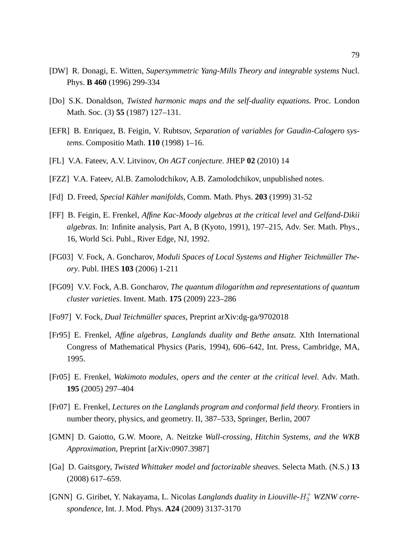- [DW] R. Donagi, E. Witten, *Supersymmetric Yang-Mills Theory and integrable systems* Nucl. Phys. **B 460** (1996) 299-334
- [Do] S.K. Donaldson, *Twisted harmonic maps and the self-duality equations.* Proc. London Math. Soc. (3) **55** (1987) 127–131.
- [EFR] B. Enriquez, B. Feigin, V. Rubtsov, *Separation of variables for Gaudin-Calogero systems*. Compositio Math. **110** (1998) 1–16.
- [FL] V.A. Fateev, A.V. Litvinov, *On AGT conjecture*. JHEP **02** (2010) 14
- [FZZ] V.A. Fateev, Al.B. Zamolodchikov, A.B. Zamolodchikov, unpublished notes.
- [Fd] D. Freed, *Special Kahler manifolds ¨* , Comm. Math. Phys. **203** (1999) 31-52
- [FF] B. Feigin, E. Frenkel, *Affine Kac-Moody algebras at the critical level and Gelfand-Dikii algebras.* In: Infinite analysis, Part A, B (Kyoto, 1991), 197–215, Adv. Ser. Math. Phys., 16, World Sci. Publ., River Edge, NJ, 1992.
- [FG03] V. Fock, A. Goncharov, *Moduli Spaces of Local Systems and Higher Teichmüller Theory*. Publ. IHES **103** (2006) 1-211
- [FG09] V.V. Fock, A.B. Goncharov, *The quantum dilogarithm and representations of quantum cluster varieties.* Invent. Math. **175** (2009) 223–286
- [Fo97] V. Fock, *Dual Teichmüller spaces*, Preprint arXiv:dg-ga/9702018
- [Fr95] E. Frenkel, *Affine algebras, Langlands duality and Bethe ansatz.* XIth International Congress of Mathematical Physics (Paris, 1994), 606–642, Int. Press, Cambridge, MA, 1995.
- [Fr05] E. Frenkel, *Wakimoto modules, opers and the center at the critical level.* Adv. Math. **195** (2005) 297–404
- [Fr07] E. Frenkel, *Lectures on the Langlands program and conformal field theory.* Frontiers in number theory, physics, and geometry. II, 387–533, Springer, Berlin, 2007
- [GMN] D. Gaiotto, G.W. Moore, A. Neitzke *Wall-crossing, Hitchin Systems, and the WKB Approximation*, Preprint [arXiv:0907.3987]
- [Ga] D. Gaitsgory, *Twisted Whittaker model and factorizable sheaves.* Selecta Math. (N.S.) **13** (2008) 617–659.
- [GNN] G. Giribet, Y. Nakayama, L. Nicolas *Langlands duality in Liouville-H*<sup>+</sup><sub>3</sub> *WZNW correspondence,* Int. J. Mod. Phys. **A24** (2009) 3137-3170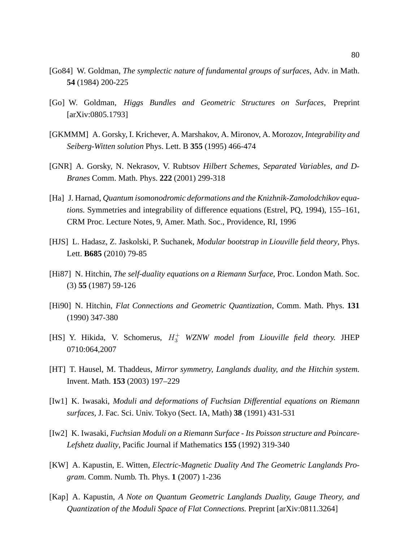- [Go84] W. Goldman, *The symplectic nature of fundamental groups of surfaces*, Adv. in Math. **54** (1984) 200-225
- [Go] W. Goldman, *Higgs Bundles and Geometric Structures on Surfaces*, Preprint [arXiv:0805.1793]
- [GKMMM] A. Gorsky, I. Krichever, A. Marshakov, A. Mironov, A. Morozov, *Integrability and Seiberg-Witten solution* Phys. Lett. B **355** (1995) 466-474
- [GNR] A. Gorsky, N. Nekrasov, V. Rubtsov *Hilbert Schemes, Separated Variables, and D-Branes* Comm. Math. Phys. **222** (2001) 299-318
- [Ha] J. Harnad, *Quantum isomonodromic deformations and the Knizhnik-Zamolodchikov equations.* Symmetries and integrability of difference equations (Estrel, PQ, 1994), 155–161, CRM Proc. Lecture Notes, 9, Amer. Math. Soc., Providence, RI, 1996
- [HJS] L. Hadasz, Z. Jaskolski, P. Suchanek, *Modular bootstrap in Liouville field theory*, Phys. Lett. **B685** (2010) 79-85
- [Hi87] N. Hitchin, *The self-duality equations on a Riemann Surface*, Proc. London Math. Soc. (3) **55** (1987) 59-126
- [Hi90] N. Hitchin, *Flat Connections and Geometric Quantization*, Comm. Math. Phys. **131** (1990) 347-380
- [HS] Y. Hikida, V. Schomerus, H + <sup>3</sup> *WZNW model from Liouville field theory.* JHEP 0710:064,2007
- [HT] T. Hausel, M. Thaddeus, *Mirror symmetry, Langlands duality, and the Hitchin system.* Invent. Math. **153** (2003) 197–229
- [Iw1] K. Iwasaki, *Moduli and deformations of Fuchsian Differential equations on Riemann surfaces*, J. Fac. Sci. Univ. Tokyo (Sect. IA, Math) **38** (1991) 431-531
- [Iw2] K. Iwasaki, *Fuchsian Moduli on a Riemann Surface Its Poisson structure and Poincare-Lefshetz duality*, Pacific Journal if Mathematics **155** (1992) 319-340
- [KW] A. Kapustin, E. Witten, *Electric-Magnetic Duality And The Geometric Langlands Program*. Comm. Numb. Th. Phys. **1** (2007) 1-236
- [Kap] A. Kapustin, *A Note on Quantum Geometric Langlands Duality, Gauge Theory, and Quantization of the Moduli Space of Flat Connections.* Preprint [arXiv:0811.3264]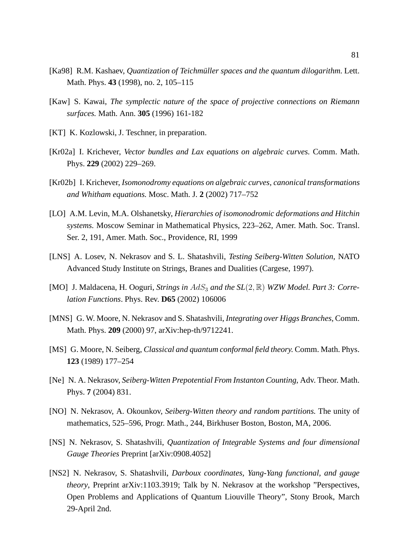- [Ka98] R.M. Kashaev, *Quantization of Teichmüller spaces and the quantum dilogarithm.* Lett. Math. Phys. **43** (1998), no. 2, 105–115
- [Kaw] S. Kawai, *The symplectic nature of the space of projective connections on Riemann surfaces.* Math. Ann. **305** (1996) 161-182
- [KT] K. Kozlowski, J. Teschner, in preparation.
- [Kr02a] I. Krichever, *Vector bundles and Lax equations on algebraic curves.* Comm. Math. Phys. **229** (2002) 229–269.
- [Kr02b] I. Krichever, *Isomonodromy equations on algebraic curves, canonical transformations and Whitham equations.* Mosc. Math. J. **2** (2002) 717–752
- [LO] A.M. Levin, M.A. Olshanetsky, *Hierarchies of isomonodromic deformations and Hitchin systems.* Moscow Seminar in Mathematical Physics, 223–262, Amer. Math. Soc. Transl. Ser. 2, 191, Amer. Math. Soc., Providence, RI, 1999
- [LNS] A. Losev, N. Nekrasov and S. L. Shatashvili, *Testing Seiberg-Witten Solution,* NATO Advanced Study Institute on Strings, Branes and Dualities (Cargese, 1997).
- [MO] J. Maldacena, H. Ooguri, *Strings in AdS<sub>3</sub> and the SL*(2, R) *WZW Model. Part 3: Correlation Functions*. Phys. Rev. **D65** (2002) 106006
- [MNS] G. W. Moore, N. Nekrasov and S. Shatashvili, *Integrating over Higgs Branches,* Comm. Math. Phys. **209** (2000) 97, arXiv:hep-th/9712241.
- [MS] G. Moore, N. Seiberg, *Classical and quantum conformal field theory.* Comm. Math. Phys. **123** (1989) 177–254
- [Ne] N. A. Nekrasov, *Seiberg-Witten Prepotential From Instanton Counting,* Adv. Theor. Math. Phys. **7** (2004) 831.
- [NO] N. Nekrasov, A. Okounkov, *Seiberg-Witten theory and random partitions.* The unity of mathematics, 525–596, Progr. Math., 244, Birkhuser Boston, Boston, MA, 2006.
- [NS] N. Nekrasov, S. Shatashvili, *Quantization of Integrable Systems and four dimensional Gauge Theories* Preprint [arXiv:0908.4052]
- [NS2] N. Nekrasov, S. Shatashvili, *Darboux coordinates, Yang-Yang functional, and gauge theory*, Preprint arXiv:1103.3919; Talk by N. Nekrasov at the workshop "Perspectives, Open Problems and Applications of Quantum Liouville Theory", Stony Brook, March 29-April 2nd.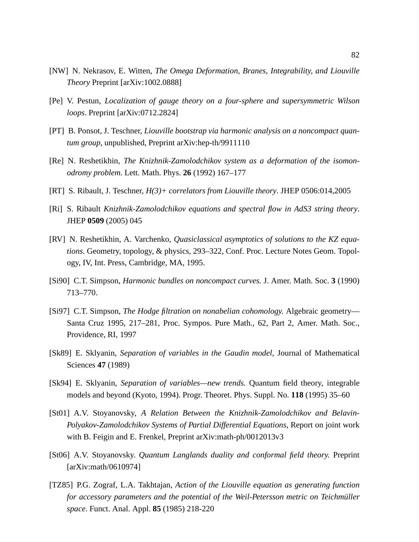- [NW] N. Nekrasov, E. Witten, *The Omega Deformation, Branes, Integrability, and Liouville Theory* Preprint [arXiv:1002.0888]
- [Pe] V. Pestun, *Localization of gauge theory on a four-sphere and supersymmetric Wilson loops*. Preprint [arXiv:0712.2824]
- [PT] B. Ponsot, J. Teschner, *Liouville bootstrap via harmonic analysis on a noncompact quantum group*, unpublished, Preprint arXiv:hep-th/9911110
- [Re] N. Reshetikhin, *The Knizhnik-Zamolodchikov system as a deformation of the isomonodromy problem.* Lett. Math. Phys. **26** (1992) 167–177
- [RT] S. Ribault, J. Teschner, *H(3)+ correlators from Liouville theory*. JHEP 0506:014,2005
- [Ri] S. Ribault *Knizhnik-Zamolodchikov equations and spectral flow in AdS3 string theory*. JHEP **0509** (2005) 045
- [RV] N. Reshetikhin, A. Varchenko, *Quasiclassical asymptotics of solutions to the KZ equations.* Geometry, topology, & physics, 293–322, Conf. Proc. Lecture Notes Geom. Topology, IV, Int. Press, Cambridge, MA, 1995.
- [Si90] C.T. Simpson, *Harmonic bundles on noncompact curves.* J. Amer. Math. Soc. **3** (1990) 713–770.
- [Si97] C.T. Simpson, *The Hodge filtration on nonabelian cohomology.* Algebraic geometry— Santa Cruz 1995, 217–281, Proc. Sympos. Pure Math., 62, Part 2, Amer. Math. Soc., Providence, RI, 1997
- [Sk89] E. Sklyanin, *Separation of variables in the Gaudin model*, Journal of Mathematical Sciences **47** (1989)
- [Sk94] E. Sklyanin, *Separation of variables—new trends.* Quantum field theory, integrable models and beyond (Kyoto, 1994). Progr. Theoret. Phys. Suppl. No. **118** (1995) 35–60
- [St01] A.V. Stoyanovsky, *A Relation Between the Knizhnik-Zamolodchikov and Belavin-Polyakov-Zamolodchikov Systems of Partial Differential Equations*, Report on joint work with B. Feigin and E. Frenkel, Preprint arXiv:math-ph/0012013v3
- [St06] A.V. Stoyanovsky. *Quantum Langlands duality and conformal field theory.* Preprint [arXiv:math/0610974]
- [TZ85] P.G. Zograf, L.A. Takhtajan, *Action of the Liouville equation as generating function for accessory parameters and the potential of the Weil-Petersson metric on Teichmüller space*. Funct. Anal. Appl. **85** (1985) 218-220